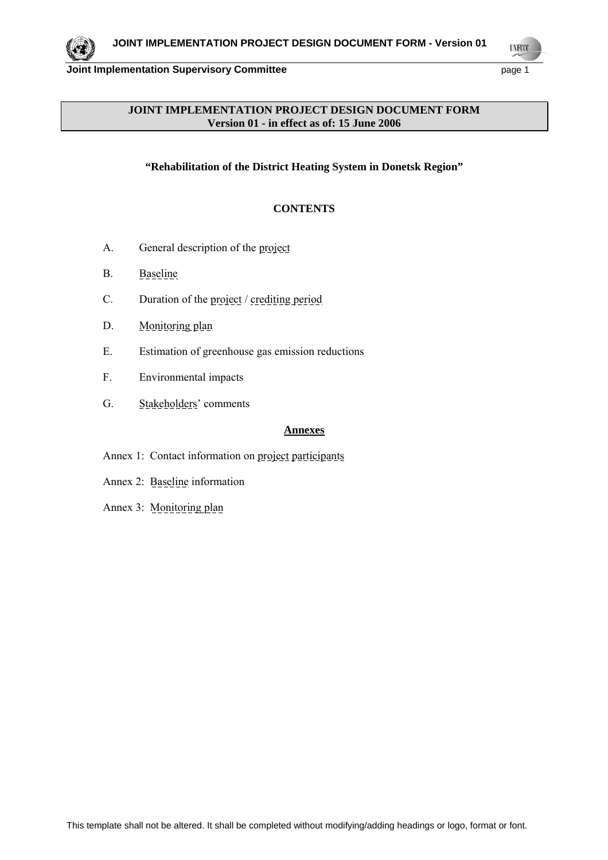

**UYECCO** 

### **JOINT IMPLEMENTATION PROJECT DESIGN DOCUMENT FORM Version 01 - in effect as of: 15 June 2006**

### **"Rehabilitation of the District Heating System in Donetsk Region"**

### **CONTENTS**

- A. General description of the project
- B. Baseline
- C. Duration of the project / crediting period
- D. Monitoring plan
- E. Estimation of greenhouse gas emission reductions
- F. Environmental impacts
- G. Stakeholders' comments

#### **Annexes**

- Annex 1: Contact information on project participants
- Annex 2: Baseline information
- Annex 3: Monitoring plan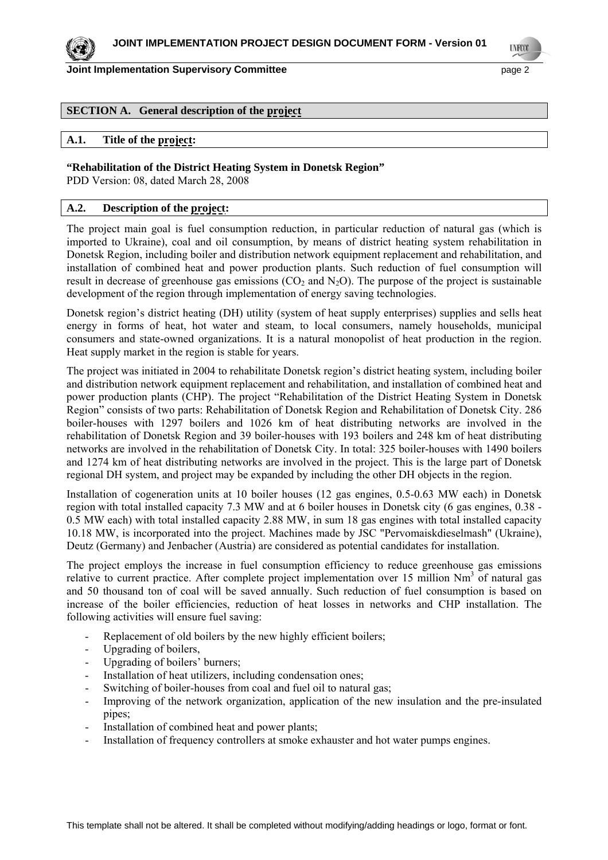**UNFCCO** 

#### **SECTION A. General description of the project**

#### **A.1. Title of the project:**

#### **"Rehabilitation of the District Heating System in Donetsk Region"**

PDD Version: 08, dated March 28, 2008

### **A.2. Description of the project:**

The project main goal is fuel consumption reduction, in particular reduction of natural gas (which is imported to Ukraine), coal and oil consumption, by means of district heating system rehabilitation in Donetsk Region, including boiler and distribution network equipment replacement and rehabilitation, and installation of combined heat and power production plants. Such reduction of fuel consumption will result in decrease of greenhouse gas emissions  $(CO_2$  and  $N_2O)$ . The purpose of the project is sustainable development of the region through implementation of energy saving technologies.

Donetsk region's district heating (DH) utility (system of heat supply enterprises) supplies and sells heat energy in forms of heat, hot water and steam, to local consumers, namely households, municipal consumers and state-owned organizations. It is a natural monopolist of heat production in the region. Heat supply market in the region is stable for years.

The project was initiated in 2004 to rehabilitate Donetsk region's district heating system, including boiler and distribution network equipment replacement and rehabilitation, and installation of combined heat and power production plants (CHP). The project "Rehabilitation of the District Heating System in Donetsk Region" consists of two parts: Rehabilitation of Donetsk Region and Rehabilitation of Donetsk City. 286 boiler-houses with 1297 boilers and 1026 km of heat distributing networks are involved in the rehabilitation of Donetsk Region and 39 boiler-houses with 193 boilers and 248 km of heat distributing networks are involved in the rehabilitation of Donetsk City. In total: 325 boiler-houses with 1490 boilers and 1274 km of heat distributing networks are involved in the project. This is the large part of Donetsk regional DH system, and project may be expanded by including the other DH objects in the region.

Installation of cogeneration units at 10 boiler houses (12 gas engines, 0.5-0.63 MW each) in Donetsk region with total installed capacity 7.3 MW and at 6 boiler houses in Donetsk city (6 gas engines, 0.38 - 0.5 MW each) with total installed capacity 2.88 MW, in sum 18 gas engines with total installed capacity 10.18 MW, is incorporated into the project. Machines made by JSC "Pervomaiskdieselmash" (Ukraine), Deutz (Germany) and Jenbacher (Austria) are considered as potential candidates for installation.

The project employs the increase in fuel consumption efficiency to reduce greenhouse gas emissions relative to current practice. After complete project implementation over 15 million Nm<sup>3</sup> of natural gas and 50 thousand ton of coal will be saved annually. Such reduction of fuel consumption is based on increase of the boiler efficiencies, reduction of heat losses in networks and CHP installation. The following activities will ensure fuel saving:

- Replacement of old boilers by the new highly efficient boilers;
- Upgrading of boilers,
- Upgrading of boilers' burners;
- Installation of heat utilizers, including condensation ones;
- Switching of boiler-houses from coal and fuel oil to natural gas:
- Improving of the network organization, application of the new insulation and the pre-insulated pipes;
- Installation of combined heat and power plants;
- Installation of frequency controllers at smoke exhauster and hot water pumps engines.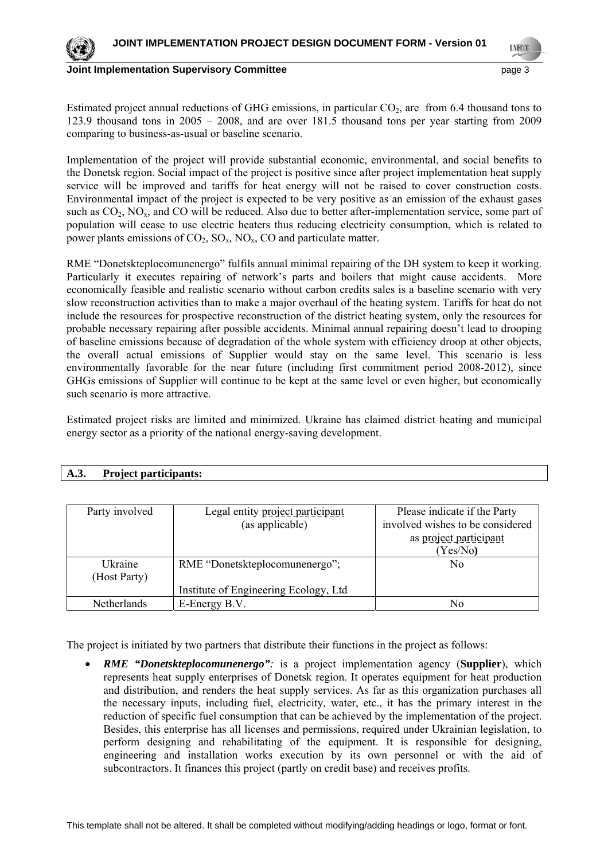

**LYFOO** 

Estimated project annual reductions of GHG emissions, in particular  $CO<sub>2</sub>$ , are from 6.4 thousand tons to 123.9 thousand tons in 2005 – 2008, and are over 181.5 thousand tons per year starting from 2009 comparing to business-as-usual or baseline scenario.

Implementation of the project will provide substantial economic, environmental, and social benefits to the Donetsk region. Social impact of the project is positive since after project implementation heat supply service will be improved and tariffs for heat energy will not be raised to cover construction costs. Environmental impact of the project is expected to be very positive as an emission of the exhaust gases such as  $CO<sub>2</sub>$ , NO<sub>x</sub>, and CO will be reduced. Also due to better after-implementation service, some part of population will cease to use electric heaters thus reducing electricity consumption, which is related to power plants emissions of  $CO_2$ ,  $SO_x$ ,  $NO_x$ ,  $CO$  and particulate matter.

RME "Donetskteplocomunenergo" fulfils annual minimal repairing of the DH system to keep it working. Particularly it executes repairing of network's parts and boilers that might cause accidents. More economically feasible and realistic scenario without carbon credits sales is a baseline scenario with very slow reconstruction activities than to make a major overhaul of the heating system. Tariffs for heat do not include the resources for prospective reconstruction of the district heating system, only the resources for probable necessary repairing after possible accidents. Minimal annual repairing doesn't lead to drooping of baseline emissions because of degradation of the whole system with efficiency droop at other objects, the overall actual emissions of Supplier would stay on the same level. This scenario is less environmentally favorable for the near future (including first commitment period 2008-2012), since GHGs emissions of Supplier will continue to be kept at the same level or even higher, but economically such scenario is more attractive.

Estimated project risks are limited and minimized. Ukraine has claimed district heating and municipal energy sector as a priority of the national energy-saving development.

| Party involved          | Legal entity project participant<br>(as applicable) | Please indicate if the Party<br>involved wishes to be considered<br>as project participant<br>(Yes/No) |
|-------------------------|-----------------------------------------------------|--------------------------------------------------------------------------------------------------------|
| Ukraine<br>(Host Party) | RME "Donetskteplocomunenergo";                      | No                                                                                                     |
|                         | Institute of Engineering Ecology, Ltd               |                                                                                                        |
| <b>Netherlands</b>      | E-Energy B.V.                                       | No                                                                                                     |

### **A.3. Project participants:**

The project is initiated by two partners that distribute their functions in the project as follows:

• *RME "Donetskteplocomunenergo":* is a project implementation agency (**Supplier**), which represents heat supply enterprises of Donetsk region. It operates equipment for heat production and distribution, and renders the heat supply services. As far as this organization purchases all the necessary inputs, including fuel, electricity, water, etc., it has the primary interest in the reduction of specific fuel consumption that can be achieved by the implementation of the project. Besides, this enterprise has all licenses and permissions, required under Ukrainian legislation, to perform designing and rehabilitating of the equipment. It is responsible for designing, engineering and installation works execution by its own personnel or with the aid of subcontractors. It finances this project (partly on credit base) and receives profits.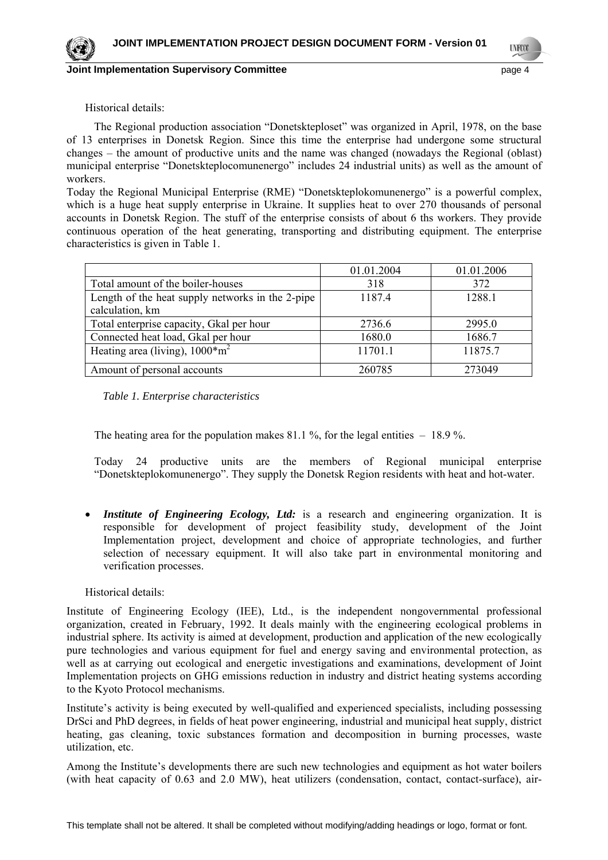**LYFOO** 

#### Historical details:

The Regional production association "Donetskteploset" was organized in April, 1978, on the base of 13 enterprises in Donetsk Region. Since this time the enterprise had undergone some structural changes – the amount of productive units and the name was changed (nowadays the Regional (oblast) municipal enterprise "Donetskteplocomunenergo" includes 24 industrial units) as well as the amount of workers.

Today the Regional Municipal Enterprise (RME) "Donetskteplokomunenergo" is a powerful complex, which is a huge heat supply enterprise in Ukraine. It supplies heat to over 270 thousands of personal accounts in Donetsk Region. The stuff of the enterprise consists of about 6 ths workers. They provide continuous operation of the heat generating, transporting and distributing equipment. The enterprise characteristics is given in Table 1.

|                                                  | 01.01.2004 | 01.01.2006 |
|--------------------------------------------------|------------|------------|
| Total amount of the boiler-houses                | 318        | 372        |
| Length of the heat supply networks in the 2-pipe | 1187.4     | 1288.1     |
| calculation, km                                  |            |            |
| Total enterprise capacity, Gkal per hour         | 2736.6     | 2995.0     |
| Connected heat load, Gkal per hour               | 1680.0     | 1686.7     |
| Heating area (living), $1000* m^2$               | 11701.1    | 11875.7    |
| Amount of personal accounts                      | 260785     | 273049     |

*Table 1. Enterprise characteristics* 

The heating area for the population makes  $81.1\%$ , for the legal entities  $-18.9\%$ .

Today 24 productive units are the members of Regional municipal enterprise "Donetskteplokomunenergo". They supply the Donetsk Region residents with heat and hot-water.

**Institute of Engineering Ecology, Ltd:** is a research and engineering organization. It is responsible for development of project feasibility study, development of the Joint Implementation project, development and choice of appropriate technologies, and further selection of necessary equipment. It will also take part in environmental monitoring and verification processes.

#### Historical details:

Institute of Engineering Ecology (IEE), Ltd., is the independent nongovernmental professional organization, created in February, 1992. It deals mainly with the engineering ecological problems in industrial sphere. Its activity is aimed at development, production and application of the new ecologically pure technologies and various equipment for fuel and energy saving and environmental protection, as well as at carrying out ecological and energetic investigations and examinations, development of Joint Implementation projects on GHG emissions reduction in industry and district heating systems according to the Kyoto Protocol mechanisms.

Institute's activity is being executed by well-qualified and experienced specialists, including possessing DrSci and PhD degrees, in fields of heat power engineering, industrial and municipal heat supply, district heating, gas cleaning, toxic substances formation and decomposition in burning processes, waste utilization, etc.

Among the Institute's developments there are such new technologies and equipment as hot water boilers (with heat capacity of 0.63 and 2.0 MW), heat utilizers (condensation, contact, contact-surface), air-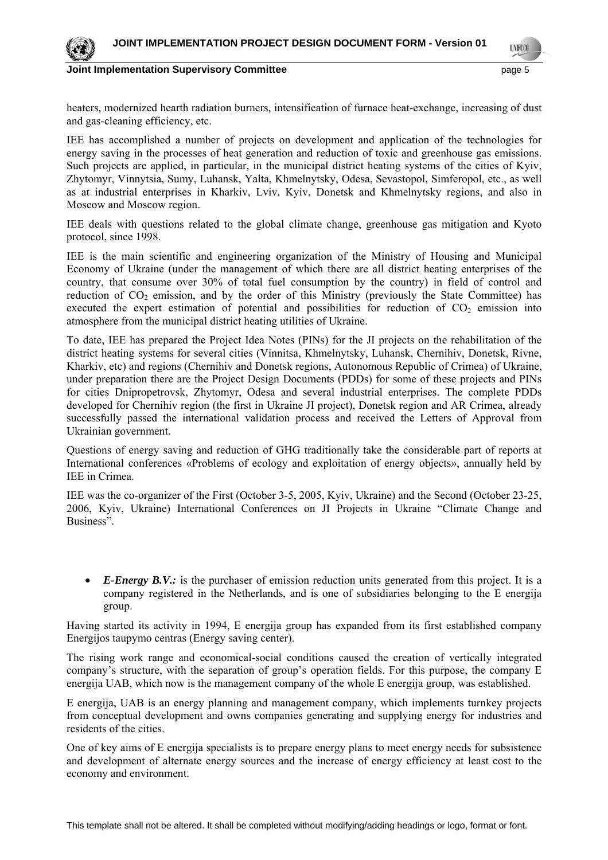

**LYFOO** 

heaters, modernized hearth radiation burners, intensification of furnace heat-exchange, increasing of dust and gas-cleaning efficiency, etc.

IEE has accomplished a number of projects on development and application of the technologies for energy saving in the processes of heat generation and reduction of toxic and greenhouse gas emissions. Such projects are applied, in particular, in the municipal district heating systems of the cities of Kyiv, Zhytomyr, Vinnytsia, Sumy, Luhansk, Yalta, Khmelnytsky, Odesa, Sevastopol, Simferopol, etc., as well as at industrial enterprises in Kharkiv, Lviv, Kyiv, Donetsk and Khmelnytsky regions, and also in Moscow and Moscow region.

IEE deals with questions related to the global climate change, greenhouse gas mitigation and Kyoto protocol, since 1998.

IEE is the main scientific and engineering organization of the Ministry of Housing and Municipal Economy of Ukraine (under the management of which there are all district heating enterprises of the country, that consume over 30% of total fuel consumption by the country) in field of control and reduction of  $CO_2$  emission, and by the order of this Ministry (previously the State Committee) has executed the expert estimation of potential and possibilities for reduction of  $CO<sub>2</sub>$  emission into atmosphere from the municipal district heating utilities of Ukraine.

To date, IEE has prepared the Project Idea Notes (PINs) for the JI projects on the rehabilitation of the district heating systems for several cities (Vinnitsa, Khmelnytsky, Luhansk, Chernihiv, Donetsk, Rivne, Kharkiv, etc) and regions (Chernihiv and Donetsk regions, Autonomous Republic of Crimea) of Ukraine, under preparation there are the Project Design Documents (PDDs) for some of these projects and PINs for cities Dnipropetrovsk, Zhytomyr, Odesa and several industrial enterprises. The complete PDDs developed for Chernihiv region (the first in Ukraine JI project), Donetsk region and AR Crimea, already successfully passed the international validation process and received the Letters of Approval from Ukrainian government.

Questions of energy saving and reduction of GHG traditionally take the considerable part of reports at International conferences «Problems of ecology and exploitation of energy objects», annually held by IEE in Crimea.

IEE was the co-organizer of the First (October 3-5, 2005, Kyiv, Ukraine) and the Second (October 23-25, 2006, Kyiv, Ukraine) International Conferences on JI Projects in Ukraine "Climate Change and Business".

• *E-Energy B.V.:* is the purchaser of emission reduction units generated from this project. It is a company registered in the Netherlands, and is one of subsidiaries belonging to the E energija group.

Having started its activity in 1994, E energija group has expanded from its first established company Energijos taupymo centras (Energy saving center).

The rising work range and economical-social conditions caused the creation of vertically integrated company's structure, with the separation of group's operation fields. For this purpose, the company E energija UAB, which now is the management company of the whole E energija group, was established.

E energija, UAB is an energy planning and management company, which implements turnkey projects from conceptual development and owns companies generating and supplying energy for industries and residents of the cities.

One of key aims of E energija specialists is to prepare energy plans to meet energy needs for subsistence and development of alternate energy sources and the increase of energy efficiency at least cost to the economy and environment.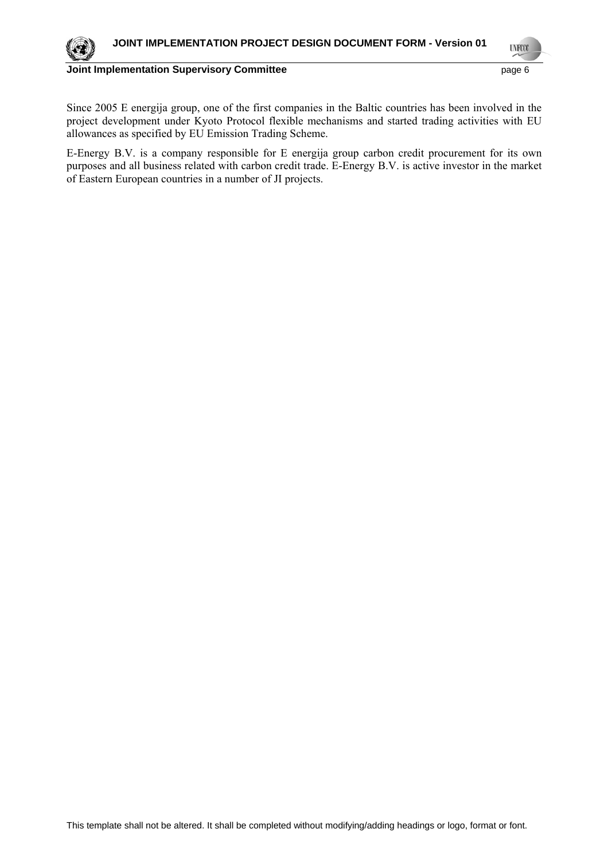**UYECCO** 



**Joint Implementation Supervisory Committee** *page 6* **page 6** 

Since 2005 E energija group, one of the first companies in the Baltic countries has been involved in the project development under Kyoto Protocol flexible mechanisms and started trading activities with EU allowances as specified by EU Emission Trading Scheme.

E-Energy B.V. is a company responsible for E energija group carbon credit procurement for its own purposes and all business related with carbon credit trade. E-Energy B.V. is active investor in the market of Eastern European countries in a number of JI projects.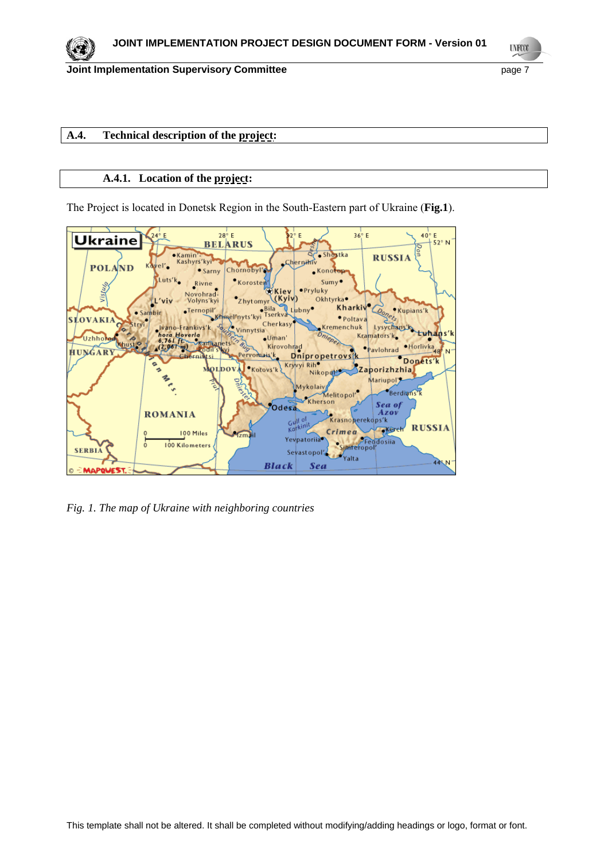**UNFOOT** 

### **A.4. Technical description of the project:**

#### **A.4.1. Location of the project:**

The Project is located in Donetsk Region in the South-Eastern part of Ukraine (**Fig.1**).



*Fig. 1. The map of Ukraine with neighboring countries*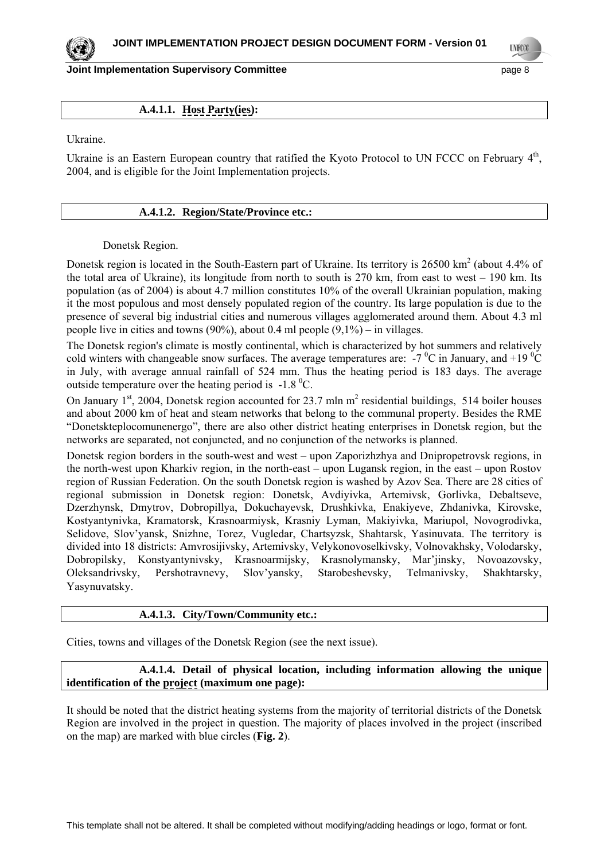**LYFOO** 

#### **A.4.1.1. Host Party(ies):**

Ukraine.

Ukraine is an Eastern European country that ratified the Kyoto Protocol to UN FCCC on February  $4<sup>th</sup>$ , 2004, and is eligible for the Joint Implementation projects.

#### **A.4.1.2. Region/State/Province etc.:**

#### Donetsk Region.

Donetsk region is located in the South-Eastern part of Ukraine. Its territory is 26500 km<sup>2</sup> (about 4.4% of the total area of Ukraine), its longitude from north to south is  $270 \text{ km}$ , from east to west  $-190 \text{ km}$ . Its population (as of 2004) is about 4.7 million constitutes 10% of the overall Ukrainian population, making it the most populous and most densely populated region of the country. Its large population is due to the presence of several big industrial cities and numerous villages agglomerated around them. About 4.3 ml people live in cities and towns  $(90\%)$ , about 0.4 ml people  $(9,1\%)$  – in villages.

The Donetsk region's climate is mostly continental, which is characterized by hot summers and relatively cold winters with changeable snow surfaces. The average temperatures are:  $-7\,^0\text{C}$  in January, and +19 $^0\text{C}$ in July, with average annual rainfall of 524 mm. Thus the heating period is 183 days. The average outside temperature over the heating period is  $-1.8 \degree C$ .

On January  $1<sup>st</sup>$ , 2004, Donetsk region accounted for 23.7 mln m<sup>2</sup> residential buildings, 514 boiler houses and about 2000 km of heat and steam networks that belong to the communal property. Besides the RME "Donetskteplocomunenergo", there are also other district heating enterprises in Donetsk region, but the networks are separated, not conjuncted, and no conjunction of the networks is planned.

Donetsk region borders in the south-west and west – upon Zaporizhzhya and Dnipropetrovsk regions, in the north-west upon Kharkiv region, in the north-east – upon Lugansk region, in the east – upon Rostov region of Russian Federation. On the south Donetsk region is washed by Azov Sea. There are 28 cities of regional submission in Donetsk region: Donetsk, Avdiyivka, Artemivsk, Gorlivka, Debaltseve, Dzerzhynsk, Dmytrov, Dobropillya, Dokuchayevsk, Drushkivka, Enakiyeve, Zhdanivka, Kirovske, Kostyantynivka, Kramatorsk, Krasnoarmiysk, Krasniy Lyman, Makiyivka, Mariupol, Novogrodivka, Selidove, Slov'yansk, Snizhne, Torez, Vugledar, Chartsyzsk, Shahtarsk, Yasinuvata. The territory is divided into 18 districts: Amvrosijivsky, Artemivsky, Velykonovoselkivsky, Volnovakhsky, Volodarsky, Dobropilsky, Konstyantynivsky, Krasnoarmijsky, Krasnolymansky, Mar'jinsky, Novoazovsky, Oleksandrivsky, Pershotravnevy, Slov'yansky, Starobeshevsky, Telmanivsky, Shakhtarsky, Yasynuvatsky.

#### **A.4.1.3. City/Town/Community etc.:**

Cities, towns and villages of the Donetsk Region (see the next issue).

#### **A.4.1.4. Detail of physical location, including information allowing the unique identification of the project (maximum one page):**

It should be noted that the district heating systems from the majority of territorial districts of the Donetsk Region are involved in the project in question. The majority of places involved in the project (inscribed on the map) are marked with blue circles (**Fig. 2**).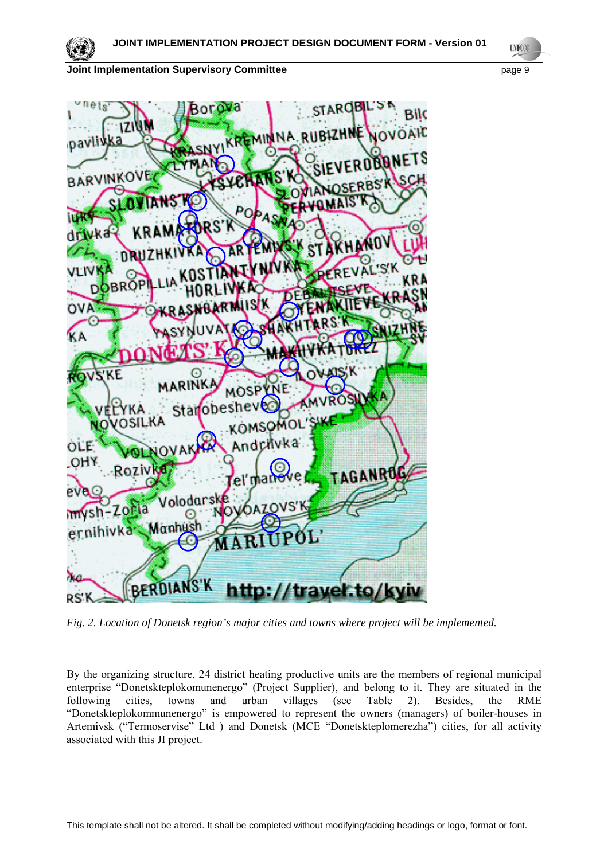

**UNFCCC** 



*Fig. 2. Location of Donetsk region's major cities and towns where project will be implemented.* 

By the organizing structure, 24 district heating productive units are the members of regional municipal enterprise "Donetskteplokomunenergo" (Project Supplier), and belong to it. They are situated in the following cities, towns and urban villages (see Table 2). Besides, the RME "Donetskteplokommunenergo" is empowered to represent the owners (managers) of boiler-houses in Artemivsk ("Termoservise" Ltd ) and Donetsk (MCE "Donetskteplomerezha") cities, for all activity associated with this JI project.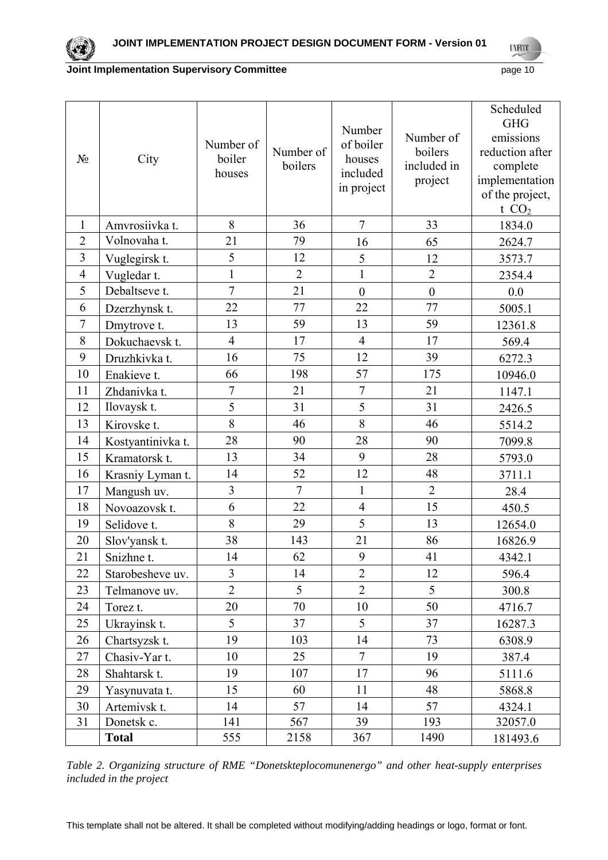**UNFOOT** 

#### **Joint Implementation Supervisory Committee** *page* **10 page 10**

| $N_2$          | City              | Number of<br>boiler<br>houses | Number of<br>boilers | Number<br>of boiler<br>houses<br>included<br>in project | Number of<br>boilers<br>included in<br>project | Scheduled<br><b>GHG</b><br>emissions<br>reduction after<br>complete<br>implementation<br>of the project,<br>t $CO2$ |
|----------------|-------------------|-------------------------------|----------------------|---------------------------------------------------------|------------------------------------------------|---------------------------------------------------------------------------------------------------------------------|
| $\mathbf{1}$   | Amvrosiivka t.    | 8                             | 36                   | $\overline{7}$                                          | 33                                             | 1834.0                                                                                                              |
| $\overline{2}$ | Volnovaha t.      | 21                            | 79                   | 16                                                      | 65                                             | 2624.7                                                                                                              |
| 3              | Vuglegirsk t.     | 5                             | 12                   | 5                                                       | 12                                             | 3573.7                                                                                                              |
| $\overline{4}$ | Vugledar t.       | $\mathbf{1}$                  | $\overline{2}$       | $\mathbf{1}$                                            | $\overline{2}$                                 | 2354.4                                                                                                              |
| 5              | Debaltseve t.     | $\overline{7}$                | 21                   | $\boldsymbol{0}$                                        | $\overline{0}$                                 | 0.0                                                                                                                 |
| 6              | Dzerzhynsk t.     | 22                            | 77                   | 22                                                      | 77                                             | 5005.1                                                                                                              |
| $\overline{7}$ | Dmytrove t.       | 13                            | 59                   | 13                                                      | 59                                             | 12361.8                                                                                                             |
| 8              | Dokuchaevsk t.    | $\overline{4}$                | 17                   | $\overline{4}$                                          | 17                                             | 569.4                                                                                                               |
| 9              | Druzhkivka t.     | 16                            | 75                   | 12                                                      | 39                                             | 6272.3                                                                                                              |
| 10             | Enakieve t.       | 66                            | 198                  | 57                                                      | 175                                            | 10946.0                                                                                                             |
| 11             | Zhdanivka t.      | $\overline{7}$                | 21                   | $\overline{7}$                                          | 21                                             | 1147.1                                                                                                              |
| 12             | Ilovaysk t.       | 5                             | 31                   | 5                                                       | 31                                             | 2426.5                                                                                                              |
| 13             | Kirovske t.       | 8                             | 46                   | 8                                                       | 46                                             | 5514.2                                                                                                              |
| 14             | Kostyantinivka t. | 28                            | 90                   | 28                                                      | 90                                             | 7099.8                                                                                                              |
| 15             | Kramatorsk t.     | 13                            | 34                   | 9                                                       | 28                                             | 5793.0                                                                                                              |
| 16             | Krasniy Lyman t.  | 14                            | 52                   | 12                                                      | 48                                             | 3711.1                                                                                                              |
| 17             | Mangush uv.       | 3                             | $\overline{7}$       | $\mathbf{1}$                                            | $\overline{2}$                                 | 28.4                                                                                                                |
| 18             | Novoazovsk t.     | 6                             | 22                   | $\overline{4}$                                          | 15                                             | 450.5                                                                                                               |
| 19             | Selidove t.       | 8                             | 29                   | 5                                                       | 13                                             | 12654.0                                                                                                             |
| 20             | Slov'yansk t.     | 38                            | 143                  | 21                                                      | 86                                             | 16826.9                                                                                                             |
| 21             | Snizhne t.        | 14                            | 62                   | 9                                                       | 41                                             | 4342.1                                                                                                              |
| 22             | Starobesheve uv.  | $\overline{3}$                | 14                   | $\overline{2}$                                          | 12                                             | 596.4                                                                                                               |
| 23             | Telmanove uv.     | $\overline{2}$                | 5                    | $\overline{2}$                                          | 5                                              | 300.8                                                                                                               |
| 24             | Torez t.          | 20                            | 70                   | 10                                                      | 50                                             | 4716.7                                                                                                              |
| 25             | Ukrayinsk t.      | 5                             | 37                   | 5                                                       | 37                                             | 16287.3                                                                                                             |
| 26             | Chartsyzsk t.     | 19                            | 103                  | 14                                                      | 73                                             | 6308.9                                                                                                              |
| 27             | Chasiv-Yar t.     | 10                            | 25                   | $\overline{7}$                                          | 19                                             | 387.4                                                                                                               |
| 28             | Shahtarsk t.      | 19                            | 107                  | 17                                                      | 96                                             | 5111.6                                                                                                              |
| 29             | Yasynuvata t.     | 15                            | 60                   | 11                                                      | 48                                             | 5868.8                                                                                                              |
| 30             | Artemivsk t.      | 14                            | 57                   | 14                                                      | 57                                             | 4324.1                                                                                                              |
| 31             | Donetsk c.        | 141                           | 567                  | 39                                                      | 193                                            | 32057.0                                                                                                             |
|                | <b>Total</b>      | 555                           | 2158                 | 367                                                     | 1490                                           | 181493.6                                                                                                            |

*Table 2. Organizing structure of RME "Donetskteplocomunenergo" and other heat-supply enterprises included in the project*

This template shall not be altered. It shall be completed without modifying/adding headings or logo, format or font.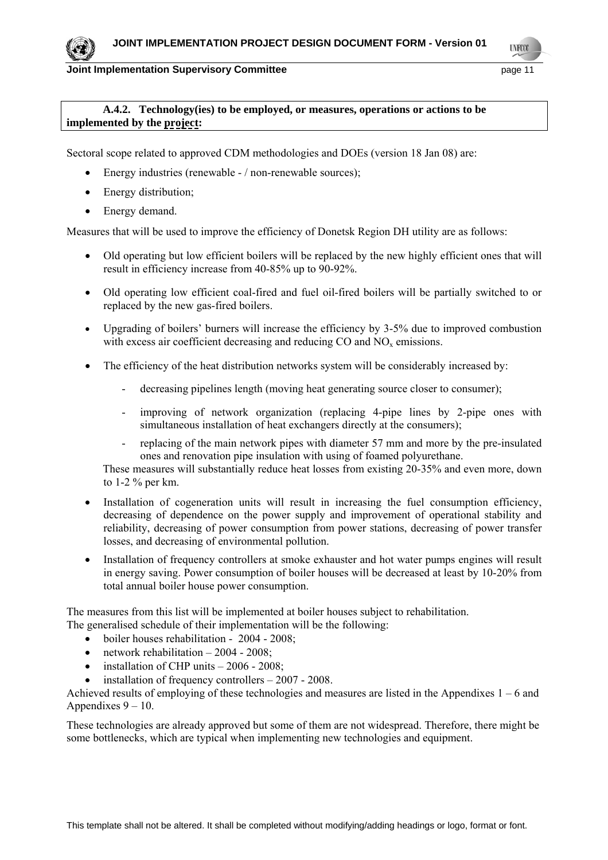**LYFOO** 

### **A.4.2. Technology(ies) to be employed, or measures, operations or actions to be implemented by the project:**

Sectoral scope related to approved CDM methodologies and DOEs (version 18 Jan 08) are:

- Energy industries (renewable / non-renewable sources);
- Energy distribution;
- Energy demand.

Measures that will be used to improve the efficiency of Donetsk Region DH utility are as follows:

- Old operating but low efficient boilers will be replaced by the new highly efficient ones that will result in efficiency increase from 40-85% up to 90-92%.
- Old operating low efficient coal-fired and fuel oil-fired boilers will be partially switched to or replaced by the new gas-fired boilers.
- Upgrading of boilers' burners will increase the efficiency by 3-5% due to improved combustion with excess air coefficient decreasing and reducing  $CO$  and  $NO<sub>x</sub>$  emissions.
- The efficiency of the heat distribution networks system will be considerably increased by:
	- decreasing pipelines length (moving heat generating source closer to consumer);
	- improving of network organization (replacing 4-pipe lines by 2-pipe ones with simultaneous installation of heat exchangers directly at the consumers);
	- replacing of the main network pipes with diameter 57 mm and more by the pre-insulated ones and renovation pipe insulation with using of foamed polyurethane.

These measures will substantially reduce heat losses from existing 20-35% and even more, down to 1-2 % per km.

- Installation of cogeneration units will result in increasing the fuel consumption efficiency, decreasing of dependence on the power supply and improvement of operational stability and reliability, decreasing of power consumption from power stations, decreasing of power transfer losses, and decreasing of environmental pollution.
- Installation of frequency controllers at smoke exhauster and hot water pumps engines will result in energy saving. Power consumption of boiler houses will be decreased at least by 10-20% from total annual boiler house power consumption.

The measures from this list will be implemented at boiler houses subject to rehabilitation. The generalised schedule of their implementation will be the following:

- boiler houses rehabilitation 2004 2008;
- network rehabilitation 2004 2008;
- installation of CHP units  $-2006 2008$ ;
- installation of frequency controllers 2007 2008.

Achieved results of employing of these technologies and measures are listed in the Appendixes 1 – 6 and Appendixes  $9 - 10$ .

These technologies are already approved but some of them are not widespread. Therefore, there might be some bottlenecks, which are typical when implementing new technologies and equipment.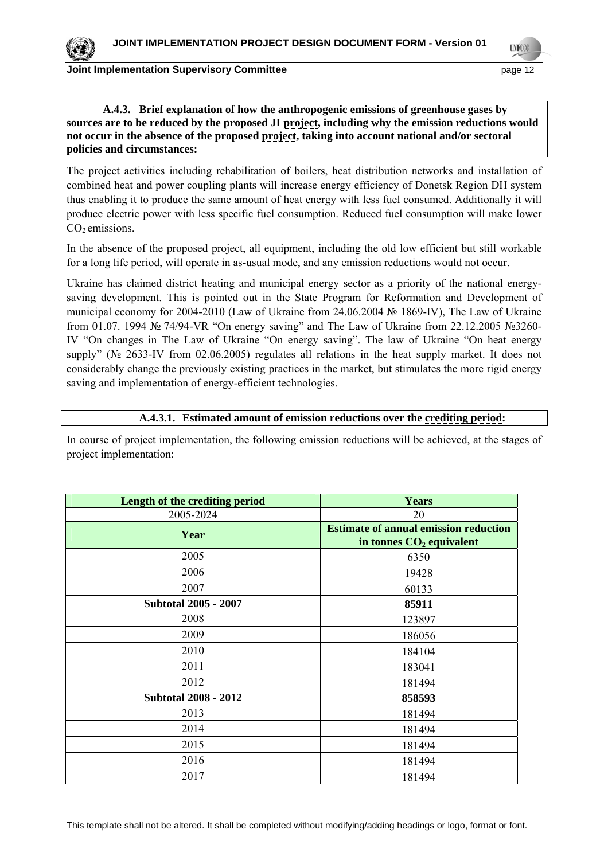**LYFOO** 

### **A.4.3. Brief explanation of how the anthropogenic emissions of greenhouse gases by sources are to be reduced by the proposed JI project, including why the emission reductions would not occur in the absence of the proposed project, taking into account national and/or sectoral policies and circumstances:**

The project activities including rehabilitation of boilers, heat distribution networks and installation of combined heat and power coupling plants will increase energy efficiency of Donetsk Region DH system thus enabling it to produce the same amount of heat energy with less fuel consumed. Additionally it will produce electric power with less specific fuel consumption. Reduced fuel consumption will make lower  $CO<sub>2</sub>$  emissions.

In the absence of the proposed project, all equipment, including the old low efficient but still workable for a long life period, will operate in as-usual mode, and any emission reductions would not occur.

Ukraine has claimed district heating and municipal energy sector as a priority of the national energysaving development. This is pointed out in the State Program for Reformation and Development of municipal economy for 2004-2010 (Law of Ukraine from 24.06.2004 № 1869-IV), The Law of Ukraine from 01.07. 1994 № 74/94-VR "On energy saving" and The Law of Ukraine from 22.12.2005 №3260- IV "On changes in The Law of Ukraine "On energy saving". The law of Ukraine "On heat energy supply" (№ 2633-IV from 02.06.2005) regulates all relations in the heat supply market. It does not considerably change the previously existing practices in the market, but stimulates the more rigid energy saving and implementation of energy-efficient technologies.

### **A.4.3.1. Estimated amount of emission reductions over the crediting period:**

In course of project implementation, the following emission reductions will be achieved, at the stages of project implementation:

| Length of the crediting period | <b>Years</b>                                                               |
|--------------------------------|----------------------------------------------------------------------------|
| 2005-2024                      | 20                                                                         |
| Year                           | <b>Estimate of annual emission reduction</b><br>in tonnes $CO2$ equivalent |
| 2005                           | 6350                                                                       |
| 2006                           | 19428                                                                      |
| 2007                           | 60133                                                                      |
| <b>Subtotal 2005 - 2007</b>    | 85911                                                                      |
| 2008                           | 123897                                                                     |
| 2009                           | 186056                                                                     |
| 2010                           | 184104                                                                     |
| 2011                           | 183041                                                                     |
| 2012                           | 181494                                                                     |
| <b>Subtotal 2008 - 2012</b>    | 858593                                                                     |
| 2013                           | 181494                                                                     |
| 2014                           | 181494                                                                     |
| 2015                           | 181494                                                                     |
| 2016                           | 181494                                                                     |
| 2017                           | 181494                                                                     |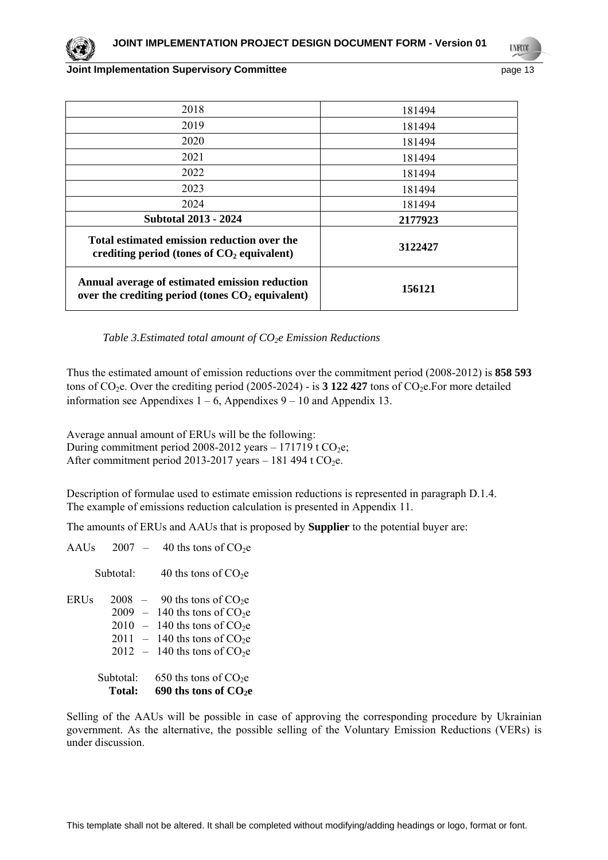**LYFOO** 

#### **Joint Implementation Supervisory Committee** *page* **13 and the page 13**

| 2018                                                                                                 | 181494  |
|------------------------------------------------------------------------------------------------------|---------|
| 2019                                                                                                 | 181494  |
| 2020                                                                                                 | 181494  |
| 2021                                                                                                 | 181494  |
| 2022                                                                                                 | 181494  |
| 2023                                                                                                 | 181494  |
| 2024                                                                                                 | 181494  |
| <b>Subtotal 2013 - 2024</b>                                                                          | 2177923 |
| Total estimated emission reduction over the<br>crediting period (tones of $CO2$ equivalent)          | 3122427 |
| Annual average of estimated emission reduction<br>over the crediting period (tones $CO2$ equivalent) | 156121  |

*Table 3.Estimated total amount of CO<sub>2</sub>e Emission Reductions* 

Thus the estimated amount of emission reductions over the commitment period (2008-2012) is **858 593**  tons of  $CO<sub>2</sub>e$ . Over the crediting period (2005-2024) - is 3 122 427 tons of  $CO<sub>2</sub>e$ . For more detailed information see Appendixes  $1 - 6$ , Appendixes  $9 - 10$  and Appendix 13.

Average annual amount of ERUs will be the following: During commitment period 2008-2012 years – 171719 t  $CO<sub>2</sub>e$ ; After commitment period 2013-2017 years – 181 494 t  $CO<sub>2</sub>e$ .

Description of formulae used to estimate emission reductions is represented in paragraph D.1.4. The example of emissions reduction calculation is presented in Appendix 11.

The amounts of ERUs and AAUs that is proposed by **Supplier** to the potential buyer are:

AAUs  $2007 - 40$  ths tons of CO<sub>2</sub>e Subtotal:  $40$  ths tons of  $CO<sub>2</sub>e$ ERUs  $2008 - 90$  ths tons of CO<sub>2</sub>e  $2009 - 140$  ths tons of  $CO<sub>2</sub>e$  $2010 - 140$  ths tons of  $CO<sub>2</sub>e$  $2011 - 140$  ths tons of  $CO<sub>2</sub>e$  $2012 - 140$  ths tons of  $CO<sub>2</sub>e$ Subtotal: 650 ths tons of  $CO<sub>2</sub>e$ Total: 690 ths tons of CO<sub>2</sub>e

Selling of the AAUs will be possible in case of approving the corresponding procedure by Ukrainian government. As the alternative, the possible selling of the Voluntary Emission Reductions (VERs) is under discussion.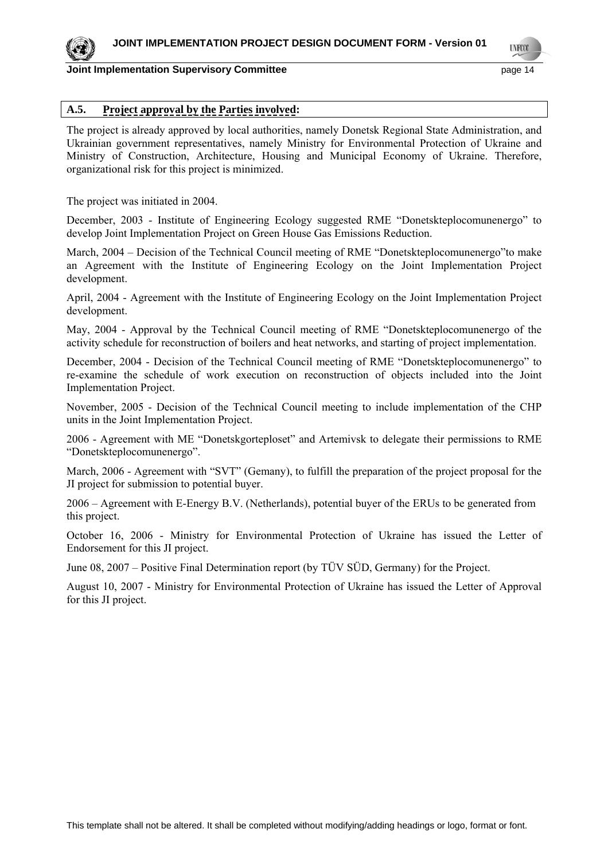

**LYFOO** 

### **A.5. Project approval by the Parties involved:**

The project is already approved by local authorities, namely Donetsk Regional State Administration, and Ukrainian government representatives, namely Ministry for Environmental Protection of Ukraine and Ministry of Construction, Architecture, Housing and Municipal Economy of Ukraine. Therefore, organizational risk for this project is minimized.

The project was initiated in 2004.

December, 2003 - Institute of Engineering Ecology suggested RME "Donetskteplocomunenergo" to develop Joint Implementation Project on Green House Gas Emissions Reduction.

March, 2004 – Decision of the Technical Council meeting of RME "Donetskteplocomunenergo"to make an Agreement with the Institute of Engineering Ecology on the Joint Implementation Project development.

April, 2004 - Agreement with the Institute of Engineering Ecology on the Joint Implementation Project development.

May, 2004 - Approval by the Technical Council meeting of RME "Donetskteplocomunenergo of the activity schedule for reconstruction of boilers and heat networks, and starting of project implementation.

December, 2004 - Decision of the Technical Council meeting of RME "Donetskteplocomunenergo" to re-examine the schedule of work execution on reconstruction of objects included into the Joint Implementation Project.

November, 2005 - Decision of the Technical Council meeting to include implementation of the CHP units in the Joint Implementation Project.

2006 - Agreement with ME "Donetskgorteploset" and Artemivsk to delegate their permissions to RME "Donetskteplocomunenergo".

March, 2006 - Agreement with "SVT" (Gemany), to fulfill the preparation of the project proposal for the JI project for submission to potential buyer.

2006 – Agreement with E-Energy B.V. (Netherlands), potential buyer of the ERUs to be generated from this project.

October 16, 2006 - Ministry for Environmental Protection of Ukraine has issued the Letter of Endorsement for this JI project.

June 08, 2007 – Positive Final Determination report (by TÜV SÜD, Germany) for the Project.

August 10, 2007 - Ministry for Environmental Protection of Ukraine has issued the Letter of Approval for this JI project.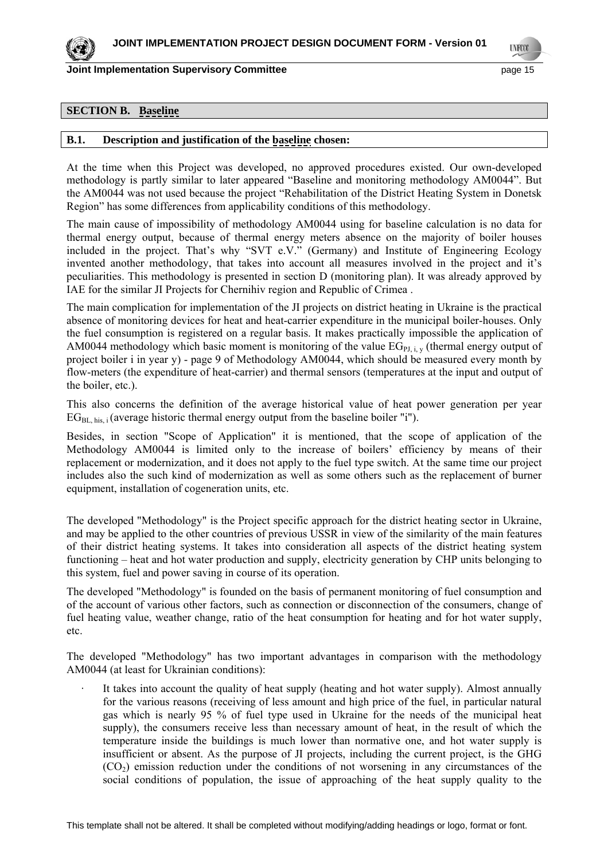

**Joint Implementation Supervisory Committee** *page* **15 and the page 15** 

**UNFCO** 

### **SECTION B. Baseline**

#### **B.1. Description and justification of the baseline chosen:**

At the time when this Project was developed, no approved procedures existed. Our own-developed methodology is partly similar to later appeared "Baseline and monitoring methodology AM0044". But the AM0044 was not used because the project "Rehabilitation of the District Heating System in Donetsk Region" has some differences from applicability conditions of this methodology.

The main cause of impossibility of methodology AM0044 using for baseline calculation is no data for thermal energy output, because of thermal energy meters absence on the majority of boiler houses included in the project. That's why "SVT e.V." (Germany) and Institute of Engineering Ecology invented another methodology, that takes into account all measures involved in the project and it's peculiarities. This methodology is presented in section D (monitoring plan). It was already approved by IAE for the similar JI Projects for Chernihiv region and Republic of Crimea .

The main complication for implementation of the JI projects on district heating in Ukraine is the practical absence of monitoring devices for heat and heat-carrier expenditure in the municipal boiler-houses. Only the fuel consumption is registered on a regular basis. It makes practically impossible the application of AM0044 methodology which basic moment is monitoring of the value  $EG_{PL, i, v}$  (thermal energy output of project boiler i in year y) - page 9 of Methodology AM0044, which should be measured every month by flow-meters (the expenditure of heat-carrier) and thermal sensors (temperatures at the input and output of the boiler, etc.).

This also concerns the definition of the average historical value of heat power generation per year  $EG<sub>BL-his</sub>$ ; (average historic thermal energy output from the baseline boiler "i").

Besides, in section "Scope of Application" it is mentioned, that the scope of application of the Methodology АМ0044 is limited only to the increase of boilers' efficiency by means of their replacement or modernization, and it does not apply to the fuel type switch. At the same time our project includes also the such kind of modernization as well as some others such as the replacement of burner equipment, installation of cogeneration units, etc.

The developed "Methodology" is the Project specific approach for the district heating sector in Ukraine, and may be applied to the other countries of previous USSR in view of the similarity of the main features of their district heating systems. It takes into consideration all aspects of the district heating system functioning – heat and hot water production and supply, electricity generation by CHP units belonging to this system, fuel and power saving in course of its operation.

The developed "Methodology" is founded on the basis of permanent monitoring of fuel consumption and of the account of various other factors, such as connection or disconnection of the consumers, change of fuel heating value, weather change, ratio of the heat consumption for heating and for hot water supply, etc.

The developed "Methodology" has two important advantages in comparison with the methodology АМ0044 (at least for Ukrainian conditions):

It takes into account the quality of heat supply (heating and hot water supply). Almost annually for the various reasons (receiving of less amount and high price of the fuel, in particular natural gas which is nearly 95 % of fuel type used in Ukraine for the needs of the municipal heat supply), the consumers receive less than necessary amount of heat, in the result of which the temperature inside the buildings is much lower than normative one, and hot water supply is insufficient or absent. As the purpose of JI projects, including the current project, is the GHG  $(CO<sub>2</sub>)$  emission reduction under the conditions of not worsening in any circumstances of the social conditions of population, the issue of approaching of the heat supply quality to the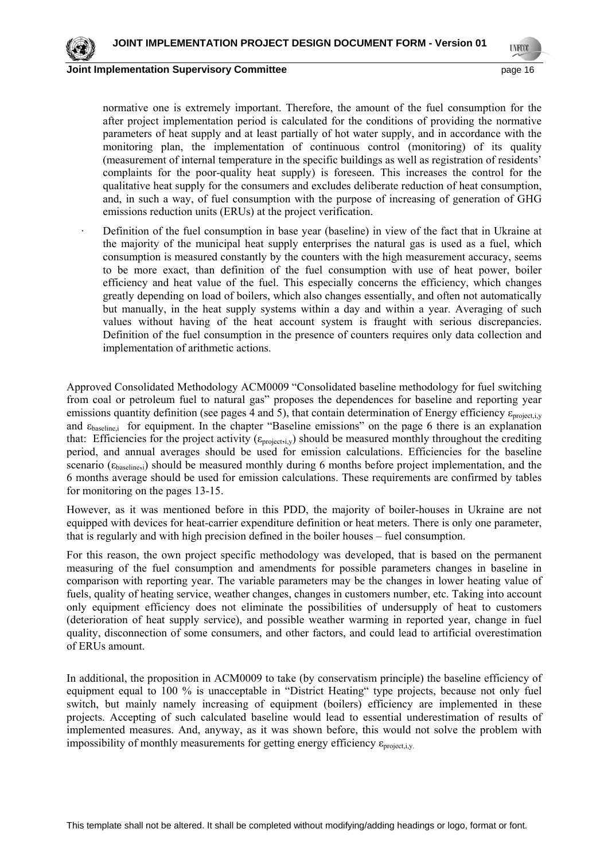

normative one is extremely important. Therefore, the amount of the fuel consumption for the after project implementation period is calculated for the conditions of providing the normative parameters of heat supply and at least partially of hot water supply, and in accordance with the monitoring plan, the implementation of continuous control (monitoring) of its quality (measurement of internal temperature in the specific buildings as well as registration of residents' complaints for the poor-quality heat supply) is foreseen. This increases the control for the qualitative heat supply for the consumers and excludes deliberate reduction of heat consumption, and, in such a way, of fuel consumption with the purpose of increasing of generation of GHG emissions reduction units (ERUs) at the project verification.

Definition of the fuel consumption in base year (baseline) in view of the fact that in Ukraine at the majority of the municipal heat supply enterprises the natural gas is used as a fuel, which consumption is measured constantly by the counters with the high measurement accuracy, seems to be more exact, than definition of the fuel consumption with use of heat power, boiler efficiency and heat value of the fuel. This especially concerns the efficiency, which changes greatly depending on load of boilers, which also changes essentially, and often not automatically but manually, in the heat supply systems within a day and within a year. Averaging of such values without having of the heat account system is fraught with serious discrepancies. Definition of the fuel consumption in the presence of counters requires only data collection and implementation of arithmetic actions.

Approved Consolidated Methodology ACM0009 "Consolidated baseline methodology for fuel switching from coal or petroleum fuel to natural gas" proposes the dependences for baseline and reporting year emissions quantity definition (see pages 4 and 5), that contain determination of Energy efficiency  $\varepsilon_{\text{projectiv}}$ and  $\varepsilon_{\text{baseline}}$  for equipment. In the chapter "Baseline emissions" on the page 6 there is an explanation that: Efficiencies for the project activity ( $\epsilon_{\text{project},i,y}$ ) should be measured monthly throughout the crediting period, and annual averages should be used for emission calculations. Efficiencies for the baseline scenario  $(\epsilon_{\text{baseline,i}})$  should be measured monthly during 6 months before project implementation, and the 6 months average should be used for emission calculations. These requirements are confirmed by tables for monitoring on the pages 13-15.

However, as it was mentioned before in this PDD, the majority of boiler-houses in Ukraine are not equipped with devices for heat-carrier expenditure definition or heat meters. There is only one parameter, that is regularly and with high precision defined in the boiler houses – fuel consumption.

For this reason, the own project specific methodology was developed, that is based on the permanent measuring of the fuel consumption and amendments for possible parameters changes in baseline in comparison with reporting year. The variable parameters may be the changes in lower heating value of fuels, quality of heating service, weather changes, changes in customers number, etc. Taking into account only equipment efficiency does not eliminate the possibilities of undersupply of heat to customers (deterioration of heat supply service), and possible weather warming in reported year, change in fuel quality, disconnection of some consumers, and other factors, and could lead to artificial overestimation of ERUs amount.

In additional, the proposition in ACM0009 to take (by conservatism principle) the baseline efficiency of equipment equal to 100 % is unacceptable in "District Heating" type projects, because not only fuel switch, but mainly namely increasing of equipment (boilers) efficiency are implemented in these projects. Accepting of such calculated baseline would lead to essential underestimation of results of implemented measures. And, anyway, as it was shown before, this would not solve the problem with impossibility of monthly measurements for getting energy efficiency  $\varepsilon_{\text{project,i,v.}}$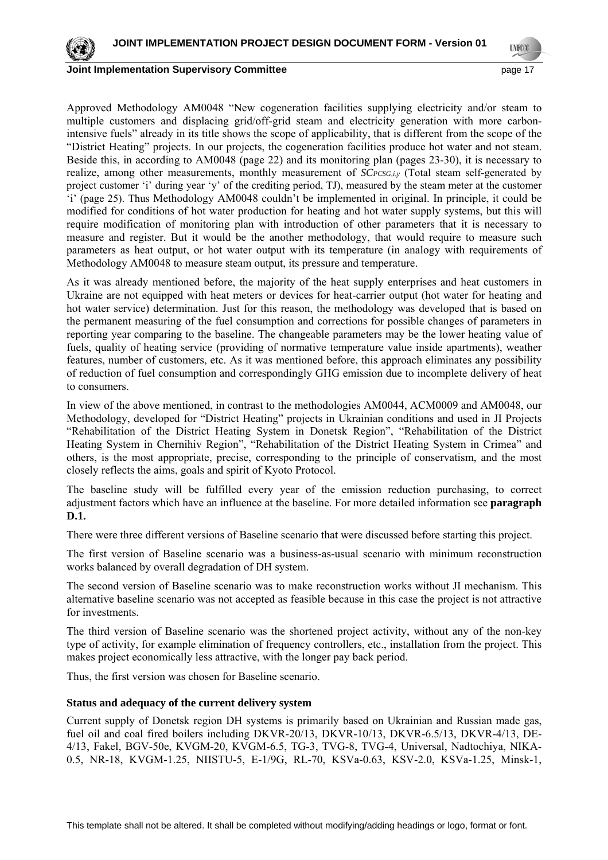

**LYFOO** 

**Joint Implementation Supervisory Committee** *page 17* **page 17** 

Approved Methodology AM0048 "New cogeneration facilities supplying electricity and/or steam to multiple customers and displacing grid/off-grid steam and electricity generation with more carbonintensive fuels" already in its title shows the scope of applicability, that is different from the scope of the "District Heating" projects. In our projects, the cogeneration facilities produce hot water and not steam. Beside this, in according to AM0048 (page 22) and its monitoring plan (pages 23-30), it is necessary to realize, among other measurements, monthly measurement of *SCPCSG,i,y* (Total steam self-generated by project customer 'i' during year 'y' of the crediting period, TJ), measured by the steam meter at the customer 'i' (page 25). Thus Methodology AM0048 couldn't be implemented in original. In principle, it could be modified for conditions of hot water production for heating and hot water supply systems, but this will require modification of monitoring plan with introduction of other parameters that it is necessary to measure and register. But it would be the another methodology, that would require to measure such parameters as heat output, or hot water output with its temperature (in analogy with requirements of Methodology AM0048 to measure steam output, its pressure and temperature.

As it was already mentioned before, the majority of the heat supply enterprises and heat customers in Ukraine are not equipped with heat meters or devices for heat-carrier output (hot water for heating and hot water service) determination. Just for this reason, the methodology was developed that is based on the permanent measuring of the fuel consumption and corrections for possible changes of parameters in reporting year comparing to the baseline. The changeable parameters may be the lower heating value of fuels, quality of heating service (providing of normative temperature value inside apartments), weather features, number of customers, etc. As it was mentioned before, this approach eliminates any possibility of reduction of fuel consumption and correspondingly GHG emission due to incomplete delivery of heat to consumers.

In view of the above mentioned, in contrast to the methodologies AM0044, ACM0009 and AM0048, our Methodology, developed for "District Heating" projects in Ukrainian conditions and used in JI Projects "Rehabilitation of the District Heating System in Donetsk Region", "Rehabilitation of the District Heating System in Chernihiv Region", "Rehabilitation of the District Heating System in Crimea" and others, is the most appropriate, precise, corresponding to the principle of conservatism, and the most closely reflects the aims, goals and spirit of Kyoto Protocol.

The baseline study will be fulfilled every year of the emission reduction purchasing, to correct adjustment factors which have an influence at the baseline. For more detailed information see **paragraph D.1.**

There were three different versions of Baseline scenario that were discussed before starting this project.

The first version of Baseline scenario was a business-as-usual scenario with minimum reconstruction works balanced by overall degradation of DH system.

The second version of Baseline scenario was to make reconstruction works without JI mechanism. This alternative baseline scenario was not accepted as feasible because in this case the project is not attractive for investments.

The third version of Baseline scenario was the shortened project activity, without any of the non-key type of activity, for example elimination of frequency controllers, etc., installation from the project. This makes project economically less attractive, with the longer pay back period.

Thus, the first version was chosen for Baseline scenario.

#### **Status and adequacy of the current delivery system**

Current supply of Donetsk region DH systems is primarily based on Ukrainian and Russian made gas, fuel oil and coal fired boilers including DKVR-20/13, DKVR-10/13, DKVR-6.5/13, DKVR-4/13, DE-4/13, Fakel, BGV-50е, KVGM-20, KVGM-6.5, TG-3, TVG-8, TVG-4, Universal, Nadtochiya, NIKA-0.5, NR-18, KVGM-1.25, NIISTU-5, Е-1/9G, RL-70, KSVa-0.63, KSV-2.0, KSVa-1.25, Minsk-1,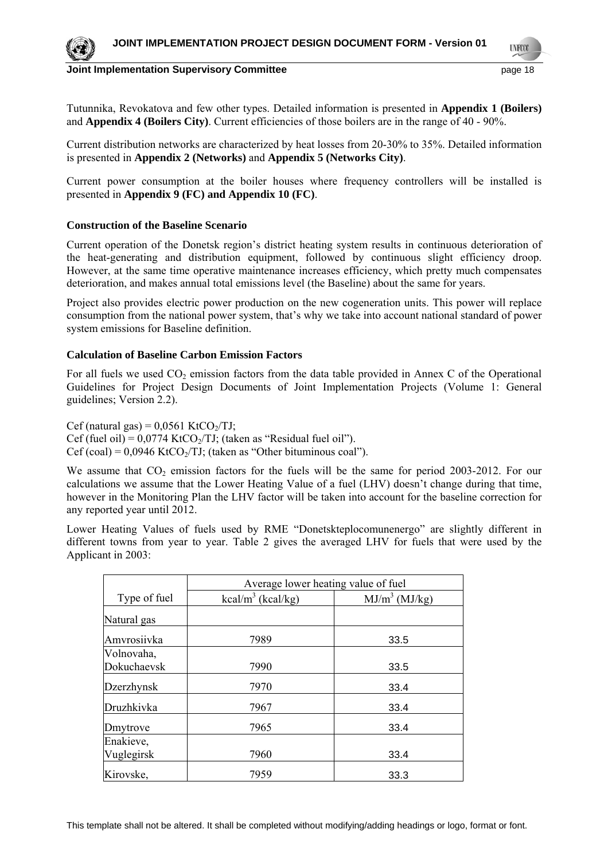

**LYFOO** 

Tutunnika, Revokatova and few other types. Detailed information is presented in **Appendix 1 (Boilers)**  and **Appendix 4 (Boilers City)**. Current efficiencies of those boilers are in the range of 40 - 90%.

Current distribution networks are characterized by heat losses from 20-30% to 35%. Detailed information is presented in **Appendix 2 (Networks)** and **Appendix 5 (Networks City)**.

Current power consumption at the boiler houses where frequency controllers will be installed is presented in **Appendix 9 (FC) and Appendix 10 (FC)**.

#### **Construction of the Baseline Scenario**

Current operation of the Donetsk region's district heating system results in continuous deterioration of the heat-generating and distribution equipment, followed by continuous slight efficiency droop. However, at the same time operative maintenance increases efficiency, which pretty much compensates deterioration, and makes annual total emissions level (the Baseline) about the same for years.

Project also provides electric power production on the new cogeneration units. This power will replace consumption from the national power system, that's why we take into account national standard of power system emissions for Baseline definition.

#### **Calculation of Baseline Carbon Emission Factors**

For all fuels we used  $CO_2$  emission factors from the data table provided in Annex C of the Operational Guidelines for Project Design Documents of Joint Implementation Projects (Volume 1: General guidelines; Version 2.2).

Cef (natural gas) =  $0.0561$  KtCO $\sqrt{IJ}$ ; Cef (fuel oil) =  $0.0774$  KtCO<sub>2</sub>/TJ; (taken as "Residual fuel oil"). Cef (coal) =  $0.0946$  KtCO<sub>2</sub>/TJ; (taken as "Other bituminous coal").

We assume that  $CO_2$  emission factors for the fuels will be the same for period 2003-2012. For our calculations we assume that the Lower Heating Value of a fuel (LHV) doesn't change during that time, however in the Monitoring Plan the LHV factor will be taken into account for the baseline correction for any reported year until 2012.

Lower Heating Values of fuels used by RME "Donetskteplocomunenergo" are slightly different in different towns from year to year. Table 2 gives the averaged LHV for fuels that were used by the Applicant in 2003:

|                           | Average lower heating value of fuel |                  |  |  |  |  |  |
|---------------------------|-------------------------------------|------------------|--|--|--|--|--|
| Type of fuel              | kcal/m <sup>3</sup> (kcal/kg)       | $MJ/m^3$ (MJ/kg) |  |  |  |  |  |
| Natural gas               |                                     |                  |  |  |  |  |  |
| Amvrosiivka               | 7989                                | 33.5             |  |  |  |  |  |
| Volnovaha,<br>Dokuchaevsk | 7990                                | 33.5             |  |  |  |  |  |
| <b>Dzerzhynsk</b>         | 7970                                | 33.4             |  |  |  |  |  |
| Druzhkivka                | 7967                                | 33.4             |  |  |  |  |  |
| Dmytrove                  | 7965                                | 33.4             |  |  |  |  |  |
| Enakieve,<br>Vuglegirsk   | 7960                                | 33.4             |  |  |  |  |  |
| Kirovske,                 | 7959                                | 33.3             |  |  |  |  |  |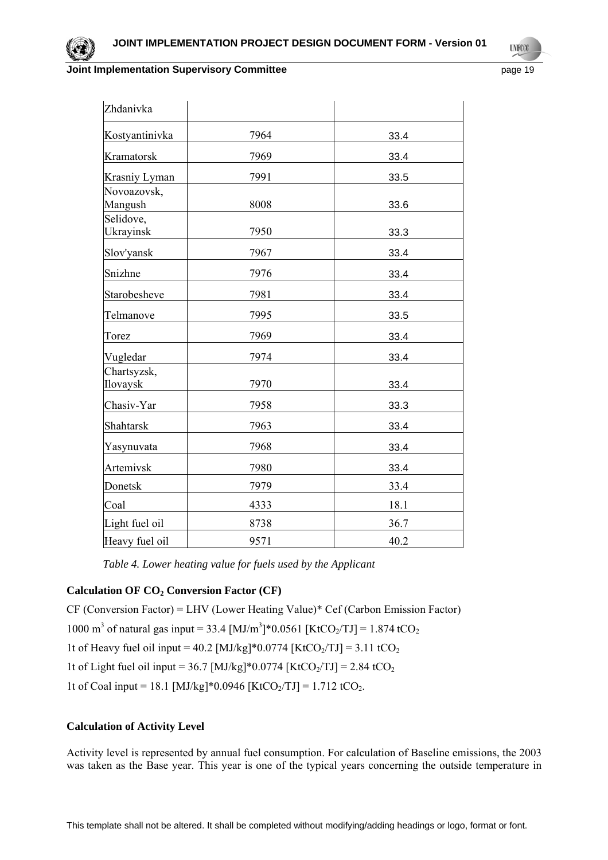

**LYFO** 

| Zhdanivka               |      |      |
|-------------------------|------|------|
| Kostyantinivka          | 7964 | 33.4 |
| Kramatorsk              | 7969 | 33.4 |
| Krasniy Lyman           | 7991 | 33.5 |
| Novoazovsk,<br>Mangush  | 8008 | 33.6 |
| Selidove,<br>Ukrayinsk  | 7950 | 33.3 |
| Slov'yansk              | 7967 | 33.4 |
| Snizhne                 | 7976 | 33.4 |
| Starobesheve            | 7981 | 33.4 |
| Telmanove               | 7995 | 33.5 |
| Torez                   | 7969 | 33.4 |
| Vugledar                | 7974 | 33.4 |
| Chartsyzsk,<br>Ilovaysk | 7970 | 33.4 |
| Chasiv-Yar              | 7958 | 33.3 |
| Shahtarsk               | 7963 | 33.4 |
| Yasynuvata              | 7968 | 33.4 |
| Artemivsk               | 7980 | 33.4 |
| Donetsk                 | 7979 | 33.4 |
| Coal                    | 4333 | 18.1 |
| Light fuel oil          | 8738 | 36.7 |
| Heavy fuel oil          | 9571 | 40.2 |

*Table 4. Lower heating value for fuels used by the Applicant* 

### Calculation OF CO<sub>2</sub> Conversion Factor (CF)

CF (Conversion Factor) = LHV (Lower Heating Value)\* Cef (Carbon Emission Factor) 1000 m<sup>3</sup> of natural gas input = 33.4 [MJ/m<sup>3</sup>]\*0.0561 [KtCO<sub>2</sub>/TJ] = 1.874 tCO<sub>2</sub> 1t of Heavy fuel oil input = 40.2 [MJ/kg]\*0.0774 [KtCO<sub>2</sub>/TJ] = 3.11 tCO<sub>2</sub> 1t of Light fuel oil input = 36.7 [MJ/kg]\*0.0774 [KtCO<sub>2</sub>/TJ] = 2.84 tCO<sub>2</sub> 1t of Coal input = 18.1 [MJ/kg]\*0.0946 [KtCO<sub>2</sub>/TJ] = 1.712 tCO<sub>2</sub>.

### **Calculation of Activity Level**

Activity level is represented by annual fuel consumption. For calculation of Baseline emissions, the 2003 was taken as the Base year. This year is one of the typical years concerning the outside temperature in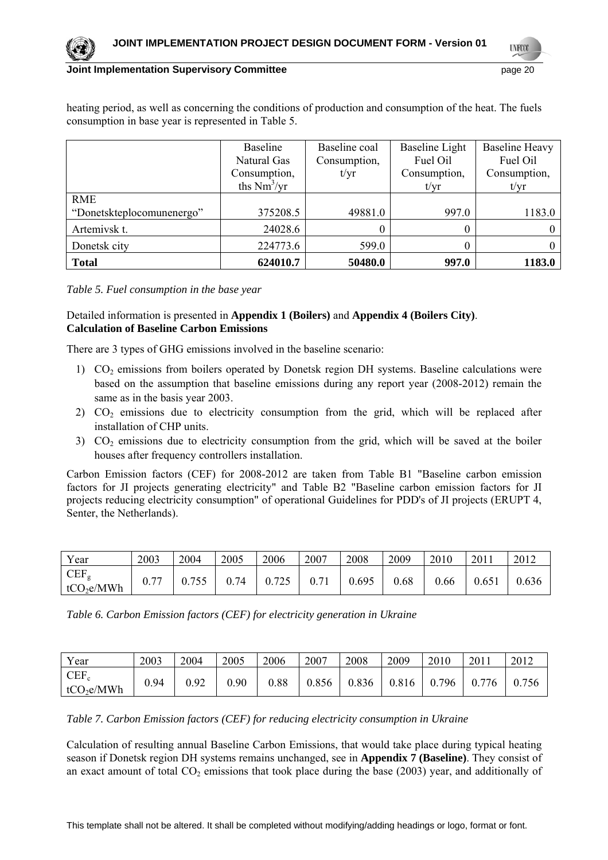

**LYFCO** 

#### **Joint Implementation Supervisory Committee** *page 20* **page 20**

heating period, as well as concerning the conditions of production and consumption of the heat. The fuels consumption in base year is represented in Table 5.

|                                         | Baseline<br>Natural Gas<br>Consumption,<br>ths $Nm3/yr$ | Baseline coal<br>Consumption,<br>t/yr | Baseline Light<br>Fuel Oil<br>Consumption,<br>t/yr | <b>Baseline Heavy</b><br>Fuel Oil<br>Consumption,<br>t/yr |
|-----------------------------------------|---------------------------------------------------------|---------------------------------------|----------------------------------------------------|-----------------------------------------------------------|
| <b>RME</b><br>"Donetskteplocomunenergo" | 375208.5                                                | 49881.0                               | 997.0                                              | 1183.0                                                    |
| Artemivsk t.                            | 24028.6                                                 |                                       | 0                                                  |                                                           |
| Donetsk city                            | 224773.6                                                | 599.0                                 | O                                                  |                                                           |
| <b>Total</b>                            | 624010.7                                                | 50480.0                               | 997.0                                              | 1183.0                                                    |

*Table 5. Fuel consumption in the base year* 

### Detailed information is presented in **Appendix 1 (Boilers)** and **Appendix 4 (Boilers City)**. **Calculation of Baseline Carbon Emissions**

There are 3 types of GHG emissions involved in the baseline scenario:

- 1)  $CO<sub>2</sub>$  emissions from boilers operated by Donetsk region DH systems. Baseline calculations were based on the assumption that baseline emissions during any report year (2008-2012) remain the same as in the basis year 2003.
- 2)  $CO<sub>2</sub>$  emissions due to electricity consumption from the grid, which will be replaced after installation of CHP units.
- $3)$  CO<sub>2</sub> emissions due to electricity consumption from the grid, which will be saved at the boiler houses after frequency controllers installation.

Carbon Emission factors (CEF) for 2008-2012 are taken from Table B1 "Baseline carbon emission factors for JI projects generating electricity" and Table B2 "Baseline carbon emission factors for JI projects reducing electricity consumption" of operational Guidelines for PDD's of JI projects (ERUPT 4, Senter, the Netherlands).

| Year                                       | 2003 | 2004 | 2005 | 2006  | 2007 | 2008  | 2009 | 2010 | 2011  | 2012  |
|--------------------------------------------|------|------|------|-------|------|-------|------|------|-------|-------|
| CEF <sub>g</sub><br>tCO <sub>2</sub> e/MWh | ∩ ¬¬ | .755 | 74   | 0.725 |      | 0.695 | 0.68 | 0.66 | 0.651 | 0.636 |

*Table 6. Carbon Emission factors (CEF) for electricity generation in Ukraine* 

| Year                              | 2003 | 2004 | 2005 | 2006 | 2007  | 2008  | 2009  | 2010  | 2011              | 2012 |
|-----------------------------------|------|------|------|------|-------|-------|-------|-------|-------------------|------|
| $CEF_c$<br>tCO <sub>2</sub> e/MWh | 0.94 | 0.92 | 0.90 | 0.88 | 0.856 | 0.836 | 0.816 | 0.796 | 776<br>$\theta$ . | 756  |

*Table 7. Carbon Emission factors (CEF) for reducing electricity consumption in Ukraine* 

Calculation of resulting annual Baseline Carbon Emissions, that would take place during typical heating season if Donetsk region DH systems remains unchanged, see in **Appendix 7 (Baseline)**. They consist of an exact amount of total  $CO<sub>2</sub>$  emissions that took place during the base (2003) year, and additionally of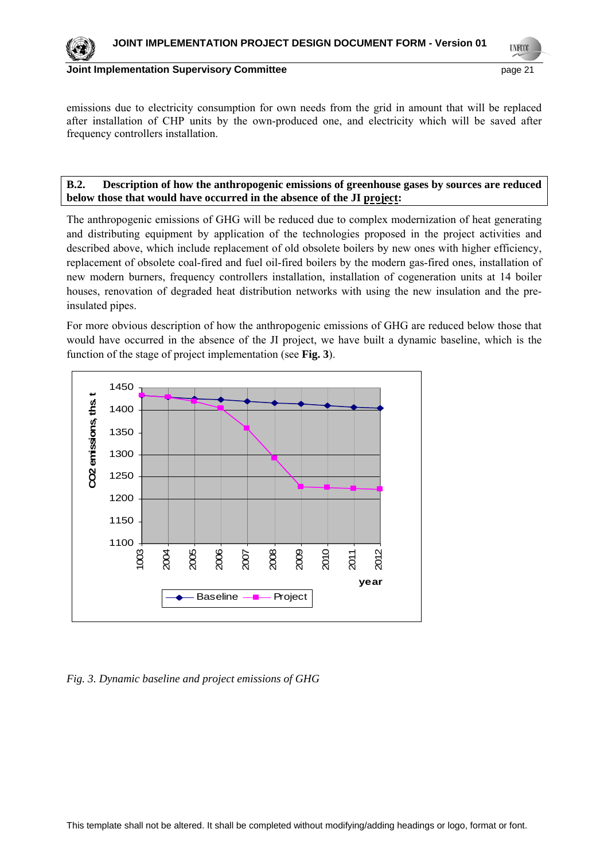**UNFCO** 

### **Joint Implementation Supervisory Committee** *page 21* **page 21**

emissions due to electricity consumption for own needs from the grid in amount that will be replaced after installation of CHP units by the own-produced one, and electricity which will be saved after frequency controllers installation.

### **B.2. Description of how the anthropogenic emissions of greenhouse gases by sources are reduced below those that would have occurred in the absence of the JI project:**

The anthropogenic emissions of GHG will be reduced due to complex modernization of heat generating and distributing equipment by application of the technologies proposed in the project activities and described above, which include replacement of old obsolete boilers by new ones with higher efficiency, replacement of obsolete coal-fired and fuel oil-fired boilers by the modern gas-fired ones, installation of new modern burners, frequency controllers installation, installation of cogeneration units at 14 boiler houses, renovation of degraded heat distribution networks with using the new insulation and the preinsulated pipes.

For more obvious description of how the anthropogenic emissions of GHG are reduced below those that would have occurred in the absence of the JI project, we have built a dynamic baseline, which is the function of the stage of project implementation (see **Fig. 3**).



*Fig. 3. Dynamic baseline and project emissions of GHG*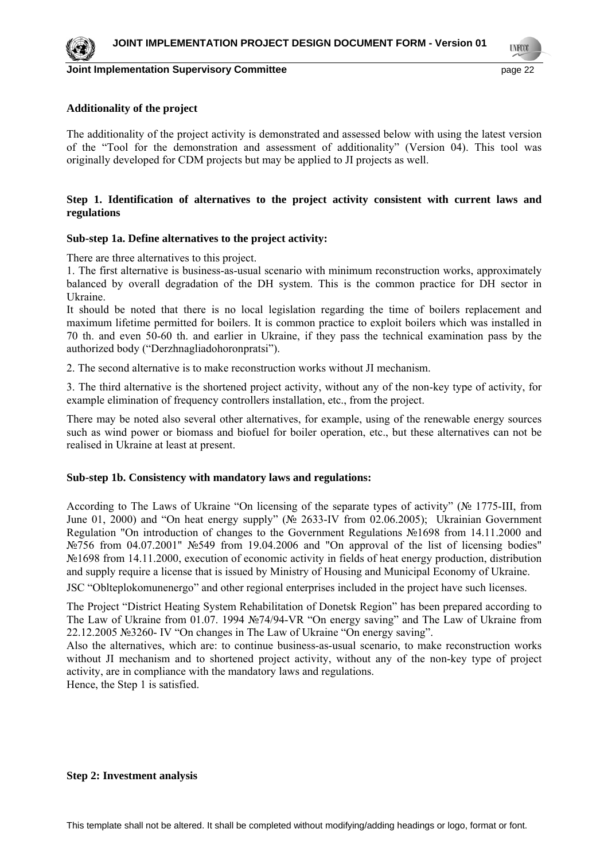

#### **Additionality of the project**

The additionality of the project activity is demonstrated and assessed below with using the latest version of the "Tool for the demonstration and assessment of additionality" (Version 04). This tool was originally developed for CDM projects but may be applied to JI projects as well.

#### **Step 1. Identification of alternatives to the project activity consistent with current laws and regulations**

#### **Sub-step 1a. Define alternatives to the project activity:**

There are three alternatives to this project.

1. The first alternative is business-as-usual scenario with minimum reconstruction works, approximately balanced by overall degradation of the DH system. This is the common practice for DH sector in Ukraine.

It should be noted that there is no local legislation regarding the time of boilers replacement and maximum lifetime permitted for boilers. It is common practice to exploit boilers which was installed in 70 th. and even 50-60 th. and earlier in Ukraine, if they pass the technical examination pass by the authorized body ("Derzhnagliadohoronpratsi").

2. The second alternative is to make reconstruction works without JI mechanism.

3. The third alternative is the shortened project activity, without any of the non-key type of activity, for example elimination of frequency controllers installation, etc., from the project.

There may be noted also several other alternatives, for example, using of the renewable energy sources such as wind power or biomass and biofuel for boiler operation, etc., but these alternatives can not be realised in Ukraine at least at present.

#### **Sub-step 1b. Consistency with mandatory laws and regulations:**

According to The Laws of Ukraine "On licensing of the separate types of activity" (№ 1775-III, from June 01, 2000) and "On heat energy supply" (№ 2633-IV from 02.06.2005); Ukrainian Government Regulation "On introduction of changes to the Government Regulations №1698 from 14.11.2000 and №756 from 04.07.2001" №549 from 19.04.2006 and "On approval of the list of licensing bodies" №1698 from 14.11.2000, execution of economic activity in fields of heat energy production, distribution and supply require a license that is issued by Ministry of Housing and Municipal Economy of Ukraine.

JSC "Oblteplokomunenergo" and other regional enterprises included in the project have such licenses.

The Project "District Heating System Rehabilitation of Donetsk Region" has been prepared according to The Law of Ukraine from 01.07. 1994 №74/94-VR "On energy saving" and The Law of Ukraine from 22.12.2005 №3260- IV "On changes in The Law of Ukraine "On energy saving".

Also the alternatives, which are: to continue business-as-usual scenario, to make reconstruction works without JI mechanism and to shortened project activity, without any of the non-key type of project activity, are in compliance with the mandatory laws and regulations.

Hence, the Step 1 is satisfied.

#### **Step 2: Investment analysis**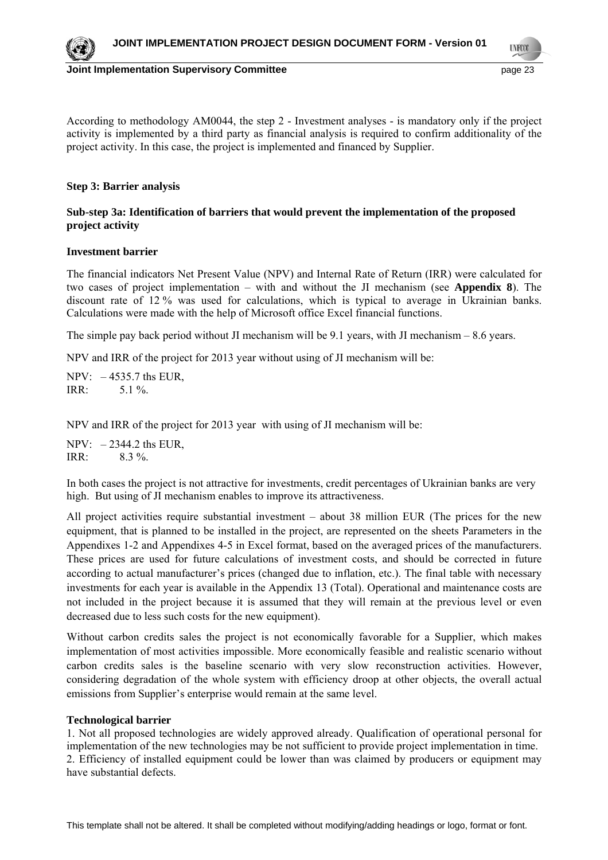

**LYFOO** 

According to methodology AM0044, the step 2 - Investment analyses - is mandatory only if the project activity is implemented by a third party as financial analysis is required to confirm additionality of the project activity. In this case, the project is implemented and financed by Supplier.

### **Step 3: Barrier analysis**

### **Sub-step 3a: Identification of barriers that would prevent the implementation of the proposed project activity**

#### **Investment barrier**

The financial indicators Net Present Value (NPV) and Internal Rate of Return (IRR) were calculated for two cases of project implementation – with and without the JI mechanism (see **Appendix 8**). The discount rate of 12 % was used for calculations, which is typical to average in Ukrainian banks. Calculations were made with the help of Microsoft office Excel financial functions.

The simple pay back period without JI mechanism will be 9.1 years, with JI mechanism – 8.6 years.

NPV and IRR of the project for 2013 year without using of JI mechanism will be:

NPV: – 4535.7 ths EUR, IRR:  $5.1 \%$ .

NPV and IRR of the project for 2013 year with using of JI mechanism will be:

 $NPV: -2344.2$  ths EUR. IRR: 8.3 %.

In both cases the project is not attractive for investments, credit percentages of Ukrainian banks are very high. But using of JI mechanism enables to improve its attractiveness.

All project activities require substantial investment – about 38 million EUR (The prices for the new equipment, that is planned to be installed in the project, are represented on the sheets Parameters in the Appendixes 1-2 and Appendixes 4-5 in Excel format, based on the averaged prices of the manufacturers. These prices are used for future calculations of investment costs, and should be corrected in future according to actual manufacturer's prices (changed due to inflation, etc.). The final table with necessary investments for each year is available in the Appendix 13 (Total). Operational and maintenance costs are not included in the project because it is assumed that they will remain at the previous level or even decreased due to less such costs for the new equipment).

Without carbon credits sales the project is not economically favorable for a Supplier, which makes implementation of most activities impossible. More economically feasible and realistic scenario without carbon credits sales is the baseline scenario with very slow reconstruction activities. However, considering degradation of the whole system with efficiency droop at other objects, the overall actual emissions from Supplier's enterprise would remain at the same level.

#### **Technological barrier**

1. Not all proposed technologies are widely approved already. Qualification of operational personal for implementation of the new technologies may be not sufficient to provide project implementation in time. 2. Efficiency of installed equipment could be lower than was claimed by producers or equipment may have substantial defects.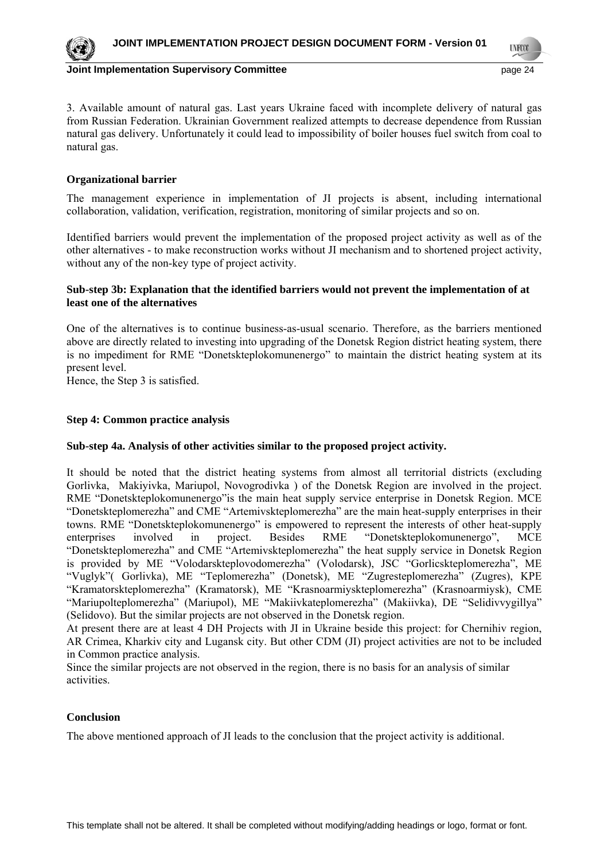**LYFOO** 

3. Available amount of natural gas. Last years Ukraine faced with incomplete delivery of natural gas from Russian Federation. Ukrainian Government realized attempts to decrease dependence from Russian natural gas delivery. Unfortunately it could lead to impossibility of boiler houses fuel switch from coal to natural gas.

### **Organizational barrier**

The management experience in implementation of JI projects is absent, including international collaboration, validation, verification, registration, monitoring of similar projects and so on.

Identified barriers would prevent the implementation of the proposed project activity as well as of the other alternatives - to make reconstruction works without JI mechanism and to shortened project activity, without any of the non-key type of project activity.

### **Sub-step 3b: Explanation that the identified barriers would not prevent the implementation of at least one of the alternatives**

One of the alternatives is to continue business-as-usual scenario. Therefore, as the barriers mentioned above are directly related to investing into upgrading of the Donetsk Region district heating system, there is no impediment for RME "Donetskteplokomunenergo" to maintain the district heating system at its present level.

Hence, the Step 3 is satisfied.

#### **Step 4: Common practice analysis**

#### **Sub-step 4a. Analysis of other activities similar to the proposed project activity.**

It should be noted that the district heating systems from almost all territorial districts (excluding Gorlivka, Makiyivka, Mariupol, Novogrodivka ) of the Donetsk Region are involved in the project. RME "Donetskteplokomunenergo"is the main heat supply service enterprise in Donetsk Region. MCE "Donetskteplomerezha" and CME "Artemivskteplomerezha" are the main heat-supply enterprises in their towns. RME "Donetskteplokomunenergo" is empowered to represent the interests of other heat-supply enterprises involved in project. Besides RME "Donetskteplokomunenergo", MCE "Donetskteplomerezha" and CME "Artemivskteplomerezha" the heat supply service in Donetsk Region is provided by ME "Volodarskteplovodomerezha" (Volodarsk), JSC "Gorlicskteplomerezha", ME "Vuglyk"( Gorlivka), ME "Teplomerezha" (Donetsk), ME "Zugresteplomerezha" (Zugres), KPE "Kramatorskteplomerezha" (Kramatorsk), ME "Krasnoarmiyskteplomerezha" (Krasnoarmiysk), CME "Mariupolteplomerezha" (Mariupol), ME "Makiivkateplomerezha" (Makiivka), DE "Selidivvygillya" (Selidovo). But the similar projects are not observed in the Donetsk region.

At present there are at least 4 DH Projects with JI in Ukraine beside this project: for Chernihiv region, AR Crimea, Kharkiv city and Lugansk city. But other CDM (JI) project activities are not to be included in Common practice analysis.

Since the similar projects are not observed in the region, there is no basis for an analysis of similar activities.

#### **Conclusion**

The above mentioned approach of JI leads to the conclusion that the project activity is additional.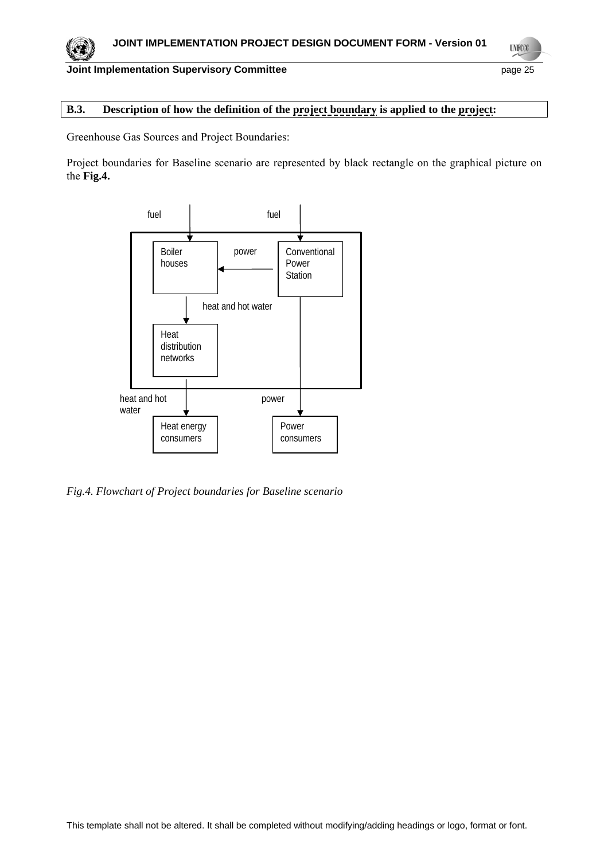# **B.3. Description of how the definition of the project boundary is applied to the project:**

Greenhouse Gas Sources and Project Boundaries:

Project boundaries for Baseline scenario are represented by black rectangle on the graphical picture on the **Fig.4.** 



*Fig.4. Flowchart of Project boundaries for Baseline scenario*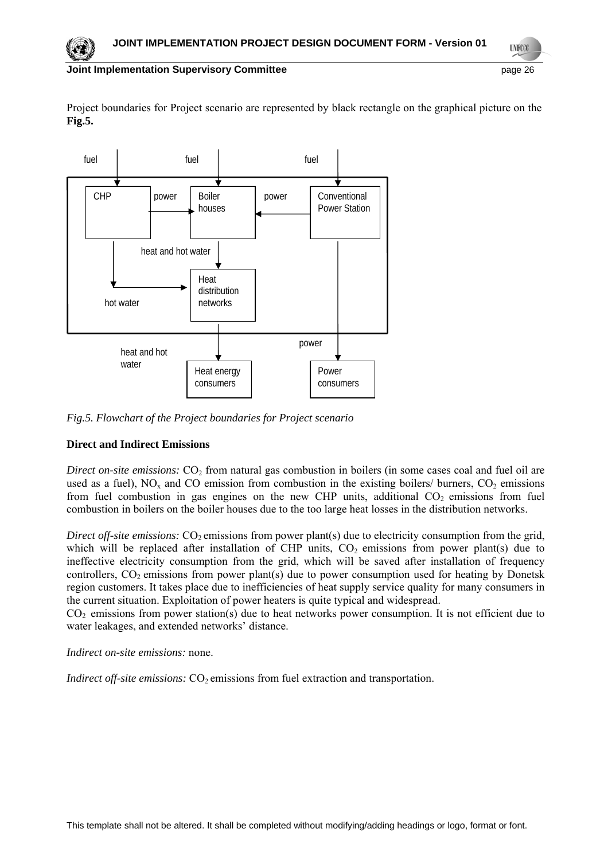**LYFOO** 

### **Joint Implementation Supervisory Committee**  page 26

Project boundaries for Project scenario are represented by black rectangle on the graphical picture on the **Fig.5.**



*Fig.5. Flowchart of the Project boundaries for Project scenario* 

# **Direct and Indirect Emissions**

*Direct on-site emissions:*  $CO<sub>2</sub>$  from natural gas combustion in boilers (in some cases coal and fuel oil are used as a fuel),  $NO<sub>x</sub>$  and CO emission from combustion in the existing boilers/ burners,  $CO<sub>2</sub>$  emissions from fuel combustion in gas engines on the new CHP units, additional  $CO<sub>2</sub>$  emissions from fuel combustion in boilers on the boiler houses due to the too large heat losses in the distribution networks.

*Direct off-site emissions:*  $CO_2$  emissions from power plant(s) due to electricity consumption from the grid, which will be replaced after installation of CHP units,  $CO<sub>2</sub>$  emissions from power plant(s) due to ineffective electricity consumption from the grid, which will be saved after installation of frequency controllers,  $CO_2$  emissions from power plant(s) due to power consumption used for heating by Donetsk region customers. It takes place due to inefficiencies of heat supply service quality for many consumers in the current situation. Exploitation of power heaters is quite typical and widespread.

 $CO<sub>2</sub>$  emissions from power station(s) due to heat networks power consumption. It is not efficient due to water leakages, and extended networks' distance.

*Indirect on-site emissions:* none.

*Indirect off-site emissions:* CO<sub>2</sub> emissions from fuel extraction and transportation.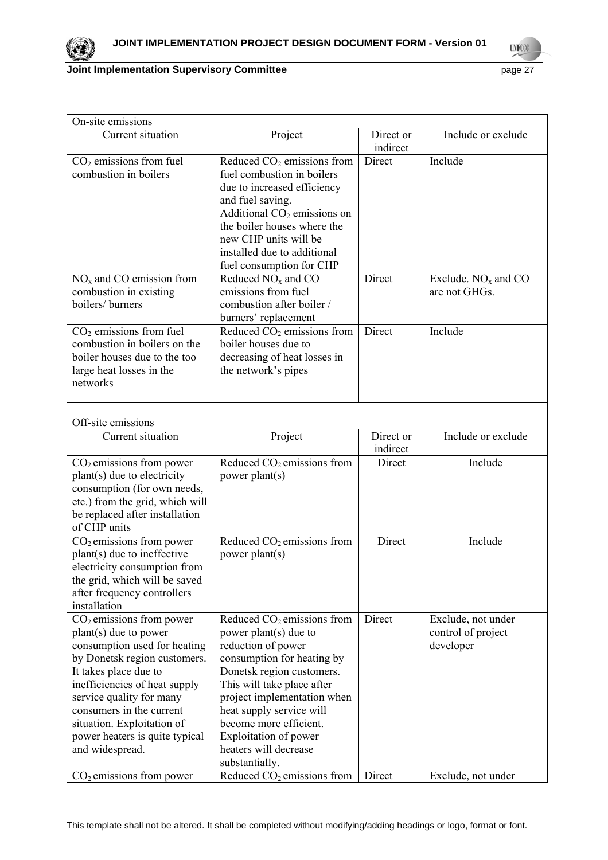

**UNFOCO** 

# **Joint Implementation Supervisory Committee** *page 27* **page 27**

| On-site emissions                                                                                                                                                                                                                                                                                                        |                                                                                                                                                                                                                                                                                                                                         |                       |                                                       |
|--------------------------------------------------------------------------------------------------------------------------------------------------------------------------------------------------------------------------------------------------------------------------------------------------------------------------|-----------------------------------------------------------------------------------------------------------------------------------------------------------------------------------------------------------------------------------------------------------------------------------------------------------------------------------------|-----------------------|-------------------------------------------------------|
| Current situation                                                                                                                                                                                                                                                                                                        | Project                                                                                                                                                                                                                                                                                                                                 | Direct or<br>indirect | Include or exclude                                    |
| $CO2$ emissions from fuel<br>combustion in boilers                                                                                                                                                                                                                                                                       | Reduced $CO2$ emissions from<br>fuel combustion in boilers<br>due to increased efficiency<br>and fuel saving.<br>Additional $CO2$ emissions on<br>the boiler houses where the<br>new CHP units will be<br>installed due to additional<br>fuel consumption for CHP                                                                       | Direct                | Include                                               |
| $NOx$ and CO emission from<br>combustion in existing<br>boilers/ burners                                                                                                                                                                                                                                                 | Reduced $NOx$ and $CO$<br>emissions from fuel<br>combustion after boiler /<br>burners' replacement                                                                                                                                                                                                                                      | Direct                | Exclude. $NOx$ and $CO$<br>are not GHGs.              |
| $CO2$ emissions from fuel<br>combustion in boilers on the<br>boiler houses due to the too<br>large heat losses in the<br>networks                                                                                                                                                                                        | Reduced $CO2$ emissions from<br>boiler houses due to<br>decreasing of heat losses in<br>the network's pipes                                                                                                                                                                                                                             | Direct                | Include                                               |
| Off-site emissions                                                                                                                                                                                                                                                                                                       |                                                                                                                                                                                                                                                                                                                                         |                       |                                                       |
| Current situation                                                                                                                                                                                                                                                                                                        | Project                                                                                                                                                                                                                                                                                                                                 | Direct or<br>indirect | Include or exclude                                    |
| $CO2$ emissions from power<br>plant(s) due to electricity<br>consumption (for own needs,<br>etc.) from the grid, which will<br>be replaced after installation<br>of CHP units                                                                                                                                            | Reduced $CO2$ emissions from<br>power plant(s)                                                                                                                                                                                                                                                                                          | Direct                | Include                                               |
| $CO2$ emissions from power<br>plant(s) due to ineffective<br>electricity consumption from<br>the grid, which will be saved<br>after frequency controllers<br>installation                                                                                                                                                | Reduced CO <sub>2</sub> emissions from<br>power plant(s)                                                                                                                                                                                                                                                                                | Direct                | Include                                               |
| $CO2$ emissions from power<br>plant(s) due to power<br>consumption used for heating<br>by Donetsk region customers.<br>It takes place due to<br>inefficiencies of heat supply<br>service quality for many<br>consumers in the current<br>situation. Exploitation of<br>power heaters is quite typical<br>and widespread. | Reduced CO <sub>2</sub> emissions from<br>power plant(s) due to<br>reduction of power<br>consumption for heating by<br>Donetsk region customers.<br>This will take place after<br>project implementation when<br>heat supply service will<br>become more efficient.<br>Exploitation of power<br>heaters will decrease<br>substantially. | Direct                | Exclude, not under<br>control of project<br>developer |
| $CO2$ emissions from power                                                                                                                                                                                                                                                                                               | Reduced CO <sub>2</sub> emissions from                                                                                                                                                                                                                                                                                                  | Direct                | Exclude, not under                                    |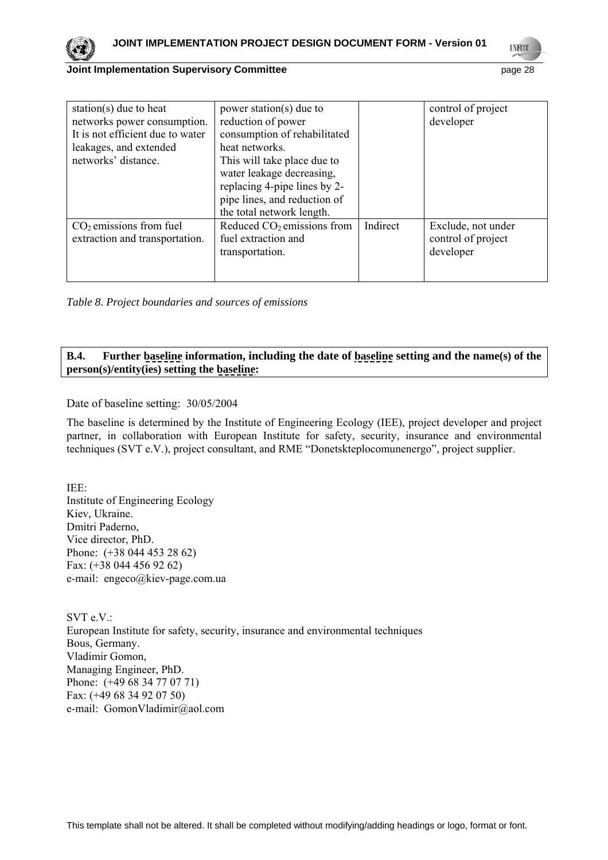

**UNFCO** 

#### **Joint Implementation Supervisory Committee**  page 28

| station(s) due to heat<br>networks power consumption.<br>It is not efficient due to water<br>leakages, and extended<br>networks' distance. | power station(s) due to<br>reduction of power<br>consumption of rehabilitated<br>heat networks.<br>This will take place due to<br>water leakage decreasing,<br>replacing 4-pipe lines by 2-<br>pipe lines, and reduction of |          | control of project<br>developer                       |
|--------------------------------------------------------------------------------------------------------------------------------------------|-----------------------------------------------------------------------------------------------------------------------------------------------------------------------------------------------------------------------------|----------|-------------------------------------------------------|
|                                                                                                                                            | the total network length.                                                                                                                                                                                                   |          |                                                       |
| $CO2$ emissions from fuel<br>extraction and transportation.                                                                                | Reduced $CO2$ emissions from<br>fuel extraction and<br>transportation.                                                                                                                                                      | Indirect | Exclude, not under<br>control of project<br>developer |

*Table 8. Project boundaries and sources of emissions* 

### **B.4. Further baseline information, including the date of baseline setting and the name(s) of the person(s)/entity(ies) setting the baseline:**

Date of baseline setting: 30/05/2004

The baseline is determined by the Institute of Engineering Ecology (IEE), project developer and project partner, in collaboration with European Institute for safety, security, insurance and environmental techniques (SVT e.V.), project consultant, and RME "Donetskteplocomunenergo", project supplier.

IEE: Institute of Engineering Ecology Kiev, Ukraine. Dmitri Paderno, Vice director, PhD. Phone: (+38 044 453 28 62) Fax: (+38 044 456 92 62) e-mail: [engeco@kiev-page.com.ua](mailto:engeco@kiev-page.com.ua)

SVT e.V.: European Institute for safety, security, insurance and environmental techniques Bous, Germany. Vladimir Gomon, Managing Engineer, PhD. Phone: (+49 68 34 77 07 71) Fax: (+49 68 34 92 07 50) e-mail: GomonVladimir@aol.com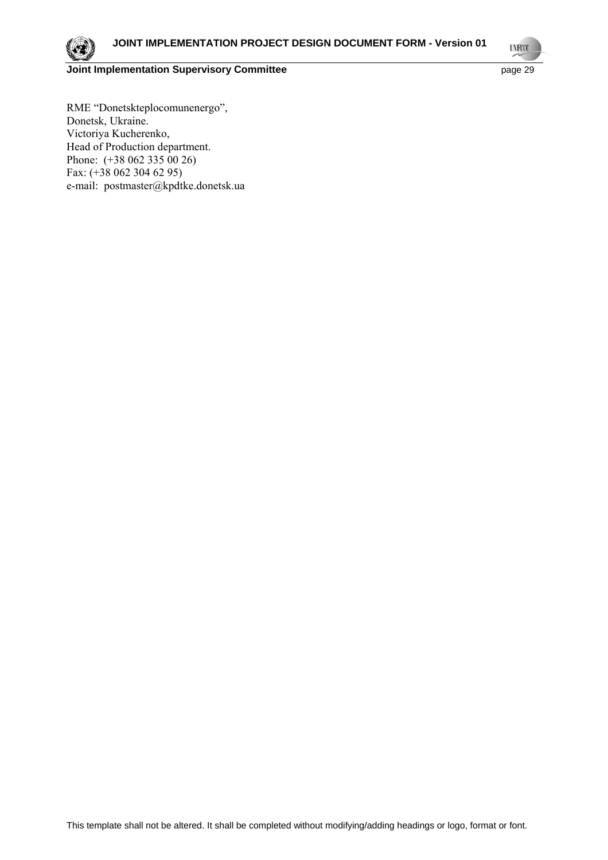

**UNFOOT** 

RME "Donetskteplocomunenergo", Donetsk, Ukraine. Victoriya Kucherenko, Head of Production department. Phone: (+38 062 335 00 26) Fax: (+38 062 304 62 95) e-mail: [postmaster@kpdtke.donetsk.ua](mailto:postmaster@teplo.dn.ua)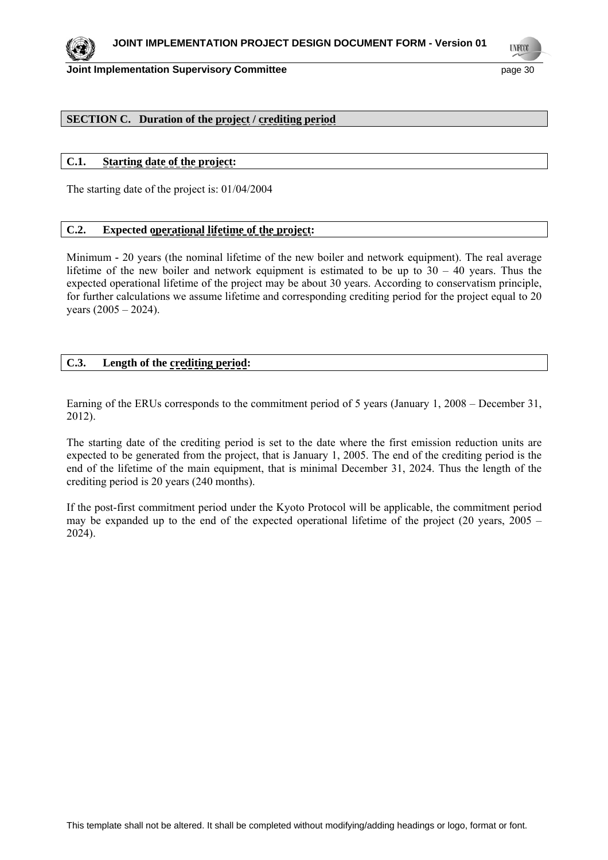

**UNFCO** 

### **SECTION C. Duration of the project / crediting period**

### **C.1. Starting date of the project:**

The starting date of the project is: 01/04/2004

### **C.2. Expected operational lifetime of the project:**

Minimum **-** 20 years (the nominal lifetime of the new boiler and network equipment). The real average lifetime of the new boiler and network equipment is estimated to be up to  $30 - 40$  years. Thus the expected operational lifetime of the project may be about 30 years. According to conservatism principle, for further calculations we assume lifetime and corresponding crediting period for the project equal to 20 years (2005 – 2024).

### **C.3. Length of the crediting period:**

Earning of the ERUs corresponds to the commitment period of 5 years (January 1, 2008 – December 31, 2012).

The starting date of the crediting period is set to the date where the first emission reduction units are expected to be generated from the project, that is January 1, 2005. The end of the crediting period is the end of the lifetime of the main equipment, that is minimal December 31, 2024. Thus the length of the crediting period is 20 years (240 months).

If the post-first commitment period under the Kyoto Protocol will be applicable, the commitment period may be expanded up to the end of the expected operational lifetime of the project (20 years,  $2005 -$ 2024).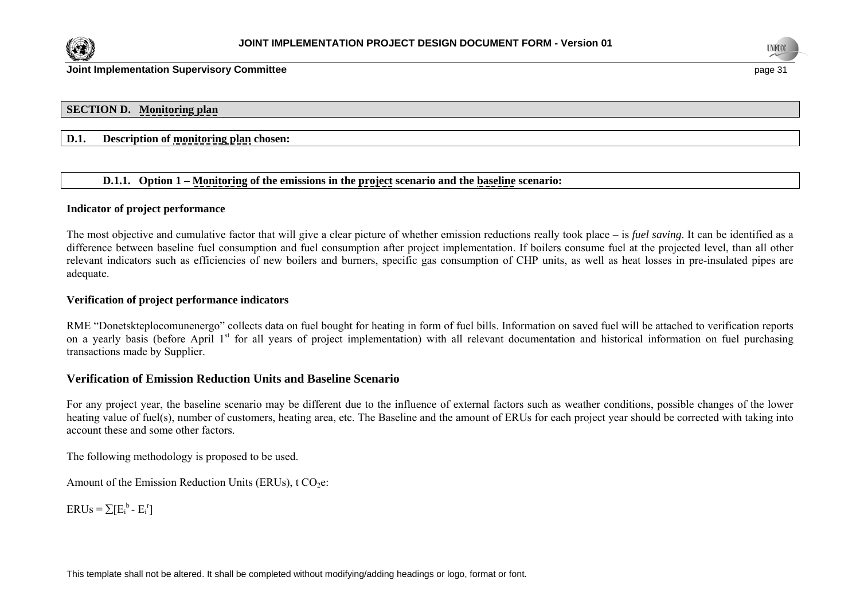



**Joint Implementation Supervisory Committee page 31 and 21 and 22 and 32 and 32 and 32 and 33 and 33 and 33 and 34 and 34 and 35 and 35 and 36 and 36 and 36 and 36 and 36 and 36 and 36 and 36 and 36 and 36 and 36 and 36** 

#### **SECTION D. Monitoring plan**

#### **D.1. Description of monitoring plan chosen:**

### **D.1.1. Option 1 – Monitoring of the emissions in the project scenario and the baseline scenario:**

#### **Indicator of project performance**

The most objective and cumulative factor that will give a clear picture of whether emission reductions really took place – is *fuel saving*. It can be identified as a difference between baseline fuel consumption and fuel consumption after project implementation. If boilers consume fuel at the projected level, than all other relevant indicators such as efficiencies of new boilers and burners, specific gas consumption of CHP units, as well as heat losses in pre-insulated pipes are adequate.

#### **Verification of project performance indicators**

RME "Donetskteplocomunenergo" collects data on fuel bought for heating in form of fuel bills. Information on saved fuel will be attached to verification reports on a yearly basis (before April 1<sup>st</sup> for all years of project implementation) with all relevant documentation and historical information on fuel purchasing transactions made by Supplier.

#### **Verification of Emission Reduction Units and Baseline Scenario**

For any project year, the baseline scenario may be different due to the influence of external factors such as weather conditions, possible changes of the lower heating value of fuel(s), number of customers, heating area, etc. The Baseline and the amount of ERUs for each project year should be corrected with taking into account these and some other factors.

The following methodology is proposed to be used.

Amount of the Emission Reduction Units (ERUs),  $t CO<sub>2</sub>e$ :

 $ERUs = \sum [E_i^b - E_i^r]$ 

This template shall not be altered. It shall be completed without modifying/adding headings or logo, format or font.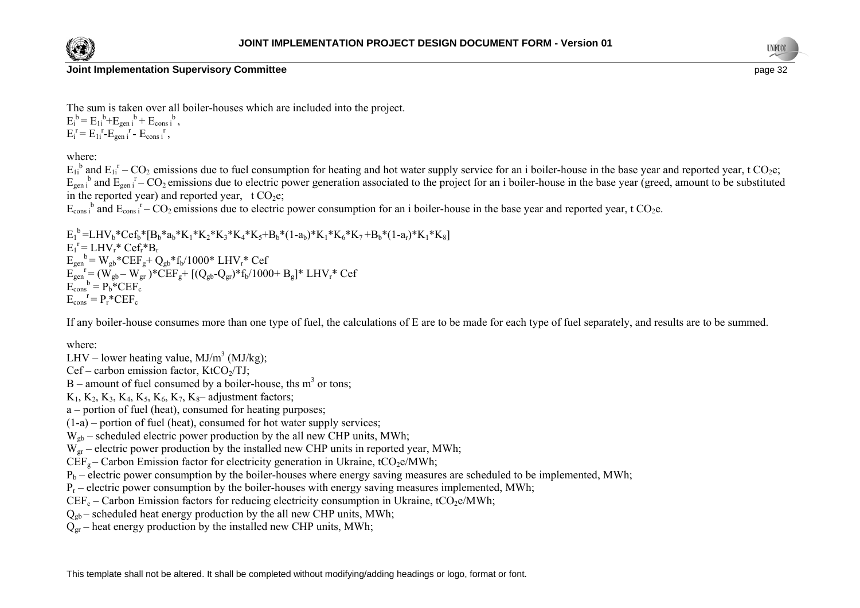



The sum is taken over all boiler-houses which are included into the project.  $E_i^b = E_{1i}^b + E_{gen i}^b + E_{cons i}^b$ 

 $E_i^r = E_{1i}^r - E_{gen i}^r - E_{cons i}^r$ ,

where:

 $E_{1i}^{b}$  and  $E_{1i}^{r}$  – CO<sub>2</sub> emissions due to fuel consumption for heating and hot water supply service for an i boiler-house in the base year and reported year, t CO<sub>2</sub>e;  $E_{gen}$ <sup>b</sup> and  $E_{gen}$ <sup>r</sup> – CO<sub>2</sub> emissions due to electric power generation associated to the project for an i boiler-house in the base year (greed, amount to be substituted in the reported year) and reported year, t  $CO<sub>2</sub>e$ ;

 $E_{\text{cons}}$ <sup>b</sup> and  $E_{\text{cons}}$ <sup>r</sup> – CO<sub>2</sub> emissions due to electric power consumption for an i boiler-house in the base year and reported year, t CO<sub>2</sub>e.

 $E_1^b = LHV_b*Cef_b* [B_b* a_b*K_1*K_2*K_3*K_4*K_5+B_b*(1-a_b)*K_1*K_6*K_7+B_b*(1-a_c)*K_1*K_8]$  $E_1^r = LHV_r^*Cef_r^*B_r$  $E_{gen}^{\text{b}} = W_{gb}^* CEF_{g}^+ Q_{gb}^*f_b/1000^* LHV_r^* Cef$  $E_{gen}^{\qquad r} = (W_{gb} - W_{gr})^* \tilde{C} E F_{g} + [(Q_{gb} - Q_{gr})^* f_b / 1000 + B_g]^* LHV_r^* Cef$  $E_{\text{cons}}^{\bullet} = P_{b}^* E E F_{c}$  $E_{\text{cons}}^{\mathbf{r}} = P_{\mathbf{r}}^* C E F_{\mathbf{c}}$ 

If any boiler-house consumes more than one type of fuel, the calculations of E are to be made for each type of fuel separately, and results are to be summed.

where:

LHV – lower heating value,  $MJ/m<sup>3</sup> (MJ/kg)$ ;

 $Cef$  – carbon emission factor, KtCO<sub>2</sub>/TJ;

 $B$  – amount of fuel consumed by a boiler-house, ths m<sup>3</sup> or tons;

 $K_1, K_2, K_3, K_4, K_5, K_6, K_7, K_8$ – adjustment factors;

a – portion of fuel (heat), consumed for heating purposes;

(1-a) – portion of fuel (heat), consumed for hot water supply services;

 $W_{\text{gh}}$  – scheduled electric power production by the all new CHP units, MWh;

 $W_{\text{gr}}$  – electric power production by the installed new CHP units in reported year, MWh;

 $CEF<sub>g</sub> - Carbon Emission factor for electricity generation in Ukraine, tCO<sub>2</sub>e/MWh;$ 

 $P_b$  – electric power consumption by the boiler-houses where energy saving measures are scheduled to be implemented, MWh;

 $P_r$  – electric power consumption by the boiler-houses with energy saving measures implemented, MWh;

 $CEF_c$  – Carbon Emission factors for reducing electricity consumption in Ukraine, tCO<sub>2</sub>e/MWh;

 $Q_{\text{oh}}$  – scheduled heat energy production by the all new CHP units, MWh;

 $Q_{\text{gr}}$  – heat energy production by the installed new CHP units, MWh;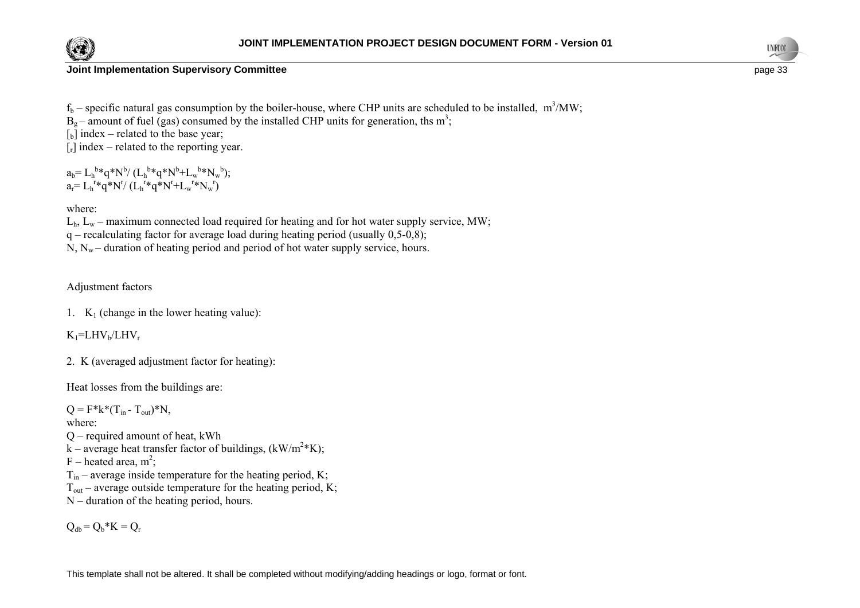



 $f_b$  – specific natural gas consumption by the boiler-house, where CHP units are scheduled to be installed, m<sup>3</sup>/MW;

 $B<sub>o</sub>$  – amount of fuel (gas) consumed by the installed CHP units for generation, ths m<sup>3</sup>;

 $\lceil_{b}$  index – related to the base year;

 $[r]$  index – related to the reporting year.

 $a_b = L_h^{b*}q^*N^b/(L_h^{b*}q^*N^b+L_w^{b*}N_w^{b});$  $a_r = L_h^{r*}q^*N^r/(L_h^{r*}q^*N^r+L_w^{r*}N_w^{r})$ 

where:

 $L<sub>h</sub>$ ,  $L<sub>w</sub>$  – maximum connected load required for heating and for hot water supply service, MW;

 $q$  – recalculating factor for average load during heating period (usually 0,5-0,8);

 $N, N_w$  – duration of heating period and period of hot water supply service, hours.

### Adjustment factors

1.  $K_1$  (change in the lower heating value):

 $K_1$ =LHV<sub>b</sub>/LHV<sub>r</sub>

2. K (averaged adjustment factor for heating):

Heat losses from the buildings are:

 $Q = F^*k^*(T_{in} - T_{out})^*N$ ,

where:

Q – required amount of heat, kWh

k – average heat transfer factor of buildings,  $(kW/m^2*K)$ ;

F – heated area,  $m^2$ ;

 $T_{in}$  – average inside temperature for the heating period, K;

 $T_{\text{out}}$  – average outside temperature for the heating period, K;

N – duration of the heating period, hours.

 $Q_{db} = Q_b * K = Q_r$ 

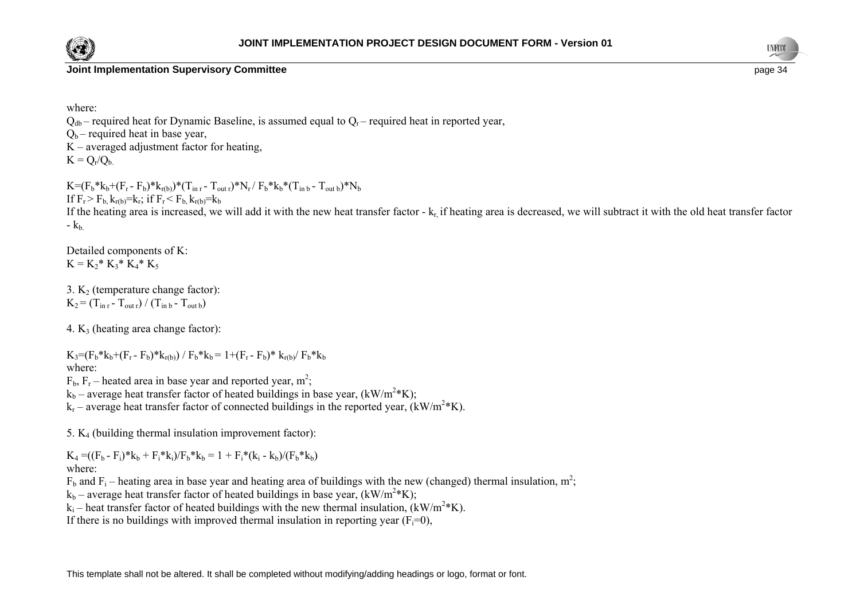



where:

 $Q_{db}$  – required heat for Dynamic Baseline, is assumed equal to  $Q_{r}$  – required heat in reported year,  $Q_b$  – required heat in base year,  $K$  – averaged adjustment factor for heating,  $K = Q_r/Q_b$ 

 $K=(F_b* k_b+(F_r-F_b)*k_{r(b)})*(T_{\text{in }r} - T_{\text{out }r})*N_r/F_b* k_b*(T_{\text{in }b} - T_{\text{out }b})*N_b$ If  $F_r > F_b$ ,  $k_{r(b)} = k_r$ ; if  $F_r < F_b$ ,  $k_{r(b)} = k_b$ If the heating area is increased, we will add it with the new heat transfer factor  $-k<sub>r</sub>$  if heating area is decreased, we will subtract it with the old heat transfer factor  $-k<sub>b</sub>$ 

Detailed components of K:  $K = K_2^* K_3^* K_4^* K_5$ 

3.  $K_2$  (temperature change factor):  $K_2 = (T_{\text{in }r} - T_{\text{out }r}) / (T_{\text{in }b} - T_{\text{out }b})$ 

4.  $K_3$  (heating area change factor):

 $K_3=(F_b* k_b+(F_r-F_b)*k_{r(b)})$  /  $F_b* k_b = 1+(F_r-F_b)*k_{r(b)}$  /  $F_b* k_b$ where:  $F<sub>b</sub>$ ,  $F<sub>r</sub>$  – heated area in base year and reported year, m<sup>2</sup>;

 $k_b$  – average heat transfer factor of heated buildings in base year, (kW/m<sup>2</sup>\*K):

 $k_r$  – average heat transfer factor of connected buildings in the reported year,  $(kW/m^2*K)$ .

5.  $K_4$  (building thermal insulation improvement factor):

 $K_4 = ((F_b - F_i)^*k_b + F_i^*k_i)/F_b^*k_b = 1 + F_i^*(k_i - k_b)/(F_b^*k_b)$ where:

 $F_b$  and  $F_i$  – heating area in base year and heating area of buildings with the new (changed) thermal insulation, m<sup>2</sup>;

 $k_b$  – average heat transfer factor of heated buildings in base year, (kW/m<sup>2</sup>\*K);

 $k_i$  – heat transfer factor of heated buildings with the new thermal insulation,  $(kW/m^2*K)$ .

If there is no buildings with improved thermal insulation in reporting year  $(F_i=0)$ ,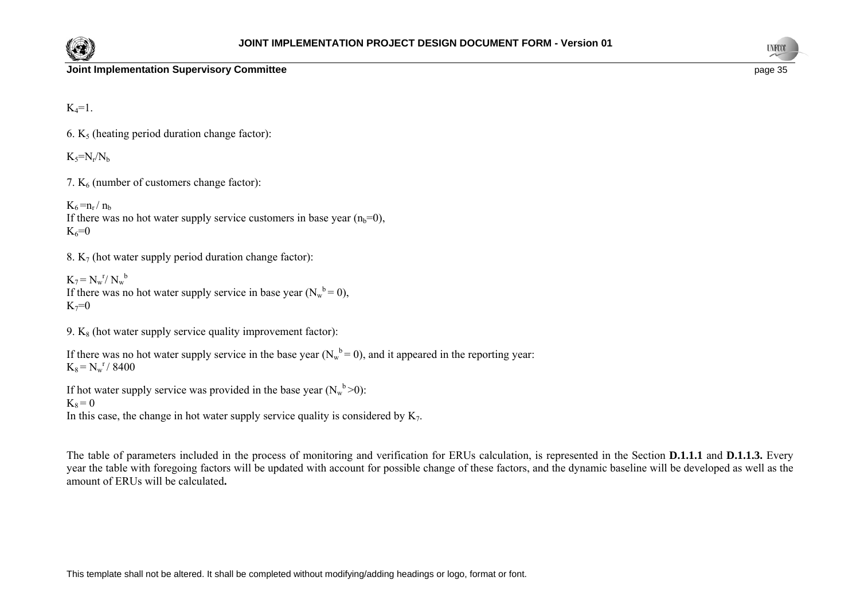



 $K_4=1$ .

6.  $K<sub>5</sub>$  (heating period duration change factor):

 $K_5=N_r/N_b$ 

7.  $K<sub>6</sub>$  (number of customers change factor):

 $K_6 = n_r / n_b$ If there was no hot water supply service customers in base year  $(n_b=0)$ ,  $K_6 = 0$ 

8.  $K_7$  (hot water supply period duration change factor):

 $K_7 = N_w^r / N_w^b$ If there was no hot water supply service in base year  $(N_w^b = 0)$ ,  $K_7=0$ 

9.  $K_8$  (hot water supply service quality improvement factor):

If there was no hot water supply service in the base year  $(N_w^b = 0)$ , and it appeared in the reporting year:  $K_8 = N_w^r / 8400$ 

If hot water supply service was provided in the base year  $(N_w^b > 0)$ :

### $K_8 = 0$

In this case, the change in hot water supply service quality is considered by  $K_7$ .

The table of parameters included in the process of monitoring and verification for ERUs calculation, is represented in the Section **D.1.1.1** and **D.1.1.3.** Every year the table with foregoing factors will be updated with account for possible change of these factors, and the dynamic baseline will be developed as well as the amount of ERUs will be calculated**.**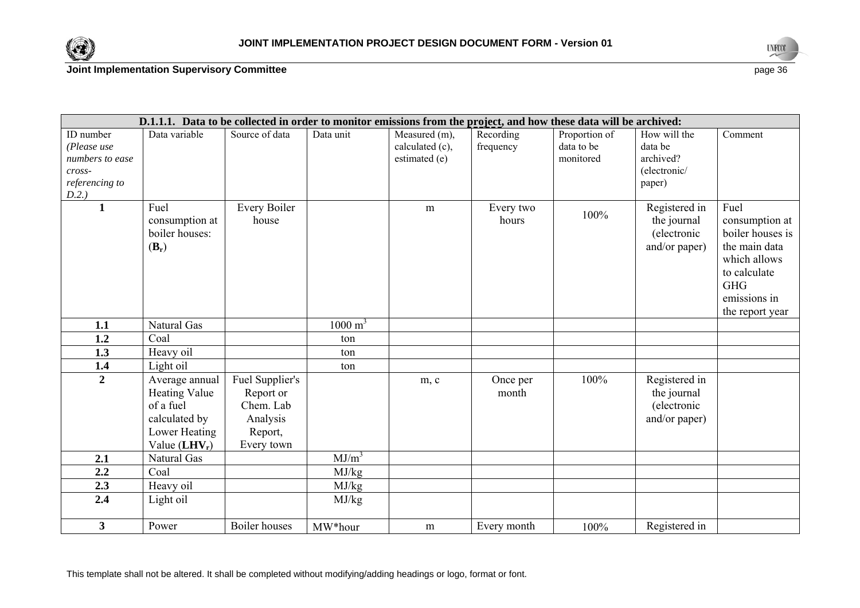



|                                                                                  |                                                                                                          | D.1.1.1. Data to be collected in order to monitor emissions from the project, and how these data will be archived: |                    |                                                   |                        |                                          |                                                                |                                                                                                                                              |
|----------------------------------------------------------------------------------|----------------------------------------------------------------------------------------------------------|--------------------------------------------------------------------------------------------------------------------|--------------------|---------------------------------------------------|------------------------|------------------------------------------|----------------------------------------------------------------|----------------------------------------------------------------------------------------------------------------------------------------------|
| ID number<br>(Please use<br>numbers to ease<br>cross-<br>referencing to<br>D.2.) | Data variable                                                                                            | Source of data                                                                                                     | Data unit          | Measured (m),<br>calculated (c),<br>estimated (e) | Recording<br>frequency | Proportion of<br>data to be<br>monitored | How will the<br>data be<br>archived?<br>(electronic/<br>paper) | Comment                                                                                                                                      |
| $\mathbf{1}$                                                                     | Fuel<br>consumption at<br>boiler houses:<br>$(\mathbf{B}_r)$                                             | Every Boiler<br>house                                                                                              |                    | m                                                 | Every two<br>hours     | 100%                                     | Registered in<br>the journal<br>(electronic<br>and/or paper)   | Fuel<br>consumption at<br>boiler houses is<br>the main data<br>which allows<br>to calculate<br><b>GHG</b><br>emissions in<br>the report year |
| 1.1                                                                              | Natural Gas                                                                                              |                                                                                                                    | $1000 \text{ m}^3$ |                                                   |                        |                                          |                                                                |                                                                                                                                              |
| 1.2                                                                              | Coal                                                                                                     |                                                                                                                    | ton                |                                                   |                        |                                          |                                                                |                                                                                                                                              |
| 1.3                                                                              | Heavy oil                                                                                                |                                                                                                                    | ton                |                                                   |                        |                                          |                                                                |                                                                                                                                              |
| 1.4                                                                              | Light oil                                                                                                |                                                                                                                    | ton                |                                                   |                        |                                          |                                                                |                                                                                                                                              |
| $\overline{2}$                                                                   | Average annual<br><b>Heating Value</b><br>of a fuel<br>calculated by<br>Lower Heating<br>Value $(LHV_r)$ | Fuel Supplier's<br>Report or<br>Chem. Lab<br>Analysis<br>Report,<br>Every town                                     |                    | m, c                                              | Once per<br>month      | 100%                                     | Registered in<br>the journal<br>(electronic<br>and/or paper)   |                                                                                                                                              |
| 2.1                                                                              | Natural Gas                                                                                              |                                                                                                                    | $MJ/m^3$           |                                                   |                        |                                          |                                                                |                                                                                                                                              |
| 2.2                                                                              | Coal                                                                                                     |                                                                                                                    | MJ/kg              |                                                   |                        |                                          |                                                                |                                                                                                                                              |
| 2.3                                                                              | Heavy oil                                                                                                |                                                                                                                    | MJ/kg              |                                                   |                        |                                          |                                                                |                                                                                                                                              |
| 2.4                                                                              | Light oil                                                                                                |                                                                                                                    | MJ/kg              |                                                   |                        |                                          |                                                                |                                                                                                                                              |
| 3 <sup>1</sup>                                                                   | Power                                                                                                    | <b>Boiler</b> houses                                                                                               | MW*hour            | m                                                 | Every month            | 100%                                     | Registered in                                                  |                                                                                                                                              |

This template shall not be altered. It shall be completed without modifying/adding headings or logo, format or font.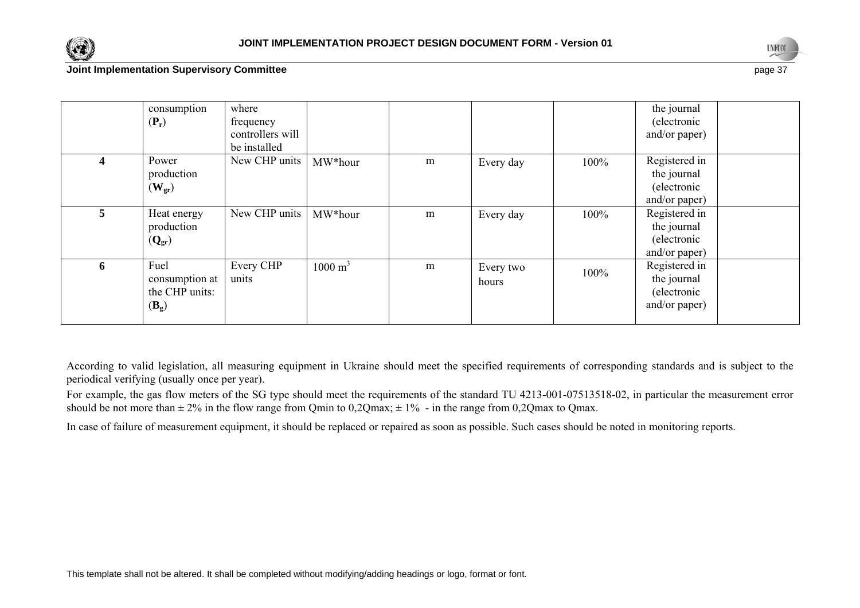



### **Joint Implementation Supervisory Committee** page 3<sup>2</sup>

|   | consumption<br>$(P_r)$                                       | where<br>frequency<br>controllers will<br>be installed |                    |   |                    |      | the journal<br>(electronic<br>and/or paper)                  |  |
|---|--------------------------------------------------------------|--------------------------------------------------------|--------------------|---|--------------------|------|--------------------------------------------------------------|--|
|   | Power<br>production<br>$(\mathbf{W}_{\text{gr}})$            | New CHP units                                          | MW*hour            | m | Every day          | 100% | Registered in<br>the journal<br>(electronic<br>and/or paper) |  |
| 5 | Heat energy<br>production<br>$(Q_{gr})$                      | New CHP units                                          | MW*hour            | m | Every day          | 100% | Registered in<br>the journal<br>(electronic<br>and/or paper) |  |
| 6 | Fuel<br>consumption at<br>the CHP units:<br>$(\mathbf{B}_g)$ | Every CHP<br>units                                     | $1000 \text{ m}^3$ | m | Every two<br>hours | 100% | Registered in<br>the journal<br>(electronic<br>and/or paper) |  |

According to valid legislation, all measuring equipment in Ukraine should meet the specified requirements of corresponding standards and is subject to the periodical verifying (usually once per year).

For example, the gas flow meters of the SG type should meet the requirements of the standard TU 4213-001-07513518-02, in particular the measurement error should be not more than  $\pm 2\%$  in the flow range from Qmin to 0,2Qmax;  $\pm 1\%$  - in the range from 0,2Qmax to Qmax.

In case of failure of measurement equipment, it should be replaced or repaired as soon as possible. Such cases should be noted in monitoring reports.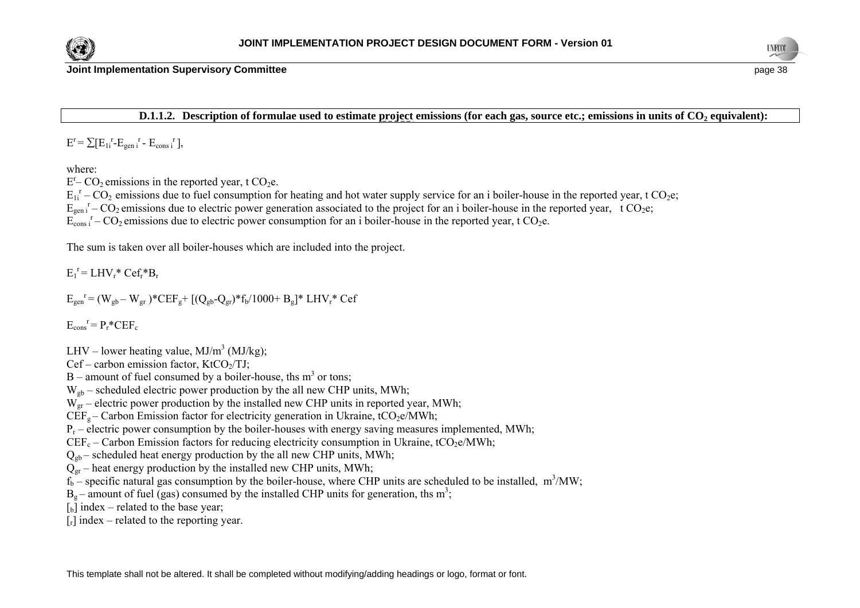



**D.1.1.2.** Description of formulae used to estimate project emissions (for each gas, source etc.; emissions in units of CO<sub>2</sub> equivalent):

 $E^r = \sum [E_{1i}^r - E_{geni}^r - E_{consi}^r],$ 

where:

 $E<sup>r</sup>$ – CO<sub>2</sub> emissions in the reported year, t CO<sub>2</sub>e.

 $E_{1i}^r$  – CO<sub>2</sub> emissions due to fuel consumption for heating and hot water supply service for an i boiler-house in the reported year, t CO<sub>2</sub>e;

 $E_{gen}$ <sup>r</sup> – CO<sub>2</sub> emissions due to electric power generation associated to the project for an i boiler-house in the reported year, t CO<sub>2</sub>e;

 $E_{\text{cons}}$  if – CO<sub>2</sub> emissions due to electric power consumption for an i boiler-house in the reported year, t CO<sub>2</sub>e.

The sum is taken over all boiler-houses which are included into the project.

 $E_1^r = LHV_r^* Cef_r^*B_r$ 

 $E_{gen}^{\{r\}} = (W_{oh} - W_{gr})^* CEF_{g} + [(Q_{oh} - Q_{gr})^* f_h/1000 + B_g]^* LHV_r^* Cef$ 

 $E_{\text{cons}}^{\mathbf{r}} = P_{\mathbf{r}}^* C E F_{\mathbf{c}}$ 

- LHV lower heating value,  $MJ/m<sup>3</sup> (MJ/kg)$ ;
- $Cef$  carbon emission factor, KtCO $\frac{1}{1}$ ;
- $B$  amount of fuel consumed by a boiler-house, ths m<sup>3</sup> or tons;
- $W_{gb}$  scheduled electric power production by the all new CHP units, MWh;
- $W_{gr}$  electric power production by the installed new CHP units in reported year, MWh;

 $CEF<sub>g</sub> - Carbon Emission factor for electricity generation in Ukraine, tCO<sub>2</sub>e/MWh;$ 

 $P_r$  – electric power consumption by the boiler-houses with energy saving measures implemented, MWh;

 $CEF_c$  – Carbon Emission factors for reducing electricity consumption in Ukraine, tCO<sub>2</sub>e/MWh;

 $Q_{\text{ob}}$  – scheduled heat energy production by the all new CHP units, MWh;

 $Q_{\text{gr}}$  – heat energy production by the installed new CHP units, MWh;

 $f_b$  – specific natural gas consumption by the boiler-house, where CHP units are scheduled to be installed, m<sup>3</sup>/MW;

 $B<sub>o</sub>$  – amount of fuel (gas) consumed by the installed CHP units for generation, ths m<sup>3</sup>;

 $\lceil_{b}$  index – related to the base year;

 $[r]$  index – related to the reporting year.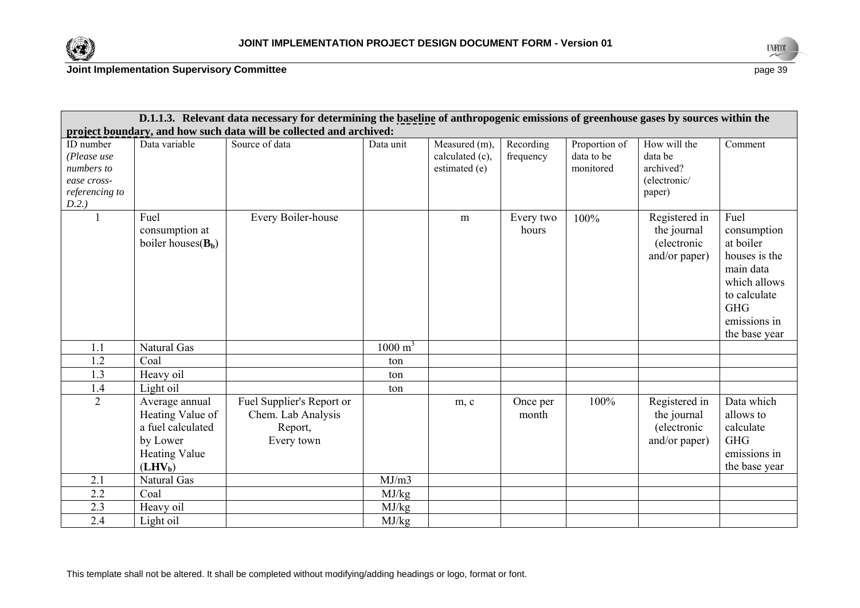



| D.1.1.3. Relevant data necessary for determining the baseline of anthropogenic emissions of greenhouse gases by sources within the |                                                                                                          |                                                                          |                    |                                                   |                        |                                          |                                                                |                                                                                                                                               |
|------------------------------------------------------------------------------------------------------------------------------------|----------------------------------------------------------------------------------------------------------|--------------------------------------------------------------------------|--------------------|---------------------------------------------------|------------------------|------------------------------------------|----------------------------------------------------------------|-----------------------------------------------------------------------------------------------------------------------------------------------|
| project boundary, and how such data will be collected and archived:                                                                |                                                                                                          |                                                                          |                    |                                                   |                        |                                          |                                                                |                                                                                                                                               |
| ID number<br>(Please use<br>numbers to<br>ease cross-<br>referencing to<br>D.2.)                                                   | Data variable                                                                                            | Source of data                                                           | Data unit          | Measured (m),<br>calculated (c),<br>estimated (e) | Recording<br>frequency | Proportion of<br>data to be<br>monitored | How will the<br>data be<br>archived?<br>(electronic/<br>paper) | Comment                                                                                                                                       |
|                                                                                                                                    | Fuel<br>consumption at<br>boiler houses $(B_b)$                                                          | Every Boiler-house                                                       |                    | m                                                 | Every two<br>hours     | 100%                                     | Registered in<br>the journal<br>(electronic<br>and/or paper)   | Fuel<br>consumption<br>at boiler<br>houses is the<br>main data<br>which allows<br>to calculate<br><b>GHG</b><br>emissions in<br>the base year |
| 1.1                                                                                                                                | Natural Gas                                                                                              |                                                                          | $1000 \text{ m}^3$ |                                                   |                        |                                          |                                                                |                                                                                                                                               |
| 1.2                                                                                                                                | Coal                                                                                                     |                                                                          | ton                |                                                   |                        |                                          |                                                                |                                                                                                                                               |
| 1.3                                                                                                                                | Heavy oil                                                                                                |                                                                          | ton                |                                                   |                        |                                          |                                                                |                                                                                                                                               |
| 1.4                                                                                                                                | Light oil                                                                                                |                                                                          | ton                |                                                   |                        |                                          |                                                                |                                                                                                                                               |
| $\overline{2}$                                                                                                                     | Average annual<br>Heating Value of<br>a fuel calculated<br>by Lower<br><b>Heating Value</b><br>$(LHV_b)$ | Fuel Supplier's Report or<br>Chem. Lab Analysis<br>Report,<br>Every town |                    | m, c                                              | Once per<br>month      | 100%                                     | Registered in<br>the journal<br>(electronic<br>and/or paper)   | Data which<br>allows to<br>calculate<br><b>GHG</b><br>emissions in<br>the base year                                                           |
| 2.1                                                                                                                                | <b>Natural Gas</b>                                                                                       |                                                                          | MJ/m3              |                                                   |                        |                                          |                                                                |                                                                                                                                               |
| 2.2                                                                                                                                | Coal                                                                                                     |                                                                          | MJ/kg              |                                                   |                        |                                          |                                                                |                                                                                                                                               |
| $\overline{2.3}$                                                                                                                   | Heavy oil                                                                                                |                                                                          | MJ/kg              |                                                   |                        |                                          |                                                                |                                                                                                                                               |
| 2.4                                                                                                                                | Light oil                                                                                                |                                                                          | MJ/kg              |                                                   |                        |                                          |                                                                |                                                                                                                                               |

This template shall not be altered. It shall be completed without modifying/adding headings or logo, format or font.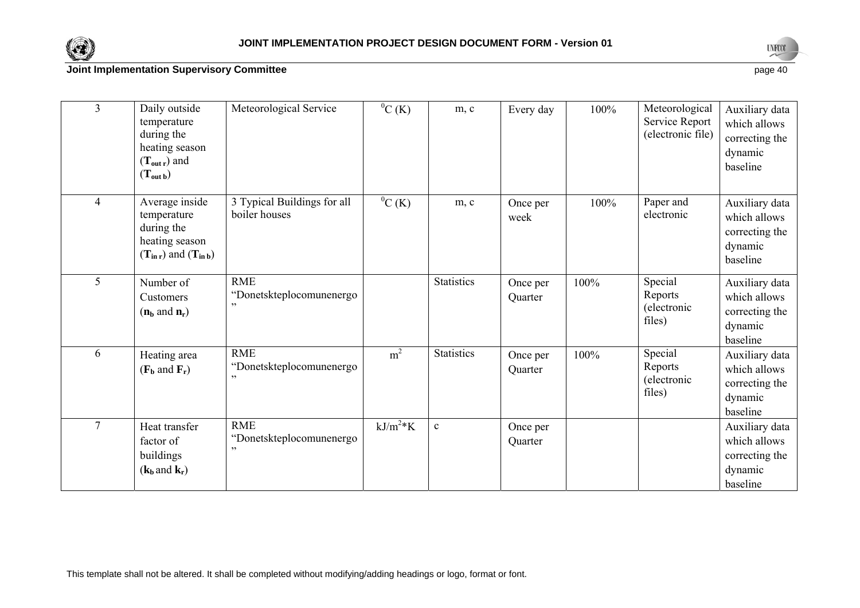



| $\overline{3}$ | Daily outside<br>temperature<br>during the<br>heating season<br>$(T_{out r})$ and<br>$(T_{\text{out }b})$    | Meteorological Service                        | ${}^{0}C(K)$   | m, c              | Every day           | 100% | Meteorological<br>Service Report<br>(electronic file) | Auxiliary data<br>which allows<br>correcting the<br>dynamic<br>baseline |
|----------------|--------------------------------------------------------------------------------------------------------------|-----------------------------------------------|----------------|-------------------|---------------------|------|-------------------------------------------------------|-------------------------------------------------------------------------|
| 4              | Average inside<br>temperature<br>during the<br>heating season<br>$(T_{\text{in }r})$ and $(T_{\text{in }b})$ | 3 Typical Buildings for all<br>boiler houses  | ${}^{0}C(K)$   | m, c              | Once per<br>week    | 100% | Paper and<br>electronic                               | Auxiliary data<br>which allows<br>correcting the<br>dynamic<br>baseline |
| 5              | Number of<br>Customers<br>$(n_b \text{ and } n_r)$                                                           | <b>RME</b><br>"Donetskteplocomunenergo<br>, 2 |                | <b>Statistics</b> | Once per<br>Quarter | 100% | Special<br>Reports<br>(electronic<br>files)           | Auxiliary data<br>which allows<br>correcting the<br>dynamic<br>baseline |
| 6              | Heating area<br>$(\mathbf{F_b}$ and $\mathbf{F_r})$                                                          | <b>RME</b><br>"Donetskteplocomunenergo        | m <sup>2</sup> | <b>Statistics</b> | Once per<br>Quarter | 100% | Special<br>Reports<br>(electronic<br>files)           | Auxiliary data<br>which allows<br>correcting the<br>dynamic<br>baseline |
| $\tau$         | Heat transfer<br>factor of<br>buildings<br>$(\mathbf{k}_b$ and $\mathbf{k}_r)$                               | <b>RME</b><br>"Donetskteplocomunenergo<br>, 1 | $kJ/m^2*K$     | $\mathbf c$       | Once per<br>Quarter |      |                                                       | Auxiliary data<br>which allows<br>correcting the<br>dynamic<br>baseline |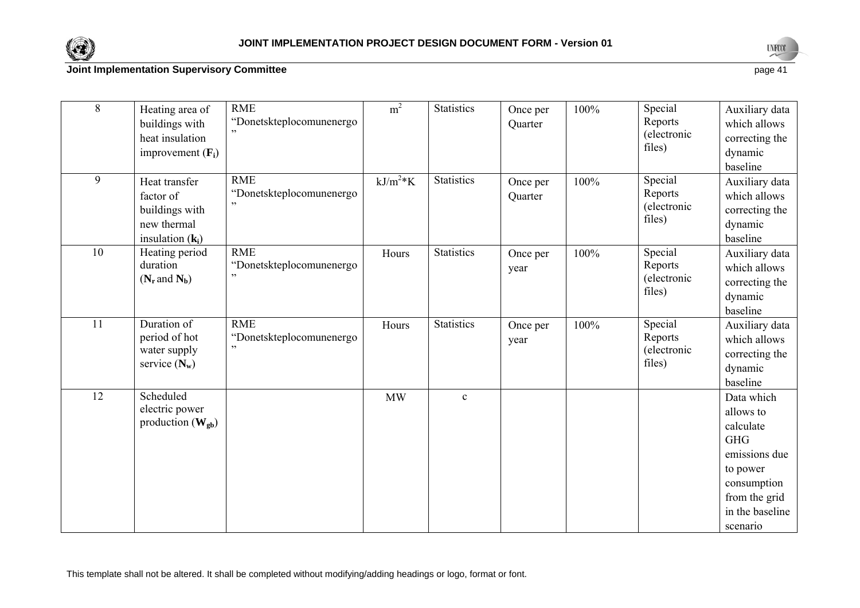



in the baseline scenario

### **Joint Implementation Supervisory Committee** page 41

8 Heating area of buildings with heat insulation improvement (**Fi**) RME "Donetskteplocomunenergo ., m<sup>2</sup> Statistics Once per **Quarter** 100% Special Reports (electronic files) Auxiliary data which allows correcting the dynamic baseline 9 Heat transfer factor of buildings with new thermal insulation (**k**<sub>i</sub>) RME "Donetskteplocomunenergo "  $kJ/m<sup>2</sup>*K$  Statistics Once per **Quarter** 100% Special Reports (electronic files) Auxiliary data which allows correcting the dynamic baseline 10 Heating period duration  $(N_r$  and  $N_b)$ RME "Donetskteplocomunenergo <sub>"</sub> Hours Statistics Once per year 100% Special Reports (electronic files) Auxiliary data which allows correcting the dynamic baseline 11Duration of period of hot water supply service  $(N_w)$ RME "Donetskteplocomunenergo " Hours Statistics Once per year 100% Special Reports (electronic files) Auxiliary data which allows correcting the dynamic baseline 12 Scheduled electric power production  $(\mathbf{W}_{\mathbf{g}\mathbf{b}})$ MW c Data which allows to calculate GHG emissions due to power consumption from the grid

This template shall not be altered. It shall be completed without modifying/adding headings or logo, format or font.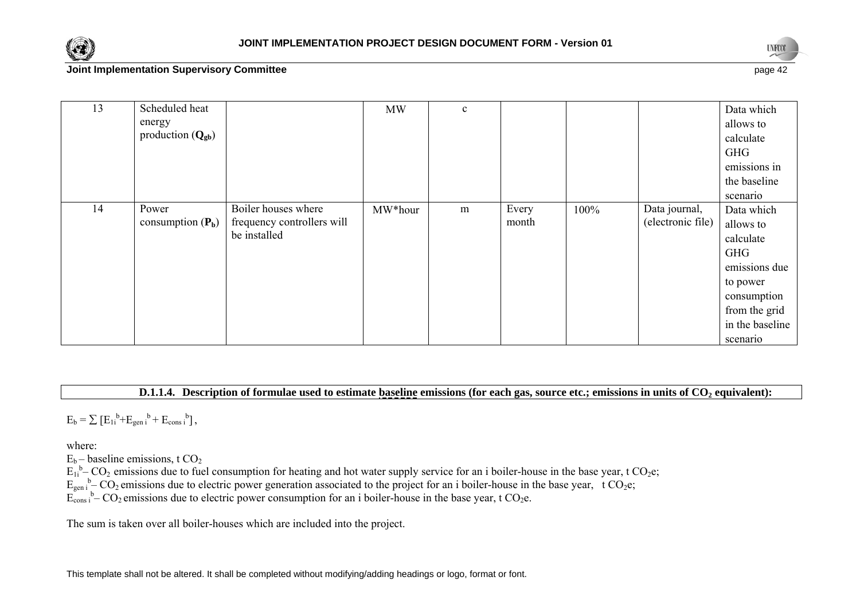



in the baseline scenario

### **Joint Implementation Supervisory Committee** page 42

| 13 | Scheduled heat               |                            | <b>MW</b> | $\mathbf{c}$ |       |      |                   | Data which    |
|----|------------------------------|----------------------------|-----------|--------------|-------|------|-------------------|---------------|
|    | energy                       |                            |           |              |       |      |                   | allows to     |
|    | production $(Q_{\text{gb}})$ |                            |           |              |       |      |                   | calculate     |
|    |                              |                            |           |              |       |      |                   | <b>GHG</b>    |
|    |                              |                            |           |              |       |      |                   | emissions in  |
|    |                              |                            |           |              |       |      |                   | the baseline  |
|    |                              |                            |           |              |       |      |                   | scenario      |
| 14 | Power                        | Boiler houses where        | MW*hour   | m            | Every | 100% | Data journal,     | Data which    |
|    | consumption $(P_b)$          | frequency controllers will |           |              | month |      | (electronic file) | allows to     |
|    |                              | be installed               |           |              |       |      |                   | calculate     |
|    |                              |                            |           |              |       |      |                   | <b>GHG</b>    |
|    |                              |                            |           |              |       |      |                   | emissions due |
|    |                              |                            |           |              |       |      |                   | to power      |
|    |                              |                            |           |              |       |      |                   | consumption   |
|    |                              |                            |           |              |       |      |                   | from the grid |

**D.1.1.4.** Description of formulae used to estimate baseline emissions (for each gas, source etc.; emissions in units of CO<sub>2</sub> equivalent):

 $E_b = \sum [E_{1i}^{b} + E_{gen i}^{b} + E_{cons i}^{b}],$ 

where:

 $E_b$  – baseline emissions, t  $CO_2$ 

 $E_{1i}^{b}$ – CO<sub>2</sub> emissions due to fuel consumption for heating and hot water supply service for an i boiler-house in the base year, t CO<sub>2</sub>e;

 $E_{\text{gen i}}^{\text{b}}$  – CO<sub>2</sub> emissions due to electric power generation associated to the project for an i boiler-house in the base year, t CO<sub>2</sub>e;

 $E_{\text{cons i}}^{\text{gen i}}$  b–  $CO_2$  emissions due to electric power consumption for an i boiler-house in the base year, t  $CO_2$ e.

The sum is taken over all boiler-houses which are included into the project.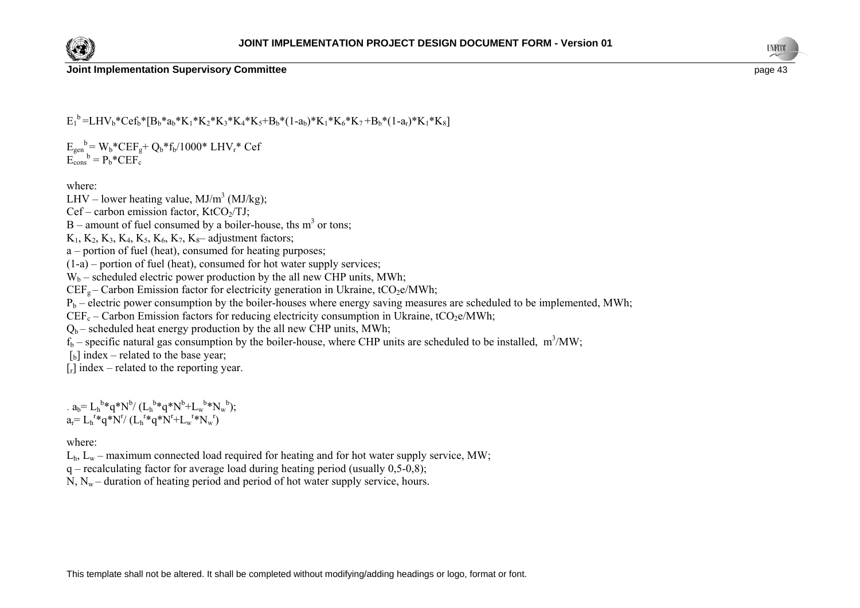



**Joint Implementation Supervisory Committee page 43 page 43 page 43 page 43 page 43** 

 $E_1^b = LHV_b*Cef_b*[B_b* a_b*K_1*K_2*K_3*K_4*K_5+B_b*(1-a_b)*K_1*K_6*K_7+B_b*(1-a_r)*K_1*K_8]$ 

 $E_{gen}^{\ b} = W_b * CEF_g + Q_b * f_b / 1000 * LHV_r * Cef$  $E_{\text{cons}}^{\quad b} = P_b * CEF_c$ 

where:

LHV – lower heating value,  $MJ/m<sup>3</sup> (MJ/kg)$ ;

 $Cef$  – carbon emission factor, KtCO<sub>2</sub>/TJ;

 $B$  – amount of fuel consumed by a boiler-house, ths m<sup>3</sup> or tons;

 $K_1, K_2, K_3, K_4, K_5, K_6, K_7, K_8$ – adjustment factors;

a – portion of fuel (heat), consumed for heating purposes;

 $(1-a)$  – portion of fuel (heat), consumed for hot water supply services;

 $W_b$  – scheduled electric power production by the all new CHP units, MWh;

 $CEF<sub>g</sub> - Carbon Emission factor for electricity generation in Ukraine,  $tCO<sub>2</sub>e/MWh$ ;$ 

 $P_b$  – electric power consumption by the boiler-houses where energy saving measures are scheduled to be implemented, MWh;

 $CEF_c$  – Carbon Emission factors for reducing electricity consumption in Ukraine, tCO<sub>2</sub>e/MWh;

 $Q_b$  – scheduled heat energy production by the all new CHP units, MWh;

 $f_b$  – specific natural gas consumption by the boiler-house, where CHP units are scheduled to be installed, m<sup>3</sup>/MW;

 $\lceil b \rceil$  index – related to the base year;

 $[r]$  index – related to the reporting year.

.  $a_b = L_h^{b*}q^*N^b/(L_h^{b*}q^*N^b+L_w^{b*}N_w^{b});$  $a_r = L_h^{r*}q^*N'/(L_h^{r*}q^*N'+L_w^{r*}N_w^{r})$ 

where:

 $L<sub>h</sub>$ ,  $L<sub>w</sub>$  – maximum connected load required for heating and for hot water supply service, MW;

 $q$  – recalculating factor for average load during heating period (usually 0,5-0,8);

 $N, N_w$  – duration of heating period and period of hot water supply service, hours.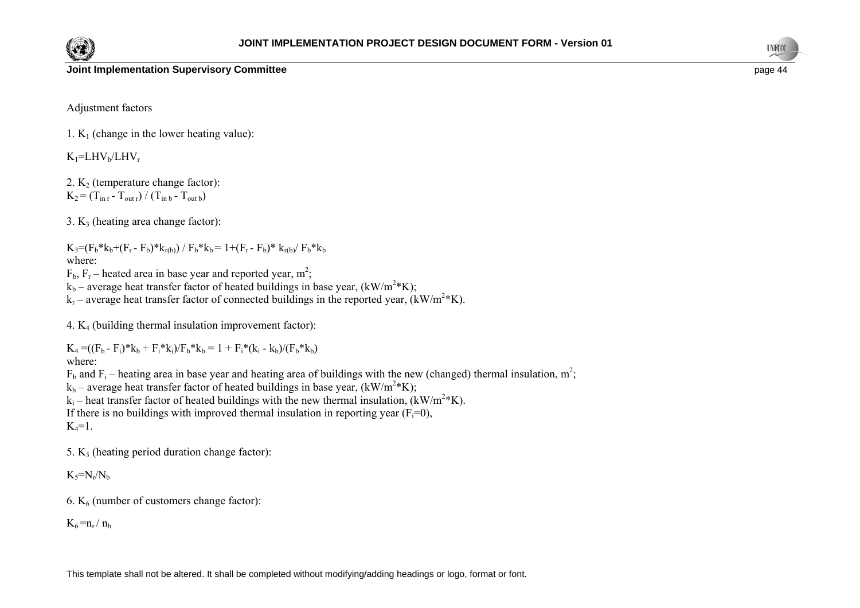



#### **Joint Implementation Supervisory Committee page 44 page 44 page 44 page 44 page 44 page 44**

Adjustment factors

1.  $K_1$  (change in the lower heating value):

 $K_1$ =LHV<sub>b</sub>/LHV<sub>r</sub>

2.  $K_2$  (temperature change factor):  $K_2 = (T_{\text{in }r} - T_{\text{out }r}) / (T_{\text{in }b} - T_{\text{out }b})$ 

3.  $K_3$  (heating area change factor):

 $K_3=(F_b* k_b+(F_r-F_b)*k_{r(b)})$  /  $F_b* k_b = 1+(F_r-F_b)*k_{r(b)}$  /  $F_b* k_b$ where:

 $F<sub>b</sub>$ ,  $F<sub>r</sub>$  – heated area in base year and reported year, m<sup>2</sup>;

 $k_b$  – average heat transfer factor of heated buildings in base year, (kW/m<sup>2\*</sup>K);

 $k_r$  – average heat transfer factor of connected buildings in the reported year,  $(kW/m^2*K)$ .

4. K4 (building thermal insulation improvement factor):

 $K_4 = ((F_b - F_i)^*k_b + F_i^*k_i)/F_b^*k_b = 1 + F_i^*(k_i - k_b)/(F_b^*k_b)$ where:

 $F_b$  and  $F_i$  – heating area in base year and heating area of buildings with the new (changed) thermal insulation, m<sup>2</sup>;

 $k_b$  – average heat transfer factor of heated buildings in base year, (kW/m<sup>2</sup>\*K);

 $k_i$  – heat transfer factor of heated buildings with the new thermal insulation,  $(kW/m^2*K)$ .

If there is no buildings with improved thermal insulation in reporting year  $(F_i=0)$ ,

 $K_4=1$ .

5.  $K<sub>5</sub>$  (heating period duration change factor):

 $K_5=N_r/N_b$ 

6.  $K_6$  (number of customers change factor):

 $K_6 = n_r / n_b$ 

This template shall not be altered. It shall be completed without modifying/adding headings or logo, format or font.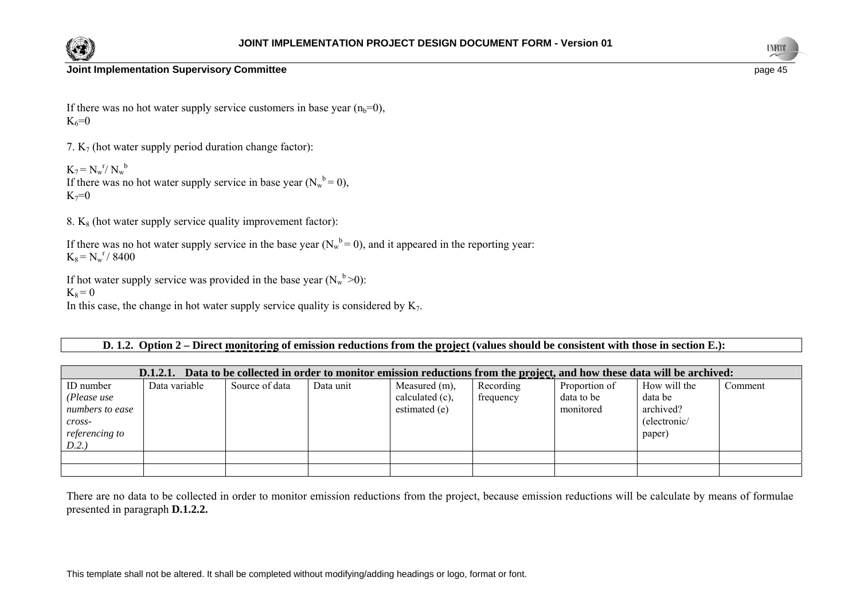



If there was no hot water supply service customers in base year  $(n_b=0)$ ,  $K_6 = 0$ 

7.  $K_7$  (hot water supply period duration change factor):

 $K_7 = N_w^r / N_w^b$ If there was no hot water supply service in base year  $(N_w^b = 0)$ ,  $K_7=0$ 

8.  $K_8$  (hot water supply service quality improvement factor):

If there was no hot water supply service in the base year  $(N_w^b = 0)$ , and it appeared in the reporting year:  $K_8 = N_w^r / 8400$ 

If hot water supply service was provided in the base year  $(N_w^b > 0)$ :

 $K_8 = 0$ 

In this case, the change in hot water supply service quality is considered by  $K_7$ .

### **D. 1.2. Option 2 – Direct monitoring of emission reductions from the project (values should be consistent with those in section E.):**

| Data to be collected in order to monitor emission reductions from the project, and how these data will be archived:<br>D.1.2.1. |               |                |           |                                                      |                        |                                          |                                                                |         |
|---------------------------------------------------------------------------------------------------------------------------------|---------------|----------------|-----------|------------------------------------------------------|------------------------|------------------------------------------|----------------------------------------------------------------|---------|
| ID number<br>(Please use<br>numbers to ease<br>$cross-$<br><i>referencing to</i>                                                | Data variable | Source of data | Data unit | Measured (m),<br>calculated $(c)$ ,<br>estimated (e) | Recording<br>frequency | Proportion of<br>data to be<br>monitored | How will the<br>data be<br>archived?<br>(electronic/<br>paper) | Comment |
| D.2.                                                                                                                            |               |                |           |                                                      |                        |                                          |                                                                |         |
|                                                                                                                                 |               |                |           |                                                      |                        |                                          |                                                                |         |
|                                                                                                                                 |               |                |           |                                                      |                        |                                          |                                                                |         |

There are no data to be collected in order to monitor emission reductions from the project, because emission reductions will be calculate by means of formulae presented in paragraph **D.1.2.2.**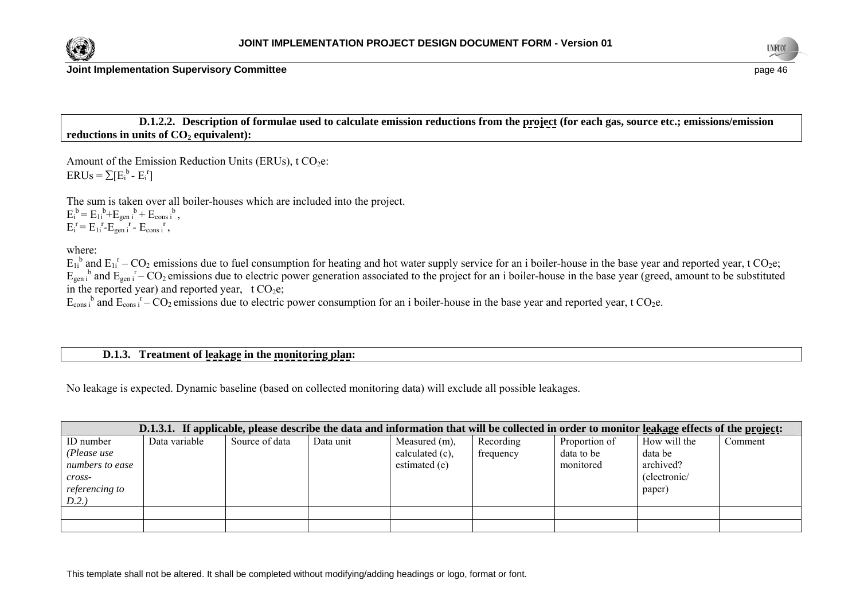



**D.1.2.2. Description of formulae used to calculate emission reductions from the project (for each gas, source etc.; emissions/emission**  reductions in units of  $CO<sub>2</sub>$  equivalent):

Amount of the Emission Reduction Units (ERUs),  $t CO<sub>2</sub>e$ :  $ERUs = \sum [E_i^b - E_i^r]$ 

The sum is taken over all boiler-houses which are included into the project.  $E_i^b = E_{1i}^b + E_{gen}^b + E_{cons}^b$ ,  $E_i^r = E_{1i}^r - E_{gen i}^r - E_{cons i}^r$ ,

where:

 $E_{1i}^{b}$  and  $E_{1i}^{r}$  – CO<sub>2</sub> emissions due to fuel consumption for heating and hot water supply service for an i boiler-house in the base year and reported year, t CO<sub>2</sub>e;  $E_{gen}$ <sup>b</sup> and  $E_{gen}$ <sup>r</sup> – CO<sub>2</sub> emissions due to electric power generation associated to the project for an i boiler-house in the base year (greed, amount to be substituted in the reported year) and reported year,  $t CO<sub>2</sub>e$ ;

 $E_{\text{cons}}$ <sup>b</sup> and  $E_{\text{cons}}$ <sup>r</sup> – CO<sub>2</sub> emissions due to electric power consumption for an i boiler-house in the base year and reported year, t CO<sub>2</sub>e.

### **D.1.3. Treatment of leakage in the monitoring plan:**

No leakage is expected. Dynamic baseline (based on collected monitoring data) will exclude all possible leakages.

| D.1.3.1. If applicable, please describe the data and information that will be collected in order to monitor leakage effects of the project: |               |                |           |                 |           |               |              |         |
|---------------------------------------------------------------------------------------------------------------------------------------------|---------------|----------------|-----------|-----------------|-----------|---------------|--------------|---------|
| ID number                                                                                                                                   | Data variable | Source of data | Data unit | Measured (m),   | Recording | Proportion of | How will the | Comment |
| (Please use                                                                                                                                 |               |                |           | calculated (c), | frequency | data to be    | data be      |         |
| numbers to ease                                                                                                                             |               |                |           | estimated (e)   |           | monitored     | archived?    |         |
| cross-                                                                                                                                      |               |                |           |                 |           |               | (electronic/ |         |
| <i>referencing to</i>                                                                                                                       |               |                |           |                 |           |               | paper)       |         |
| D.2.                                                                                                                                        |               |                |           |                 |           |               |              |         |
|                                                                                                                                             |               |                |           |                 |           |               |              |         |
|                                                                                                                                             |               |                |           |                 |           |               |              |         |

This template shall not be altered. It shall be completed without modifying/adding headings or logo, format or font.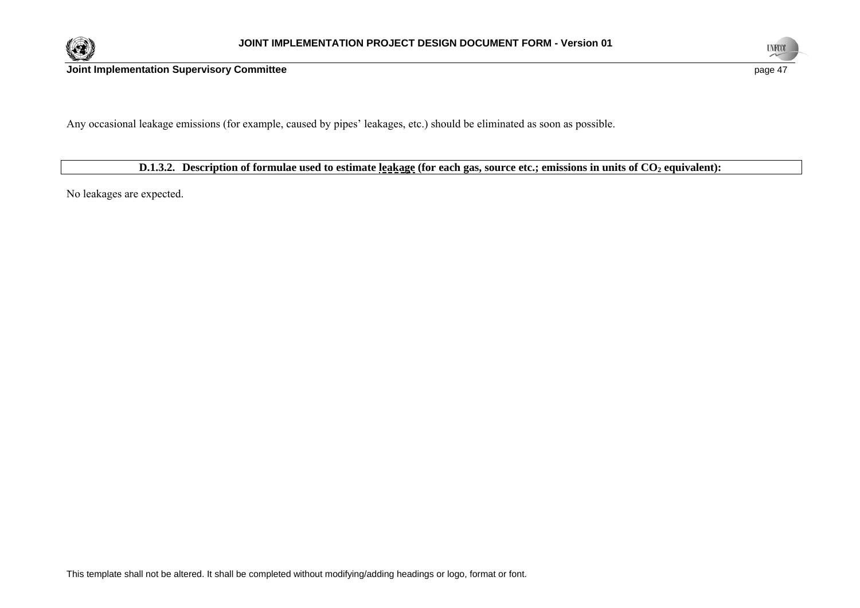



Any occasional leakage emissions (for example, caused by pipes' leakages, etc.) should be eliminated as soon as possible.

**D.1.3.2.** Description of formulae used to estimate leakage (for each gas, source etc.; emissions in units of CO<sub>2</sub> equivalent):

No leakages are expected.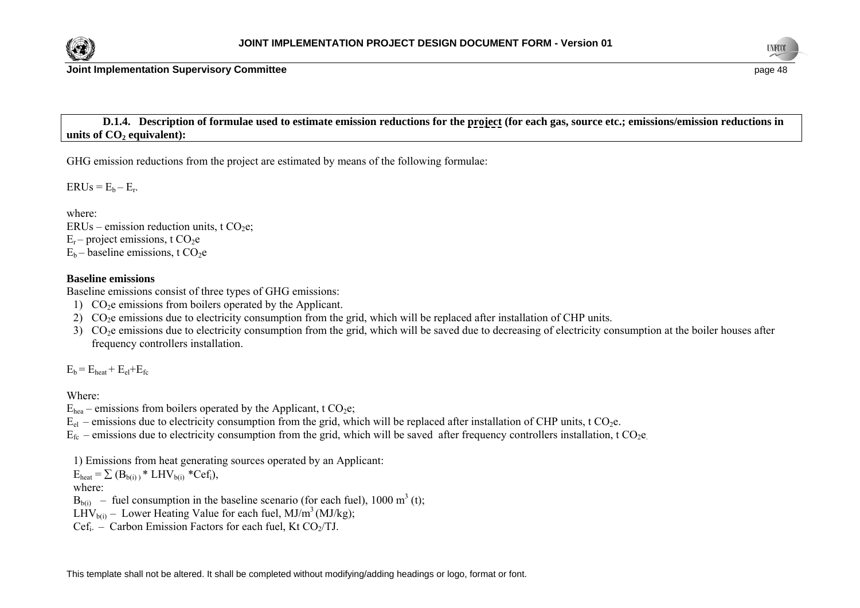



**Joint Implementation Supervisory Committee page 48 page 48 page 48 page 48** 

 **D.1.4. Description of formulae used to estimate emission reductions for the project (for each gas, source etc.; emissions/emission reductions in**  units of CO<sub>2</sub> equivalent):

GHG emission reductions from the project are estimated by means of the following formulae:

 $ERUs = E_b - E_r$ .

where: ERUs – emission reduction units, t  $CO<sub>2</sub>e$ ;  $E_r$  – project emissions, t CO<sub>2</sub>e  $E_b$  – baseline emissions, t CO<sub>2</sub>e

### **Baseline emissions**

Baseline emissions consist of three types of GHG emissions:

- 1)  $CO<sub>2</sub>e$  emissions from boilers operated by the Applicant.
- 2) CO<sub>2</sub>e emissions due to electricity consumption from the grid, which will be replaced after installation of CHP units.
- 3) CO<sub>2</sub>e emissions due to electricity consumption from the grid, which will be saved due to decreasing of electricity consumption at the boiler houses after frequency controllers installation.

 $E_b = E_{heat} + E_{el} + E_{fc}$ 

Where:

 $E_{\text{hea}}$  – emissions from boilers operated by the Applicant, t CO<sub>2</sub>e;

 $E_{el}$  – emissions due to electricity consumption from the grid, which will be replaced after installation of CHP units, t CO<sub>2</sub>e.

 $E_{fc}$  – emissions due to electricity consumption from the grid, which will be saved after frequency controllers installation, t CO<sub>2</sub>e.

1) Emissions from heat generating sources operated by an Applicant:

 $E_{\text{heat}} = \sum (B_{\text{b(i)}})^* LHV_{\text{b(i)}} *Cef_i$ ,

where:

 $B<sub>b(ii)</sub>$  – fuel consumption in the baseline scenario (for each fuel), 1000 m<sup>3</sup> (t);

LHV<sub>b(i)</sub> – Lower Heating Value for each fuel, MJ/m<sup>3</sup> (MJ/kg);

 $Cef_i$  – Carbon Emission Factors for each fuel, Kt CO<sub>2</sub>/TJ.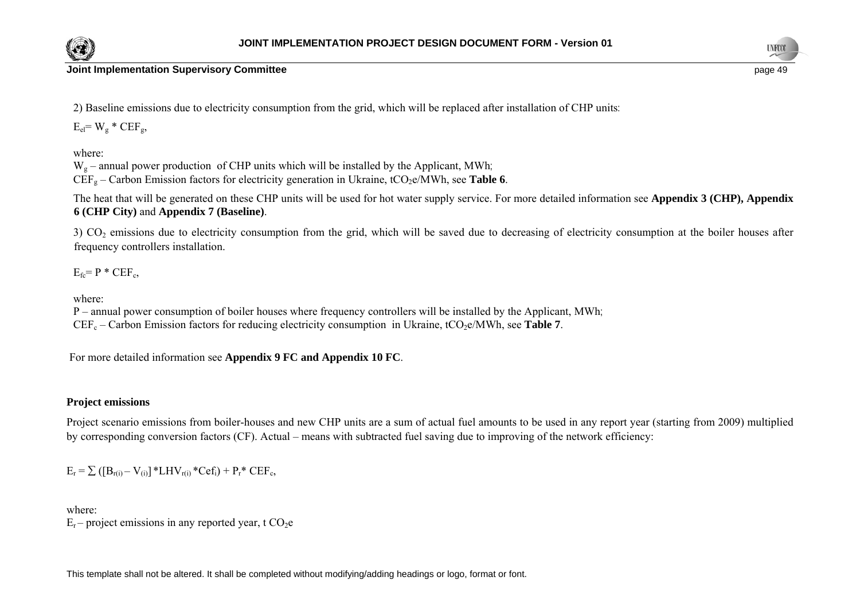



**Joint Implementation Supervisory Committee page 49** and the state of the state of the state of the state of the state of the state of the state of the state of the state of the state of the state of the state of the sta

2) Baseline emissions due to electricity consumption from the grid, which will be replaced after installation of CHP units:

 $E_{el} = W_g * CEF_g$ 

where:

 $W<sub>o</sub>$  – annual power production of CHP units which will be installed by the Applicant, MWh;  $CEF<sub>g</sub> - Carbon Emission factors for electricity generation in Ukraine,  $tCO<sub>2</sub>e/MWh$ , see Table 6.$ 

The heat that will be generated on these CHP units will be used for hot water supply service. For more detailed information see **Appendix 3 (CHP), Appendix 6 (CHP City)** and **Appendix 7 (Baseline)**.

3) CO<sub>2</sub> emissions due to electricity consumption from the grid, which will be saved due to decreasing of electricity consumption at the boiler houses after frequency controllers installation.

 $E_{fc} = P * CEF_c$ 

where:

P – annual power consumption of boiler houses where frequency controllers will be installed by the Applicant, MWh;  $CEF_c - Carbon Emission factors for reducing electricity consumption in Ukraine,  $tCO_2e/MWh$ , see Table 7.$ 

For more detailed information see **Appendix 9 FC and Appendix 10 FC**.

### **Project emissions**

Project scenario emissions from boiler-houses and new CHP units are a sum of actual fuel amounts to be used in any report year (starting from 2009) multiplied by corresponding conversion factors (CF). Actual – means with subtracted fuel saving due to improving of the network efficiency:

 $E_r = \sum_{r=1}^{\infty} ( [B_{r(i)} - V_{(i)}] * LHV_{r(i)} * Cef_i ) + P_r * CEF_c,$ 

where:  $E_r$  – project emissions in any reported year, t CO<sub>2</sub>e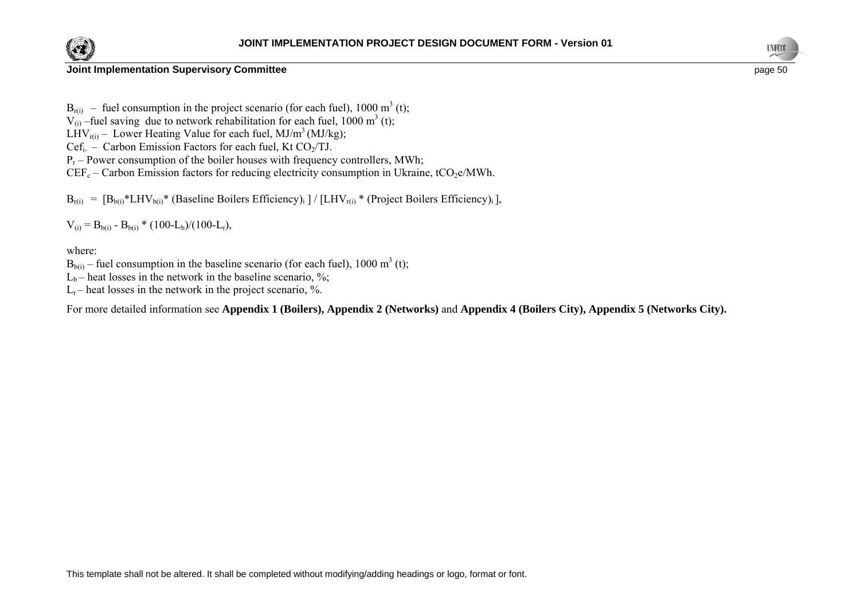



#### **Joint Implementation Supervisory Committee page 50 page 50 page 50 page 50 page 50 page 50 page 50 page 50 page 50 page 50 page 50 page 50 page 50 page 50 page 50 page 50 page 50 page 5**

 $B_{r(i)}$  – fuel consumption in the project scenario (for each fuel), 1000 m<sup>3</sup> (t);

 $V_{(i)}$  –fuel saving due to network rehabilitation for each fuel, 1000 m<sup>3</sup> (t);

LHV<sub>r(i)</sub> – Lower Heating Value for each fuel, MJ/m<sup>3</sup> (MJ/kg);

Cef<sub>i-</sub> – Carbon Emission Factors for each fuel, Kt CO<sub>2</sub>/TJ.

 $P_r$  – Power consumption of the boiler houses with frequency controllers, MWh;

 $CEF_c - Carbon Emission factors for reducing electricity consumption in Ukraine, tCO<sub>2</sub>e/MWh.$ 

 $B_{r(i)} = [B_{b(i)} * LHV_{b(i)} * (Baseline Bollers Efficiency)_{i}] / [LHV_{r(i)} * (Project Bollers Efficiency)_{i}],$ 

 $V_{(i)} = B_{b(i)} - B_{b(i)} * (100-L_b)/(100-L_r),$ 

where:

 $B_{b(i)}$  – fuel consumption in the baseline scenario (for each fuel), 1000 m<sup>3</sup> (t);

 $L_b$  – heat losses in the network in the baseline scenario, %;

 $L_r$  – heat losses in the network in the project scenario, %.

For more detailed information see **Appendix 1 (Boilers), Appendix 2 (Networks)** and **Appendix 4 (Boilers City), Appendix 5 (Networks City).**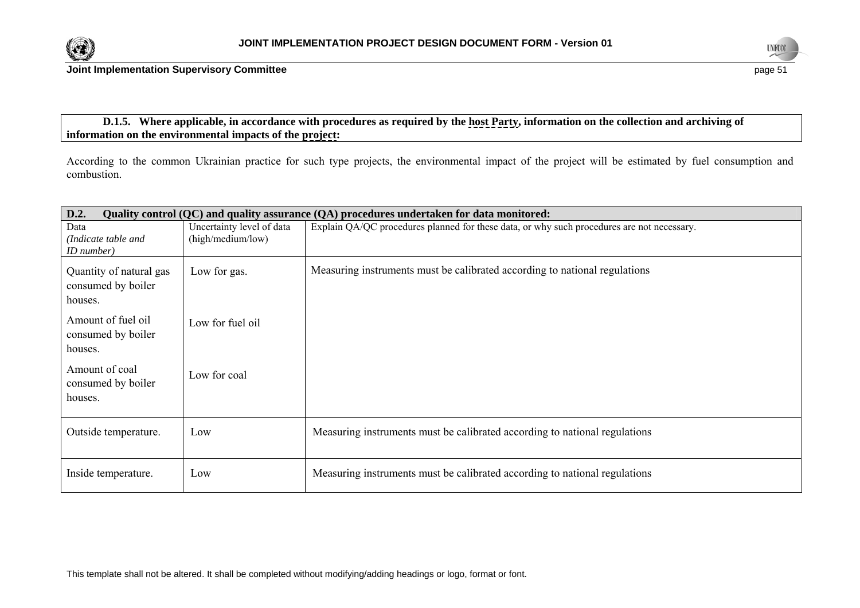



### **D.1.5. Where applicable, in accordance with procedures as required by the host Party, information on the collection and archiving of information on the environmental impacts of the project:**

According to the common Ukrainian practice for such type projects, the environmental impact of the project will be estimated by fuel consumption and combustion.

| D.2.<br>Quality control (QC) and quality assurance (QA) procedures undertaken for data monitored: |                                                |                                                                                            |  |  |  |  |  |
|---------------------------------------------------------------------------------------------------|------------------------------------------------|--------------------------------------------------------------------------------------------|--|--|--|--|--|
| Data<br>(Indicate table and                                                                       | Uncertainty level of data<br>(high/medium/low) | Explain QA/QC procedures planned for these data, or why such procedures are not necessary. |  |  |  |  |  |
| ID number)<br>Quantity of natural gas<br>consumed by boiler<br>houses.                            | Low for gas.                                   | Measuring instruments must be calibrated according to national regulations                 |  |  |  |  |  |
| Amount of fuel oil<br>consumed by boiler<br>houses.                                               | Low for fuel oil                               |                                                                                            |  |  |  |  |  |
| Amount of coal<br>consumed by boiler<br>houses.                                                   | Low for coal                                   |                                                                                            |  |  |  |  |  |
| Outside temperature.                                                                              | Low                                            | Measuring instruments must be calibrated according to national regulations                 |  |  |  |  |  |
| Inside temperature.                                                                               | Low                                            | Measuring instruments must be calibrated according to national regulations                 |  |  |  |  |  |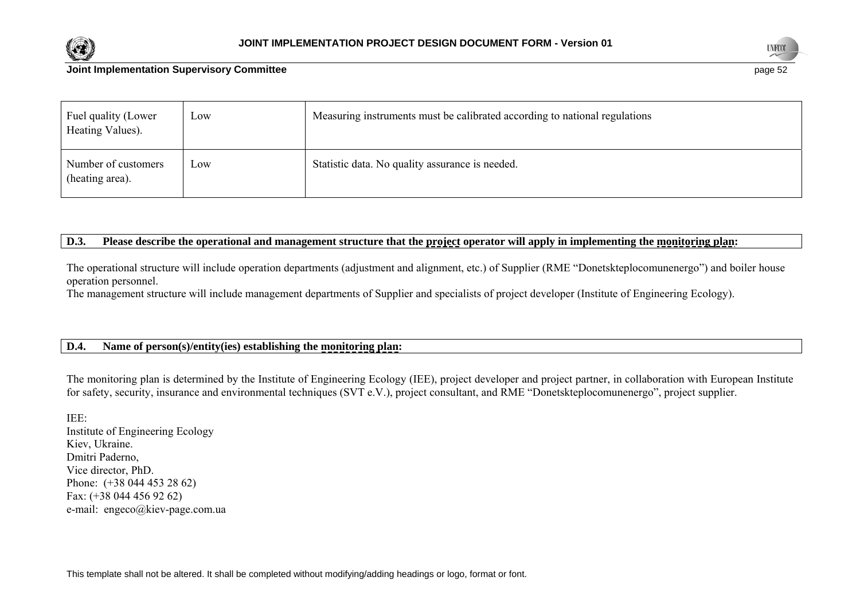



#### **Joint Implementation Supervisory Committee page 52 page 52 page 52 page 52 page 52 page 52 page 52 page 52**

| Fuel quality (Lower<br>Heating Values). | Low | Measuring instruments must be calibrated according to national regulations |
|-----------------------------------------|-----|----------------------------------------------------------------------------|
| Number of customers<br>(heating area).  | Low | Statistic data. No quality assurance is needed.                            |

### **D.3. Please describe the operational and management structure that the project operator will apply in implementing the monitoring plan:**

The operational structure will include operation departments (adjustment and alignment, etc.) of Supplier (RME "Donetskteplocomunenergo") and boiler house operation personnel.

The management structure will include management departments of Supplier and specialists of project developer (Institute of Engineering Ecology).

### **D.4. Name of person(s)/entity(ies) establishing the monitoring plan:**

The monitoring plan is determined by the Institute of Engineering Ecology (IEE), project developer and project partner, in collaboration with European Institute for safety, security, insurance and environmental techniques (SVT e.V.), project consultant, and RME "Donetskteplocomunenergo", project supplier.

IEE: Institute of Engineering Ecology Kiev, Ukraine. Dmitri Paderno, Vice director, PhD. Phone: (+38 044 453 28 62) Fax: (+38 044 456 92 62) e-mail: [engeco@kiev-page.com.ua](mailto:engeco@kiev-page.com.ua)

This template shall not be altered. It shall be completed without modifying/adding headings or logo, format or font.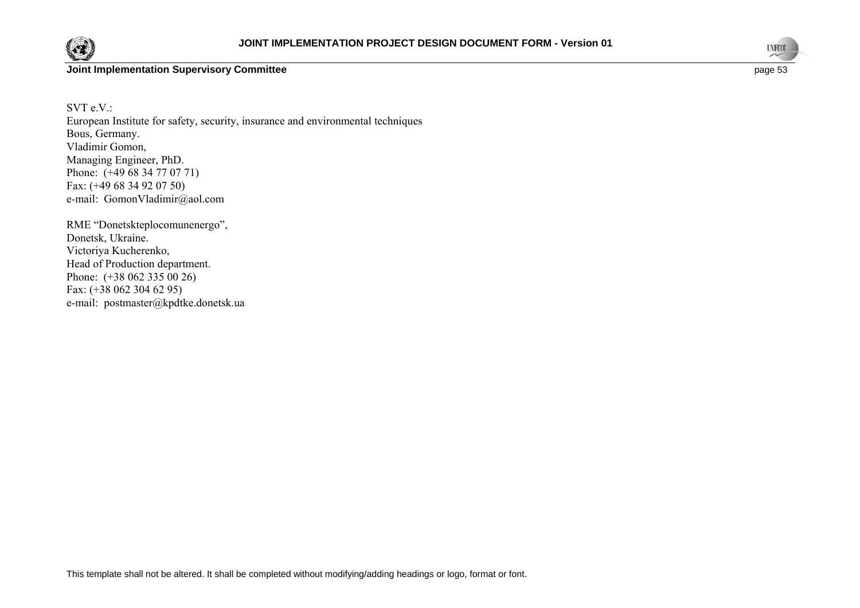



SVT e.V.: European Institute for safety, security, insurance and environmental techniques Bous, Germany. Vladimir Gomon, Managing Engineer, PhD. Phone: (+49 68 34 77 07 71) Fax: (+49 68 34 92 07 50) e-mail: GomonVladimir@aol.com

RME "Donetskteplocomunenergo", Donetsk, Ukraine. Victoriya Kucherenko, Head of Production department. Phone:  $(+380623350026)$ Fax: (+38 062 304 62 95) e-mail: [postmaster@kpdtke.donetsk.ua](mailto:postmaster@teplo.dn.ua)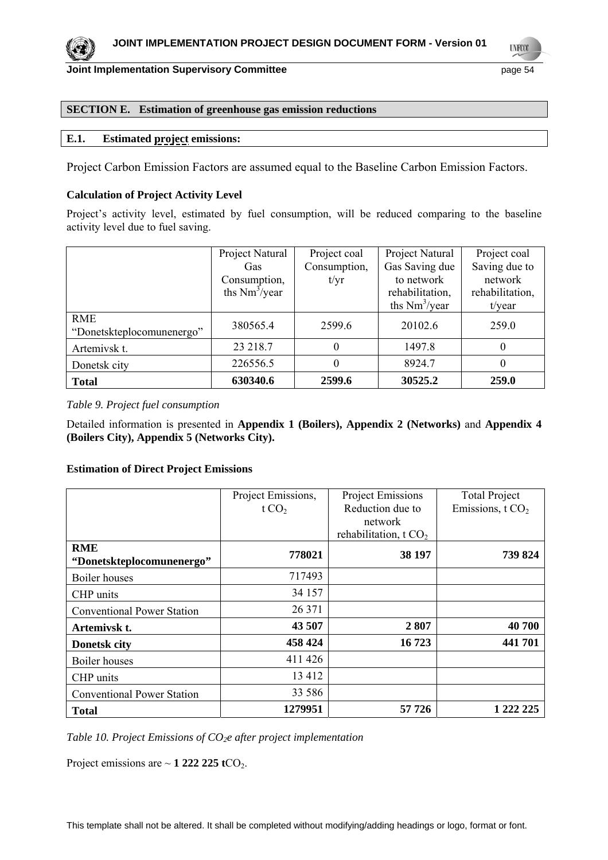

**UNFCO** 

#### **SECTION E. Estimation of greenhouse gas emission reductions**

#### **E.1. Estimated project emissions:**

Project Carbon Emission Factors are assumed equal to the Baseline Carbon Emission Factors.

#### **Calculation of Project Activity Level**

Project's activity level, estimated by fuel consumption, will be reduced comparing to the baseline activity level due to fuel saving.

|                           | Project Natural  | Project coal | Project Natural  | Project coal    |
|---------------------------|------------------|--------------|------------------|-----------------|
|                           | Gas              | Consumption, | Gas Saving due   | Saving due to   |
|                           | Consumption,     | t/yr         | to network       | network         |
|                           | ths $Nm^3$ /year |              | rehabilitation,  | rehabilitation, |
|                           |                  |              | ths $Nm^3$ /year | $t$ /year       |
| <b>RME</b>                | 380565.4         | 2599.6       | 20102.6          | 259.0           |
| "Donetskteplocomunenergo" |                  |              |                  |                 |
| Artemivsk t.              | 23 218.7         | 0            | 1497.8           | $\theta$        |
| Donetsk city              | 226556.5         | 0            | 8924.7           | 0               |
| <b>Total</b>              | 630340.6         | 2599.6       | 30525.2          | 259.0           |

*Table 9. Project fuel consumption* 

Detailed information is presented in **Appendix 1 (Boilers), Appendix 2 (Networks)** and **Appendix 4 (Boilers City), Appendix 5 (Networks City).**

#### **Estimation of Direct Project Emissions**

|                                         | Project Emissions, | <b>Project Emissions</b> | <b>Total Project</b> |
|-----------------------------------------|--------------------|--------------------------|----------------------|
|                                         | t $CO2$            | Reduction due to         | Emissions, $tCO2$    |
|                                         |                    | network                  |                      |
|                                         |                    | rehabilitation, t $CO2$  |                      |
| <b>RME</b><br>"Donetskteplocomunenergo" | 778021             | 38 197                   | 739 824              |
| Boiler houses                           | 717493             |                          |                      |
| CHP units                               | 34 157             |                          |                      |
| <b>Conventional Power Station</b>       | 26 371             |                          |                      |
| Artemivsk t.                            | 43 507             | 2807                     | 40 700               |
| <b>Donetsk city</b>                     | 458 424            | 16723                    | 441 701              |
| Boiler houses                           | 411 426            |                          |                      |
| CHP units                               | 13 4 12            |                          |                      |
| <b>Conventional Power Station</b>       | 33 586             |                          |                      |
| <b>Total</b>                            | 1279951            | 57 726                   | 1 222 225            |

Table 10. Project Emissions of CO<sub>2</sub>e after project implementation

Project emissions are  $\sim$  1 222 225 tCO<sub>2</sub>.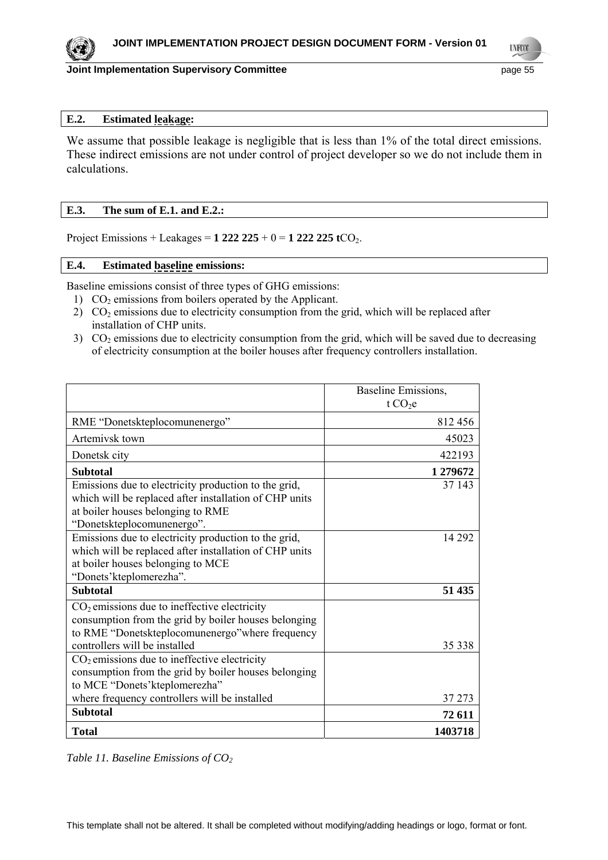

### **Joint Implementation Supervisory Committee Access 2018 12:33 Page 55** page 55

**UNFCO** 

#### **E.2. Estimated leakage:**

We assume that possible leakage is negligible that is less than 1% of the total direct emissions. These indirect emissions are not under control of project developer so we do not include them in calculations.

#### **E.3. The sum of E.1. and E.2.:**

Project Emissions + Leakages = **1 222 225** + 0 = **1 222 225 t**CO2.

#### **E.4. Estimated baseline emissions:**

Baseline emissions consist of three types of GHG emissions:

- 1)  $CO<sub>2</sub>$  emissions from boilers operated by the Applicant.
- 2)  $CO<sub>2</sub>$  emissions due to electricity consumption from the grid, which will be replaced after installation of CHP units.
- 3)  $CO<sub>2</sub>$  emissions due to electricity consumption from the grid, which will be saved due to decreasing of electricity consumption at the boiler houses after frequency controllers installation.

|                                                                 | Baseline Emissions, |
|-----------------------------------------------------------------|---------------------|
|                                                                 | t CO <sub>2</sub> e |
| RME "Donetskteplocomunenergo"                                   | 812456              |
| Artemivsk town                                                  | 45023               |
| Donetsk city                                                    | 422193              |
| <b>Subtotal</b>                                                 | 1279672             |
| Emissions due to electricity production to the grid,            | 37 143              |
| which will be replaced after installation of CHP units          |                     |
| at boiler houses belonging to RME<br>"Donetskteplocomunenergo". |                     |
| Emissions due to electricity production to the grid,            | 14 29 2             |
| which will be replaced after installation of CHP units          |                     |
| at boiler houses belonging to MCE                               |                     |
| "Donets' kteplomerezha".                                        |                     |
| <b>Subtotal</b>                                                 | 51 435              |
| $CO2$ emissions due to ineffective electricity                  |                     |
| consumption from the grid by boiler houses belonging            |                     |
| to RME "Donetskteplocomunenergo" where frequency                |                     |
| controllers will be installed                                   | 35 338              |
| $CO2$ emissions due to ineffective electricity                  |                     |
| consumption from the grid by boiler houses belonging            |                     |
| to MCE "Donets' kteplomerezha"                                  |                     |
| where frequency controllers will be installed                   | 37 273              |
| <b>Subtotal</b>                                                 | 72 611              |
| <b>Total</b>                                                    | 1403718             |

*Table 11. Baseline Emissions of CO<sub>2</sub>*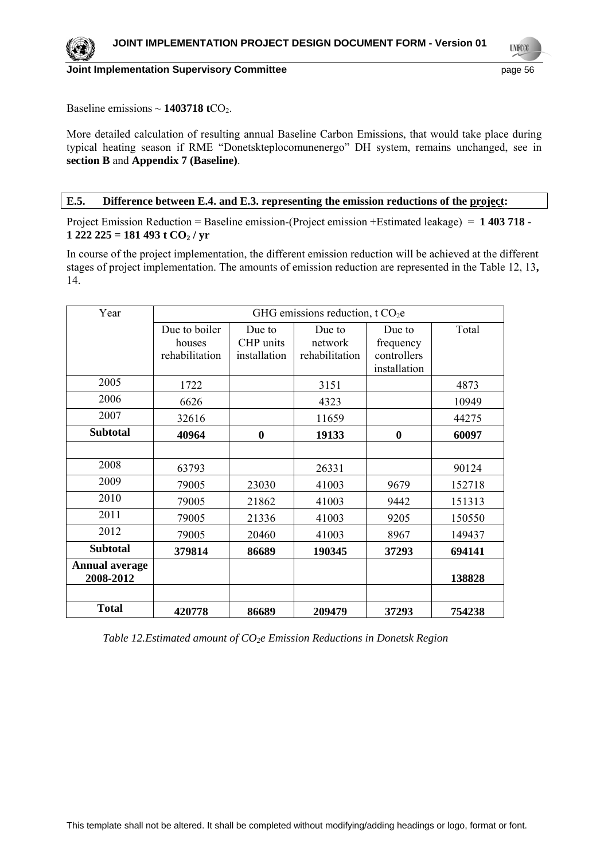

**UNFCO** 

Baseline emissions  $\sim$  **1403718 t**CO<sub>2</sub>.

More detailed calculation of resulting annual Baseline Carbon Emissions, that would take place during typical heating season if RME "Donetskteplocomunenergo" DH system, remains unchanged, see in **section B** and **Appendix 7 (Baseline)**.

#### **E.5. Difference between E.4. and E.3. representing the emission reductions of the project:**

Project Emission Reduction = Baseline emission-(Project emission +Estimated leakage) = **1 403 718 -**   $1 222 225 = 181 493 t CO<sub>2</sub> / yr$ 

In course of the project implementation, the different emission reduction will be achieved at the different stages of project implementation. The amounts of emission reduction are represented in the Table 12, 13**,**  14.

| Year                               | GHG emissions reduction, t CO <sub>2</sub> e |                                     |                                     |                                                    |        |
|------------------------------------|----------------------------------------------|-------------------------------------|-------------------------------------|----------------------------------------------------|--------|
|                                    | Due to boiler<br>houses<br>rehabilitation    | Due to<br>CHP units<br>installation | Due to<br>network<br>rehabilitation | Due to<br>frequency<br>controllers<br>installation | Total  |
| 2005                               | 1722                                         |                                     | 3151                                |                                                    | 4873   |
| 2006                               | 6626                                         |                                     | 4323                                |                                                    | 10949  |
| 2007                               | 32616                                        |                                     | 11659                               |                                                    | 44275  |
| <b>Subtotal</b>                    | 40964                                        | $\bf{0}$                            | 19133                               | $\bf{0}$                                           | 60097  |
|                                    |                                              |                                     |                                     |                                                    |        |
| 2008                               | 63793                                        |                                     | 26331                               |                                                    | 90124  |
| 2009                               | 79005                                        | 23030                               | 41003                               | 9679                                               | 152718 |
| 2010                               | 79005                                        | 21862                               | 41003                               | 9442                                               | 151313 |
| 2011                               | 79005                                        | 21336                               | 41003                               | 9205                                               | 150550 |
| 2012                               | 79005                                        | 20460                               | 41003                               | 8967                                               | 149437 |
| <b>Subtotal</b>                    | 379814                                       | 86689                               | 190345                              | 37293                                              | 694141 |
| <b>Annual average</b><br>2008-2012 |                                              |                                     |                                     |                                                    | 138828 |
| <b>Total</b>                       | 420778                                       | 86689                               | 209479                              | 37293                                              | 754238 |

*Table 12.Estimated amount of CO<sub>2</sub>e Emission Reductions in Donetsk Region*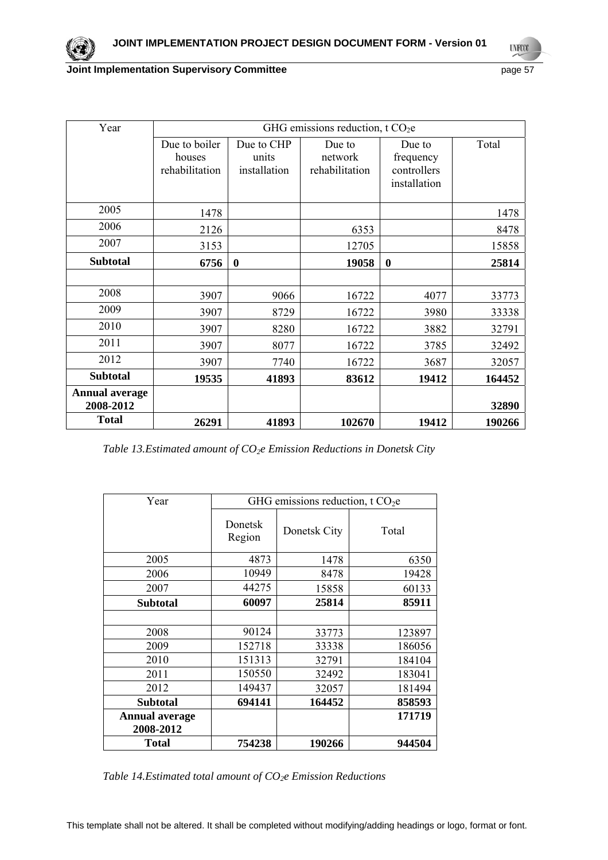**UYECCO** 

### **Joint Implementation Supervisory Committee** *page* **57**

| Year                               | GHG emissions reduction, t CO <sub>2</sub> e |                                     |                                     |                                                    |        |
|------------------------------------|----------------------------------------------|-------------------------------------|-------------------------------------|----------------------------------------------------|--------|
|                                    | Due to boiler<br>houses<br>rehabilitation    | Due to CHP<br>units<br>installation | Due to<br>network<br>rehabilitation | Due to<br>frequency<br>controllers<br>installation | Total  |
| 2005                               | 1478                                         |                                     |                                     |                                                    | 1478   |
| 2006                               | 2126                                         |                                     | 6353                                |                                                    | 8478   |
| 2007                               | 3153                                         |                                     | 12705                               |                                                    | 15858  |
| <b>Subtotal</b>                    | 6756                                         | $\bf{0}$                            | 19058                               | $\bf{0}$                                           | 25814  |
|                                    |                                              |                                     |                                     |                                                    |        |
| 2008                               | 3907                                         | 9066                                | 16722                               | 4077                                               | 33773  |
| 2009                               | 3907                                         | 8729                                | 16722                               | 3980                                               | 33338  |
| 2010                               | 3907                                         | 8280                                | 16722                               | 3882                                               | 32791  |
| 2011                               | 3907                                         | 8077                                | 16722                               | 3785                                               | 32492  |
| 2012                               | 3907                                         | 7740                                | 16722                               | 3687                                               | 32057  |
| <b>Subtotal</b>                    | 19535                                        | 41893                               | 83612                               | 19412                                              | 164452 |
| <b>Annual average</b><br>2008-2012 |                                              |                                     |                                     |                                                    | 32890  |
| <b>Total</b>                       | 26291                                        | 41893                               | 102670                              | 19412                                              | 190266 |

*Table 13.Estimated amount of CO2e Emission Reductions in Donetsk City* 

| Year                               | GHG emissions reduction, t $CO2e$ |              |        |
|------------------------------------|-----------------------------------|--------------|--------|
|                                    | Donetsk<br>Region                 | Donetsk City | Total  |
| 2005                               | 4873                              | 1478         | 6350   |
| 2006                               | 10949                             | 8478         | 19428  |
| 2007                               | 44275                             | 15858        | 60133  |
| <b>Subtotal</b>                    | 60097                             | 25814        | 85911  |
|                                    |                                   |              |        |
| 2008                               | 90124                             | 33773        | 123897 |
| 2009                               | 152718                            | 33338        | 186056 |
| 2010                               | 151313                            | 32791        | 184104 |
| 2011                               | 150550                            | 32492        | 183041 |
| 2012                               | 149437                            | 32057        | 181494 |
| Subtotal                           | 694141                            | 164452       | 858593 |
| <b>Annual average</b><br>2008-2012 |                                   |              | 171719 |
| Total                              | 754238                            | 190266       | 944504 |

*Table 14.Estimated total amount of CO<sub>2</sub>e Emission Reductions*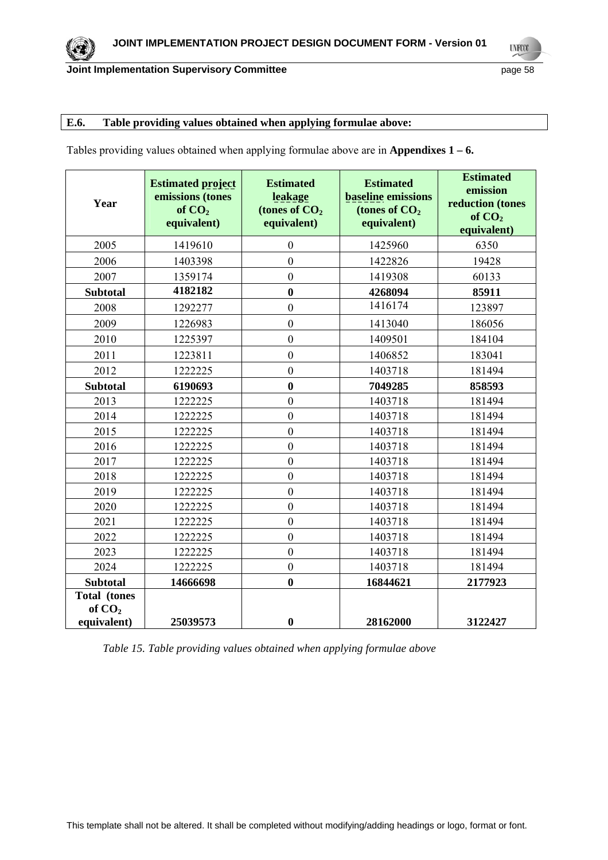### **E.6. Table providing values obtained when applying formulae above:**

Tables providing values obtained when applying formulae above are in **Appendixes 1 – 6.** 

| Year                                           | <b>Estimated project</b><br>emissions (tones<br>of $CO2$<br>equivalent) | <b>Estimated</b><br>leakage<br>(tones of $CO2$<br>equivalent) | <b>Estimated</b><br><b>baseline</b> emissions<br>(tones of CO <sub>2</sub><br>equivalent) | <b>Estimated</b><br>emission<br>reduction (tones<br>of $CO2$<br>equivalent) |
|------------------------------------------------|-------------------------------------------------------------------------|---------------------------------------------------------------|-------------------------------------------------------------------------------------------|-----------------------------------------------------------------------------|
| 2005                                           | 1419610                                                                 | $\overline{0}$                                                | 1425960                                                                                   | 6350                                                                        |
| 2006                                           | 1403398                                                                 | $\overline{0}$                                                | 1422826                                                                                   | 19428                                                                       |
| 2007                                           | 1359174                                                                 | $\overline{0}$                                                | 1419308                                                                                   | 60133                                                                       |
| <b>Subtotal</b>                                | 4182182                                                                 | $\bf{0}$                                                      | 4268094                                                                                   | 85911                                                                       |
| 2008                                           | 1292277                                                                 | $\overline{0}$                                                | 1416174                                                                                   | 123897                                                                      |
| 2009                                           | 1226983                                                                 | $\mathbf{0}$                                                  | 1413040                                                                                   | 186056                                                                      |
| 2010                                           | 1225397                                                                 | $\mathbf{0}$                                                  | 1409501                                                                                   | 184104                                                                      |
| 2011                                           | 1223811                                                                 | $\boldsymbol{0}$                                              | 1406852                                                                                   | 183041                                                                      |
| 2012                                           | 1222225                                                                 | $\overline{0}$                                                | 1403718                                                                                   | 181494                                                                      |
| <b>Subtotal</b>                                | 6190693                                                                 | $\bf{0}$                                                      | 7049285                                                                                   | 858593                                                                      |
| 2013                                           | 1222225                                                                 | $\mathbf{0}$                                                  | 1403718                                                                                   | 181494                                                                      |
| 2014                                           | 1222225                                                                 | $\boldsymbol{0}$                                              | 1403718                                                                                   | 181494                                                                      |
| 2015                                           | 1222225                                                                 | $\overline{0}$                                                | 1403718                                                                                   | 181494                                                                      |
| 2016                                           | 1222225                                                                 | $\mathbf{0}$                                                  | 1403718                                                                                   | 181494                                                                      |
| 2017                                           | 1222225                                                                 | $\boldsymbol{0}$                                              | 1403718                                                                                   | 181494                                                                      |
| 2018                                           | 1222225                                                                 | $\boldsymbol{0}$                                              | 1403718                                                                                   | 181494                                                                      |
| 2019                                           | 1222225                                                                 | $\overline{0}$                                                | 1403718                                                                                   | 181494                                                                      |
| 2020                                           | 1222225                                                                 | $\overline{0}$                                                | 1403718                                                                                   | 181494                                                                      |
| 2021                                           | 1222225                                                                 | $\boldsymbol{0}$                                              | 1403718                                                                                   | 181494                                                                      |
| 2022                                           | 1222225                                                                 | $\mathbf{0}$                                                  | 1403718                                                                                   | 181494                                                                      |
| 2023                                           | 1222225                                                                 | $\mathbf{0}$                                                  | 1403718                                                                                   | 181494                                                                      |
| 2024                                           | 1222225                                                                 | $\overline{0}$                                                | 1403718                                                                                   | 181494                                                                      |
| <b>Subtotal</b>                                | 14666698                                                                | $\bf{0}$                                                      | 16844621                                                                                  | 2177923                                                                     |
| <b>Total</b> (tones<br>of $CO2$<br>equivalent) | 25039573                                                                | $\bf{0}$                                                      | 28162000                                                                                  | 3122427                                                                     |

*Table 15. Table providing values obtained when applying formulae above* 

**UYECCO**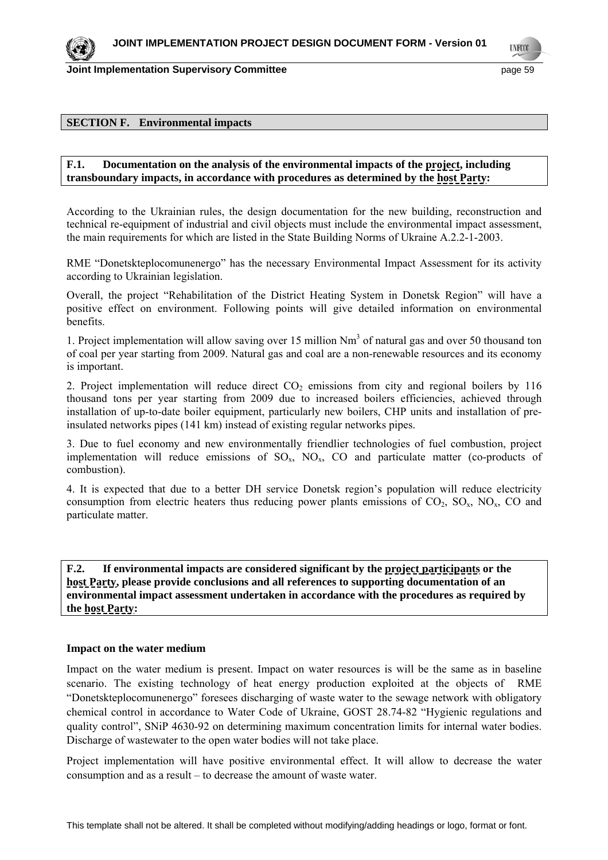**LYFOO** 

#### **SECTION F. Environmental impacts**

#### **F.1. Documentation on the analysis of the environmental impacts of the project, including transboundary impacts, in accordance with procedures as determined by the host Party:**

According to the Ukrainian rules, the design documentation for the new building, reconstruction and technical re-equipment of industrial and civil objects must include the environmental impact assessment, the main requirements for which are listed in the State Building Norms of Ukraine A.2.2-1-2003.

RME "Donetskteplocomunenergo" has the necessary Environmental Impact Assessment for its activity according to Ukrainian legislation.

Overall, the project "Rehabilitation of the District Heating System in Donetsk Region" will have a positive effect on environment. Following points will give detailed information on environmental benefits.

1. Project implementation will allow saving over 15 million Nm<sup>3</sup> of natural gas and over 50 thousand ton of coal per year starting from 2009. Natural gas and coal are a non-renewable resources and its economy is important.

2. Project implementation will reduce direct  $CO<sub>2</sub>$  emissions from city and regional boilers by 116 thousand tons per year starting from 2009 due to increased boilers efficiencies, achieved through installation of up-to-date boiler equipment, particularly new boilers, CHP units and installation of preinsulated networks pipes (141 km) instead of existing regular networks pipes.

3. Due to fuel economy and new environmentally friendlier technologies of fuel combustion, project implementation will reduce emissions of  $SO<sub>x</sub>$ ,  $NO<sub>x</sub>$ ,  $CO$  and particulate matter (co-products of combustion).

4. It is expected that due to a better DH service Donetsk region's population will reduce electricity consumption from electric heaters thus reducing power plants emissions of  $CO_2$ ,  $SO_3$ ,  $NO_x$ ,  $CO$  and particulate matter.

**F.2. If environmental impacts are considered significant by the project participants or the host Party, please provide conclusions and all references to supporting documentation of an environmental impact assessment undertaken in accordance with the procedures as required by the host Party:** 

#### **Impact on the water medium**

Impact on the water medium is present. Impact on water resources is will be the same as in baseline scenario. The existing technology of heat energy production exploited at the objects of RME "Donetskteplocomunenergo" foresees discharging of waste water to the sewage network with obligatory chemical control in accordance to Water Code of Ukraine, GOST 28.74-82 "Hygienic regulations and quality control", SNiP 4630-92 on determining maximum concentration limits for internal water bodies. Discharge of wastewater to the open water bodies will not take place.

Project implementation will have positive environmental effect. It will allow to decrease the water consumption and as a result – to decrease the amount of waste water.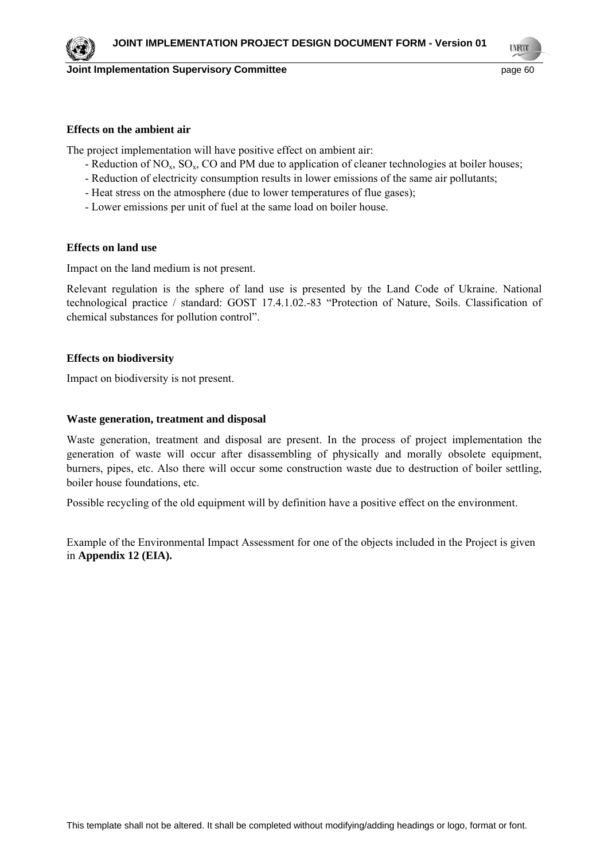**LYFOO** 

#### **Effects on the ambient air**

The project implementation will have positive effect on ambient air:

- Reduction of  $NO<sub>x</sub>$ ,  $SO<sub>x</sub>$ ,  $CO$  and PM due to application of cleaner technologies at boiler houses;
- Reduction of electricity consumption results in lower emissions of the same air pollutants;
- Heat stress on the atmosphere (due to lower temperatures of flue gases);
- Lower emissions per unit of fuel at the same load on boiler house.

#### **Effects on land use**

Impact on the land medium is not present.

Relevant regulation is the sphere of land use is presented by the Land Code of Ukraine. National technological practice / standard: GOST 17.4.1.02.-83 "Protection of Nature, Soils. Classification of chemical substances for pollution control".

#### **Effects on biodiversity**

Impact on biodiversity is not present.

### **Waste generation, treatment and disposal**

Waste generation, treatment and disposal are present. In the process of project implementation the generation of waste will occur after disassembling of physically and morally obsolete equipment, burners, pipes, etc. Also there will occur some construction waste due to destruction of boiler settling, boiler house foundations, etc.

Possible recycling of the old equipment will by definition have a positive effect on the environment.

Example of the Environmental Impact Assessment for one of the objects included in the Project is given in **Appendix 12 (EIA).**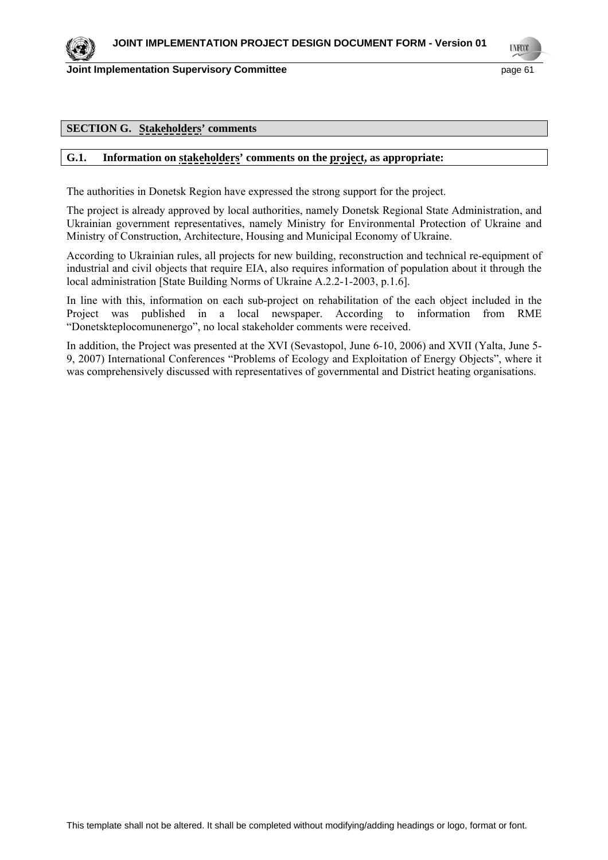



**LYFOO** 

#### **SECTION G. Stakeholders' comments**

#### **G.1. Information on stakeholders' comments on the project, as appropriate:**

The authorities in Donetsk Region have expressed the strong support for the project.

The project is already approved by local authorities, namely Donetsk Regional State Administration, and Ukrainian government representatives, namely Ministry for Environmental Protection of Ukraine and Ministry of Construction, Architecture, Housing and Municipal Economy of Ukraine.

According to Ukrainian rules, all projects for new building, reconstruction and technical re-equipment of industrial and civil objects that require EIA, also requires information of population about it through the local administration [State Building Norms of Ukraine A.2.2-1-2003, p.1.6].

In line with this, information on each sub-project on rehabilitation of the each object included in the Project was published in a local newspaper. According to information from RME "Donetskteplocomunenergo", no local stakeholder comments were received.

In addition, the Project was presented at the ХVI (Sevastopol, June 6-10, 2006) and ХVII (Yalta, June 5- 9, 2007) International Conferences "Problems of Ecology and Exploitation of Energy Objects", where it was comprehensively discussed with representatives of governmental and District heating organisations.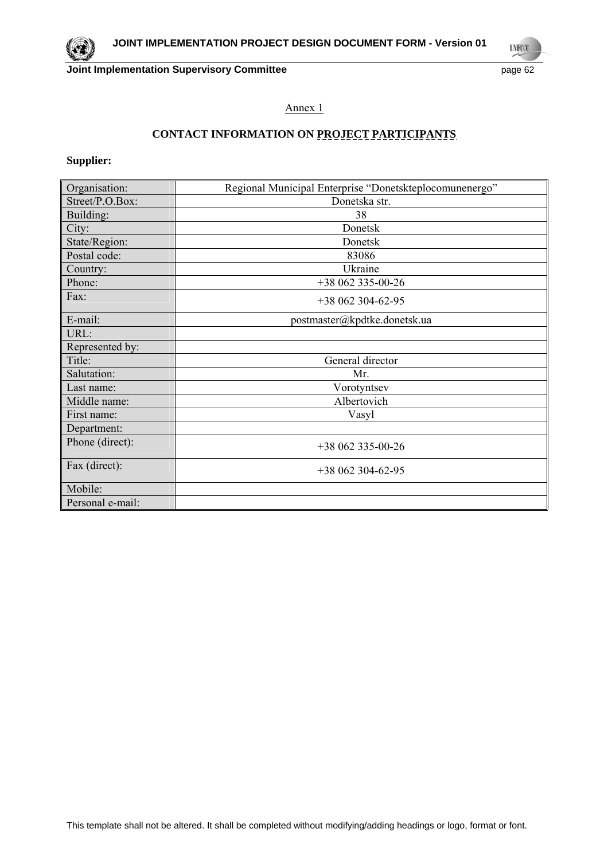**UNFOOT** 

### Annex 1

# **CONTACT INFORMATION ON PROJECT PARTICIPANTS**

**Supplier:** 

| Organisation:    | Regional Municipal Enterprise "Donetskteplocomunenergo" |
|------------------|---------------------------------------------------------|
| Street/P.O.Box:  | Donetska str.                                           |
| Building:        | 38                                                      |
| City:            | Donetsk                                                 |
| State/Region:    | Donetsk                                                 |
| Postal code:     | 83086                                                   |
| Country:         | Ukraine                                                 |
| Phone:           | +38 062 335-00-26                                       |
| Fax:             | $+38062304-62-95$                                       |
| E-mail:          | postmaster@kpdtke.donetsk.ua                            |
| URL:             |                                                         |
| Represented by:  |                                                         |
| Title:           | General director                                        |
| Salutation:      | Mr.                                                     |
| Last name:       | Vorotyntsev                                             |
| Middle name:     | Albertovich                                             |
| First name:      | Vasyl                                                   |
| Department:      |                                                         |
| Phone (direct):  | $+38062335-00-26$                                       |
| Fax (direct):    | $+38062304-62-95$                                       |
| Mobile:          |                                                         |
| Personal e-mail: |                                                         |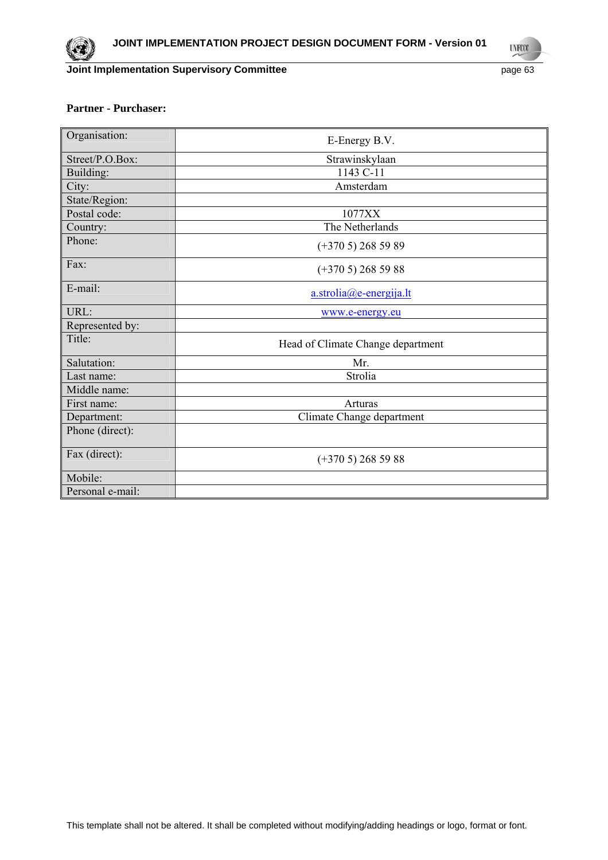**UNFOOT** 

## **Partner - Purchaser:**

| Organisation:    | E-Energy B.V.                     |
|------------------|-----------------------------------|
| Street/P.O.Box:  | Strawinskylaan                    |
| Building:        | 1143 C-11                         |
| City:            | Amsterdam                         |
| State/Region:    |                                   |
| Postal code:     | 1077XX                            |
| Country:         | The Netherlands                   |
| Phone:           | $(+3705)$ 268 59 89               |
| Fax:             | $(+3705)$ 268 59 88               |
| E-mail:          | $a.$ strolia $(a)$ e-energija.lt  |
| URL:             | www.e-energy.eu                   |
| Represented by:  |                                   |
| Title:           | Head of Climate Change department |
| Salutation:      | Mr.                               |
| Last name:       | Strolia                           |
| Middle name:     |                                   |
| First name:      | Arturas                           |
| Department:      | Climate Change department         |
| Phone (direct):  |                                   |
| Fax (direct):    | $(+3705)$ 268 59 88               |
| Mobile:          |                                   |
| Personal e-mail: |                                   |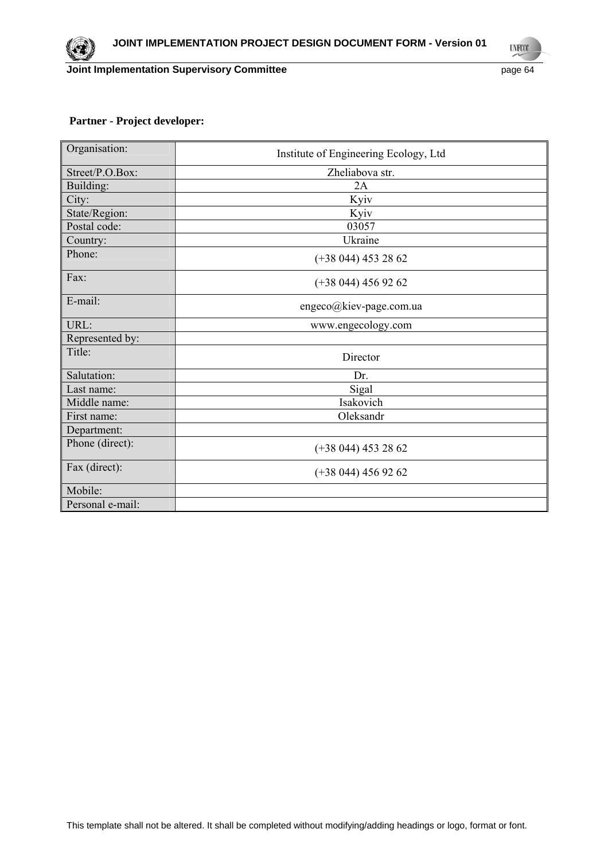**Joint Implementation Supervisory Committee Accord Page 64** page 64

**UNFOOT** 

### **Partner - Project developer:**

| Organisation:    | Institute of Engineering Ecology, Ltd |
|------------------|---------------------------------------|
| Street/P.O.Box:  | Zheliabova str.                       |
| Building:        | 2A                                    |
| City:            | Kyiv                                  |
| State/Region:    | Kyiv                                  |
| Postal code:     | 03057                                 |
| Country:         | Ukraine                               |
| Phone:           | $(+38044)$ 453 28 62                  |
| Fax:             | $(+38044)$ 456 92 62                  |
| E-mail:          | engeco@kiev-page.com.ua               |
| URL:             | www.engecology.com                    |
| Represented by:  |                                       |
| Title:           | Director                              |
| Salutation:      | Dr.                                   |
| Last name:       | Sigal                                 |
| Middle name:     | Isakovich                             |
| First name:      | Oleksandr                             |
| Department:      |                                       |
| Phone (direct):  | $(+38044)$ 453 28 62                  |
| Fax (direct):    | $(+38044)$ 456 92 62                  |
| Mobile:          |                                       |
| Personal e-mail: |                                       |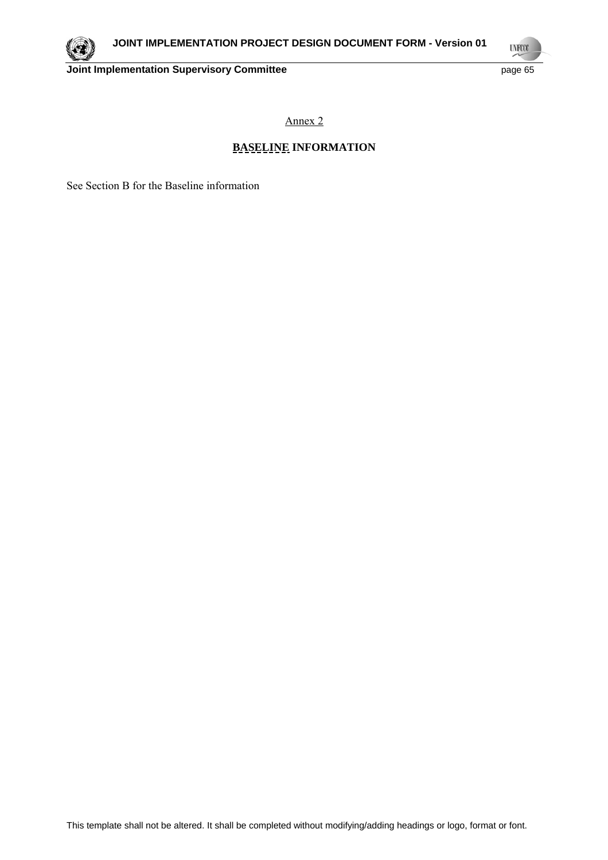

**UYFOO** 

Annex 2

# **BASELINE INFORMATION**

See Section B for the Baseline information